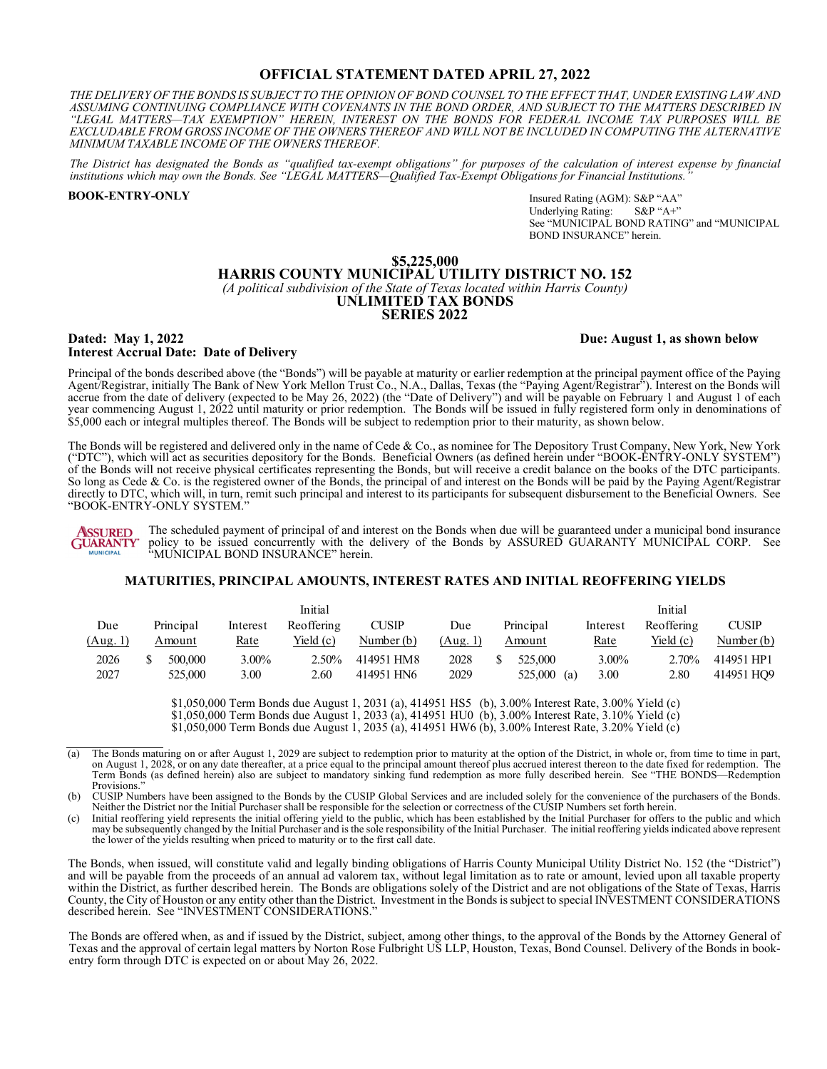## **OFFICIAL STATEMENT DATED APRIL 27, 2022**

THE DELIVERY OF THE BONDS IS SUBJECT TO THE OPINION OF BOND COUNSEL TO THE EFFECT THAT, UNDER EXISTING LAW AND *ASSUMING CONTINUING COMPLIANCE WITH COVENANTS IN THE BOND ORDER, AND SUBJECT TO THE MATTERS DESCRIBED IN "LEGAL MATTERS—TAX EXEMPTION" HEREIN, INTEREST ON THE BONDS FOR FEDERAL INCOME TAX PURPOSES WILL BE EXCLUDABLE FROM GROSS INCOME OF THE OWNERS THEREOF AND WILL NOT BE INCLUDED IN COMPUTING THE ALTERNATIVE MINIMUM TAXABLE INCOME OF THE OWNERS THEREOF.* 

*The District has designated the Bonds as "qualified tax-exempt obligations" for purposes of the calculation of interest expense by financial institutions which may own the Bonds. See "LEGAL MATTERS—Qualified Tax-Exempt Obligations for Financial Institutions."*

**BOOK-ENTRY-ONLY**

Insured Rating (AGM): S&P "AA"<br>Underlying Rating: S&P "A+" Underlying Rating: See "MUNICIPAL BOND RATING" and "MUNICIPAL BOND INSURANCE" herein.

#### **\$5,225,000 HARRIS COUNTY MUNICIPAL UTILITY DISTRICT NO. 152**  *(A political subdivision of the State of Texas located within Harris County)*  **UNLIMITED TAX BONDS SERIES 2022**

#### **Dated: May 1, 2022 Due: August 1, as shown below Interest Accrual Date: Date of Delivery**

Principal of the bonds described above (the "Bonds") will be payable at maturity or earlier redemption at the principal payment office of the Paying Agent/Registrar, initially The Bank of New York Mellon Trust Co., N.A., Dallas, Texas (the "Paying Agent/Registrar"). Interest on the Bonds will accrue from the date of delivery (expected to be May 26, 2022) (the "Date of Delivery") and will be payable on February 1 and August 1 of each year commencing August 1, 2022 until maturity or prior redemption. The Bonds will be issued in fully registered form only in denominations of \$5,000 each or integral multiples thereof. The Bonds will be subject to redemption prior to their maturity, as shown below.

The Bonds will be registered and delivered only in the name of Cede & Co., as nominee for The Depository Trust Company, New York, New York ("DTC"), which will act as securities depository for the Bonds. Beneficial Owners (as defined herein under "BOOK-ENTRY-ONLY SYSTEM") of the Bonds will not receive physical certificates representing the Bonds, but will receive a credit balance on the books of the DTC participants. So long as Cede & Co. is the registered owner of the Bonds, the principal of and interest on the Bonds will be paid by the Paying Agent/Registrar directly to DTC, which will, in turn, remit such principal and interest to its participants for subsequent disbursement to the Beneficial Owners. See "BOOK-ENTRY-ONLY SYSTEM."

*<u>ASSURED</u>* The scheduled payment of principal of and interest on the Bonds when due will be guaranteed under a municipal bond insurance GÜARANTY policy to be issued concurrently with the delivery of the Bonds by ASSURED GUARANTY MUNICIPAL CORP. See **MUNICIPAL** "MUNICIPAL BOND INSURANCE" herein.

#### **MATURITIES, PRINCIPAL AMOUNTS, INTEREST RATES AND INITIAL REOFFERING YIELDS**

|          |           |          | Initial    |              |          |           |     |          | Initial    |              |
|----------|-----------|----------|------------|--------------|----------|-----------|-----|----------|------------|--------------|
| Due      | Principal | Interest | Reoffering | <b>CUSIP</b> | Due      | Principal |     | Interest | Reoffering | <b>CUSIP</b> |
| (Aug. 1) | Amount    | Rate     | Yield (c)  | Number $(b)$ | (Aug. 1) | Amount    |     | Rate     | Yield (c)  | Number (b)   |
| 2026     | 500,000   | $3.00\%$ | $2.50\%$   | 414951 HM8   | 2028     | 525,000   |     | 3.00%    | 2.70%      | 414951 HP1   |
| 2027     | 525,000   | 3.00     | 2.60       | 414951 HN6   | 2029     | 525,000   | (a) | 3.00     | 2.80       | 414951 HO9   |

\$1,050,000 Term Bonds due August 1, 2031 (a), 414951 HS5 (b), 3.00% Interest Rate, 3.00% Yield (c) \$1,050,000 Term Bonds due August 1, 2033 (a), 414951 HU0 (b), 3.00% Interest Rate, 3.10% Yield (c)  $\frac{(6)}{10}$ ,050,000 Term Bonds due August 1, 2035 (a), 414951 HW6 (b), 3.00% Interest Rate, 3.20% Yield (c)

(b) CUSIP Numbers have been assigned to the Bonds by the CUSIP Global Services and are included solely for the convenience of the purchasers of the Bonds. Neither the District nor the Initial Purchaser shall be responsible for the selection or correctness of the CUSIP Numbers set forth herein.

Initial reoffering yield represents the initial offering yield to the public, which has been established by the Initial Purchaser for offers to the public and which may be subsequently changed by the Initial Purchaser and is the sole responsibility of the Initial Purchaser. The initial reoffering yields indicated above represent the lower of the yields resulting when priced to maturity or to the first call date.

The Bonds, when issued, will constitute valid and legally binding obligations of Harris County Municipal Utility District No. 152 (the "District") and will be payable from the proceeds of an annual ad valorem tax, without legal limitation as to rate or amount, levied upon all taxable property within the District, as further described herein. The Bonds are obligations solely of the District and are not obligations of the State of Texas, Harris County, the City of Houston or any entity other than the District. Investment in the Bonds is subject to special INVESTMENT CONSIDERATIONS described herein. See "INVESTMENT CONSIDERATIONS."

The Bonds are offered when, as and if issued by the District, subject, among other things, to the approval of the Bonds by the Attorney General of Texas and the approval of certain legal matters by Norton Rose Fulbright US LLP, Houston, Texas, Bond Counsel. Delivery of the Bonds in bookentry form through DTC is expected on or about May 26, 2022.

<sup>(</sup>a) The Bonds maturing on or after August 1, 2029 are subject to redemption prior to maturity at the option of the District, in whole or, from time to time in part, on August 1, 2028, or on any date thereafter, at a price equal to the principal amount thereof plus accrued interest thereon to the date fixed for redemption. The Term Bonds (as defined herein) also are subject to mandator Provisions."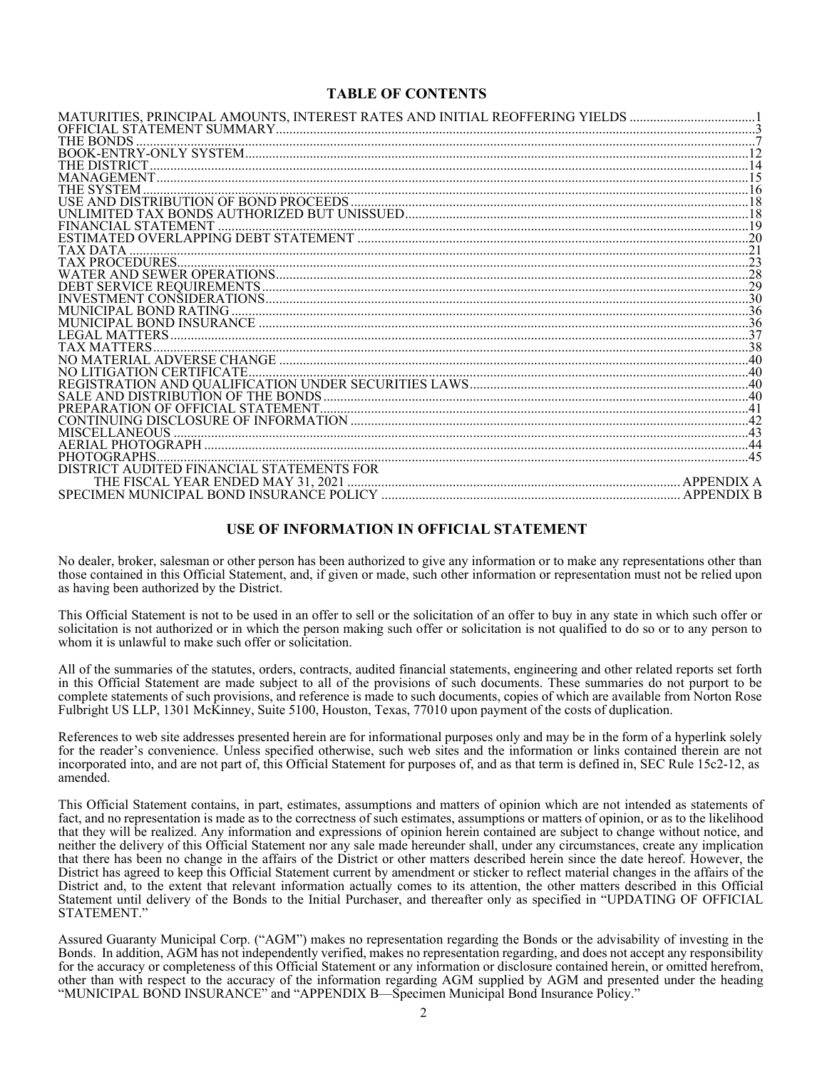## **TABLE OF CONTENTS**

| MATURITIES, PRINCIPAL AMOUNTS, INTEREST RATES AND INITIAL REOFFERING YIELDS ………………………………1<br>THE BONDS<br><b>SYSTEM</b> |
|-------------------------------------------------------------------------------------------------------------------------|
|                                                                                                                         |
|                                                                                                                         |
|                                                                                                                         |
|                                                                                                                         |
|                                                                                                                         |
|                                                                                                                         |
|                                                                                                                         |
|                                                                                                                         |
|                                                                                                                         |
|                                                                                                                         |
|                                                                                                                         |
|                                                                                                                         |
|                                                                                                                         |
|                                                                                                                         |
|                                                                                                                         |
|                                                                                                                         |
|                                                                                                                         |
|                                                                                                                         |
|                                                                                                                         |
|                                                                                                                         |
|                                                                                                                         |
| TIGATION CERTIFICATE                                                                                                    |
|                                                                                                                         |
|                                                                                                                         |
|                                                                                                                         |
|                                                                                                                         |
| 'ELLANEOUS                                                                                                              |
|                                                                                                                         |
| PHOTOGR APHS                                                                                                            |
| TED FINANCIAL STATEMENTS FOR                                                                                            |
| THE FISCAL YEAR ENDED MAY 31. 2021                                                                                      |
|                                                                                                                         |

## **USE OF INFORMATION IN OFFICIAL STATEMENT**

No dealer, broker, salesman or other person has been authorized to give any information or to make any representations other than those contained in this Official Statement, and, if given or made, such other information or representation must not be relied upon as having been authorized by the District.

This Official Statement is not to be used in an offer to sell or the solicitation of an offer to buy in any state in which such offer or solicitation is not authorized or in which the person making such offer or solicitation is not qualified to do so or to any person to whom it is unlawful to make such offer or solicitation.

All of the summaries of the statutes, orders, contracts, audited financial statements, engineering and other related reports set forth in this Official Statement are made subject to all of the provisions of such documents. These summaries do not purport to be complete statements of such provisions, and reference is made to such documents, copies of which are available from Norton Rose Fulbright US LLP, 1301 McKinney, Suite 5100, Houston, Texas, 77010 upon payment of the costs of duplication.

References to web site addresses presented herein are for informational purposes only and may be in the form of a hyperlink solely for the reader's convenience. Unless specified otherwise, such web sites and the information or links contained therein are not incorporated into, and are not part of, this Official Statement for purposes of, and as that term is defined in, SEC Rule 15c2-12, as amended.

This Official Statement contains, in part, estimates, assumptions and matters of opinion which are not intended as statements of fact, and no representation is made as to the correctness of such estimates, assumptions or matters of opinion, or as to the likelihood that they will be realized. Any information and expressions of opinion herein contained are subject to change without notice, and neither the delivery of this Official Statement nor any sale made hereunder shall, under any circumstances, create any implication that there has been no change in the affairs of the District or other matters described herein since the date hereof. However, the District has agreed to keep this Official Statement current by amendment or sticker to reflect material changes in the affairs of the District and, to the extent that relevant information actually comes to its attention, the other matters described in this Official Statement until delivery of the Bonds to the Initial Purchaser, and thereafter only as specified in "UPDATING OF OFFICIAL STATEMENT."

Assured Guaranty Municipal Corp. ("AGM") makes no representation regarding the Bonds or the advisability of investing in the Bonds. In addition, AGM has not independently verified, makes no representation regarding, and does not accept any responsibility for the accuracy or completeness of this Official Statement or any information or disclosure contained herein, or omitted herefrom, other than with respect to the accuracy of the information regarding AGM supplied by AGM and presented under the heading "MUNICIPAL BOND INSURANCE" and "APPENDIX B—Specimen Municipal Bond Insurance Policy."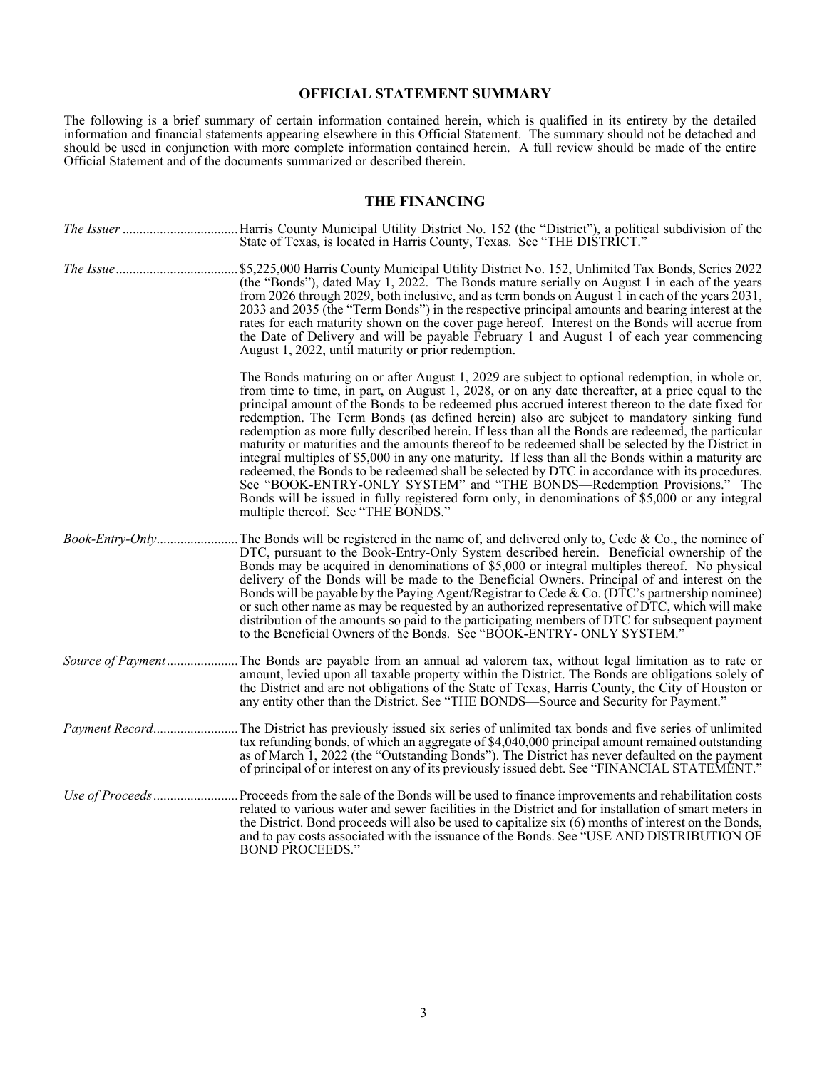## **OFFICIAL STATEMENT SUMMARY**

The following is a brief summary of certain information contained herein, which is qualified in its entirety by the detailed information and financial statements appearing elsewhere in this Official Statement. The summary should not be detached and should be used in conjunction with more complete information contained herein. A full review should be made of the entire Official Statement and of the documents summarized or described therein.

## **THE FINANCING**

|                   | Harris County Municipal Utility District No. 152 (the "District"), a political subdivision of the<br>State of Texas, is located in Harris County, Texas. See "THE DISTRICT."                                                                                                                                                                                                                                                                                                                                                                                                                                                                                                                                                                                                                                                                                                                                                                                                                                                                  |
|-------------------|-----------------------------------------------------------------------------------------------------------------------------------------------------------------------------------------------------------------------------------------------------------------------------------------------------------------------------------------------------------------------------------------------------------------------------------------------------------------------------------------------------------------------------------------------------------------------------------------------------------------------------------------------------------------------------------------------------------------------------------------------------------------------------------------------------------------------------------------------------------------------------------------------------------------------------------------------------------------------------------------------------------------------------------------------|
|                   | \$5,225,000 Harris County Municipal Utility District No. 152, Unlimited Tax Bonds, Series 2022<br>(the "Bonds"), dated May 1, 2022. The Bonds mature serially on August 1 in each of the years<br>from 2026 through 2029, both inclusive, and as term bonds on August 1 in each of the years 2031,<br>2033 and 2035 (the "Term Bonds") in the respective principal amounts and bearing interest at the<br>rates for each maturity shown on the cover page hereof. Interest on the Bonds will accrue from<br>the Date of Delivery and will be payable February 1 and August 1 of each year commencing<br>August 1, 2022, until maturity or prior redemption.                                                                                                                                                                                                                                                                                                                                                                                   |
|                   | The Bonds maturing on or after August 1, 2029 are subject to optional redemption, in whole or,<br>from time to time, in part, on August 1, 2028, or on any date thereafter, at a price equal to the<br>principal amount of the Bonds to be redeemed plus accrued interest thereon to the date fixed for<br>redemption. The Term Bonds (as defined herein) also are subject to mandatory sinking fund<br>redemption as more fully described herein. If less than all the Bonds are redeemed, the particular<br>maturity or maturities and the amounts thereof to be redeemed shall be selected by the District in<br>integral multiples of \$5,000 in any one maturity. If less than all the Bonds within a maturity are<br>redeemed, the Bonds to be redeemed shall be selected by DTC in accordance with its procedures.<br>See "BOOK-ENTRY-ONLY SYSTEM" and "THE BONDS—Redemption Provisions." The<br>Bonds will be issued in fully registered form only, in denominations of \$5,000 or any integral<br>multiple thereof. See "THE BONDS." |
| Book-Entry-Only   | The Bonds will be registered in the name of, and delivered only to, Cede & Co., the nominee of<br>DTC, pursuant to the Book-Entry-Only System described herein. Beneficial ownership of the<br>Bonds may be acquired in denominations of \$5,000 or integral multiples thereof. No physical<br>delivery of the Bonds will be made to the Beneficial Owners. Principal of and interest on the<br>Bonds will be payable by the Paying Agent/Registrar to Cede & Co. (DTC's partnership nominee)<br>or such other name as may be requested by an authorized representative of DTC, which will make<br>distribution of the amounts so paid to the participating members of DTC for subsequent payment<br>to the Beneficial Owners of the Bonds. See "BOOK-ENTRY- ONLY SYSTEM."                                                                                                                                                                                                                                                                    |
| Source of Payment | The Bonds are payable from an annual ad valorem tax, without legal limitation as to rate or<br>amount, levied upon all taxable property within the District. The Bonds are obligations solely of<br>the District and are not obligations of the State of Texas, Harris County, the City of Houston or<br>any entity other than the District. See "THE BONDS—Source and Security for Payment."                                                                                                                                                                                                                                                                                                                                                                                                                                                                                                                                                                                                                                                 |
| Payment Record    | The District has previously issued six series of unlimited tax bonds and five series of unlimited<br>tax refunding bonds, of which an aggregate of \$4,040,000 principal amount remained outstanding<br>as of March 1, 2022 (the "Outstanding Bonds"). The District has never defaulted on the payment<br>of principal of or interest on any of its previously issued debt. See "FINANCIAL STATEMENT."                                                                                                                                                                                                                                                                                                                                                                                                                                                                                                                                                                                                                                        |
|                   | Proceeds from the sale of the Bonds will be used to finance improvements and rehabilitation costs.<br>related to various water and sewer facilities in the District and for installation of smart meters in<br>the District. Bond proceeds will also be used to capitalize six (6) months of interest on the Bonds,<br>and to pay costs associated with the issuance of the Bonds. See "USE AND DISTRIBUTION OF<br><b>BOND PROCEEDS."</b>                                                                                                                                                                                                                                                                                                                                                                                                                                                                                                                                                                                                     |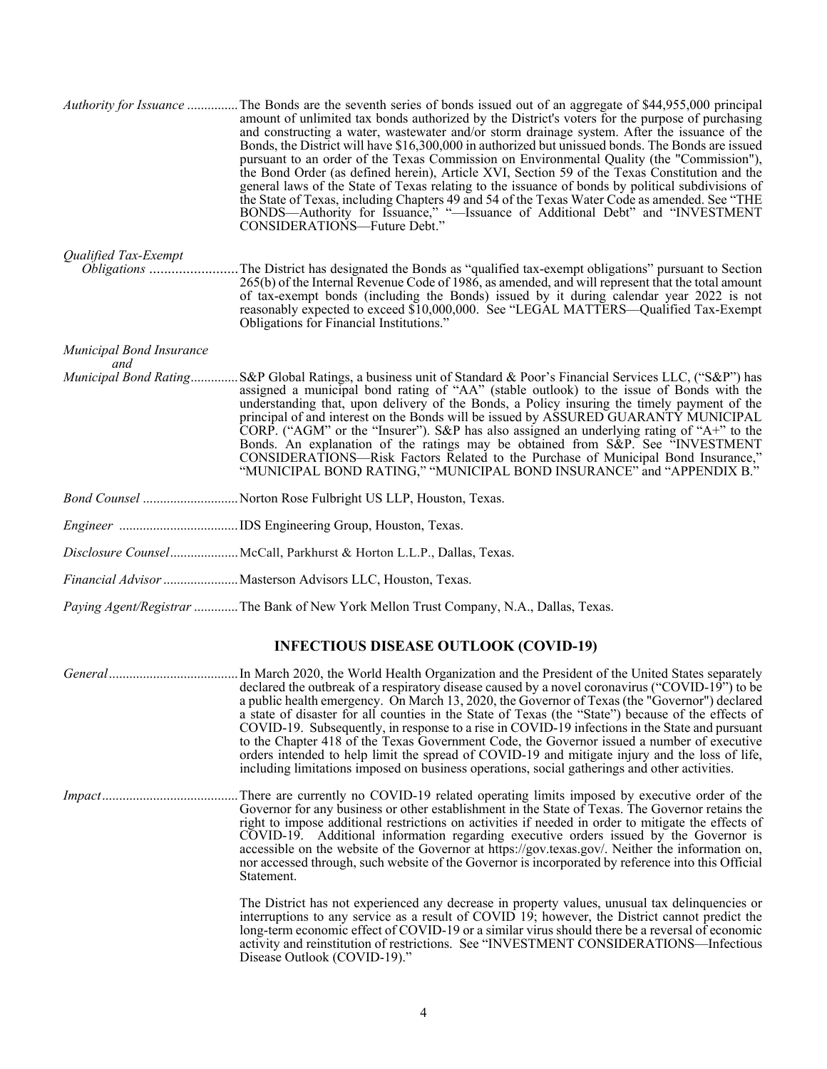|                          | Authority for Issuance The Bonds are the seventh series of bonds issued out of an aggregate of \$44,955,000 principal<br>amount of unlimited tax bonds authorized by the District's voters for the purpose of purchasing<br>and constructing a water, wastewater and/or storm drainage system. After the issuance of the<br>Bonds, the District will have \$16,300,000 in authorized but unissued bonds. The Bonds are issued<br>pursuant to an order of the Texas Commission on Environmental Quality (the "Commission"),<br>the Bond Order (as defined herein), Article XVI, Section 59 of the Texas Constitution and the<br>general laws of the State of Texas relating to the issuance of bonds by political subdivisions of<br>the State of Texas, including Chapters 49 and 54 of the Texas Water Code as amended. See "THE<br>BONDS—Authority for Issuance," "-Issuance of Additional Debt" and "INVESTMENT<br>CONSIDERATIONS-Future Debt." |
|--------------------------|----------------------------------------------------------------------------------------------------------------------------------------------------------------------------------------------------------------------------------------------------------------------------------------------------------------------------------------------------------------------------------------------------------------------------------------------------------------------------------------------------------------------------------------------------------------------------------------------------------------------------------------------------------------------------------------------------------------------------------------------------------------------------------------------------------------------------------------------------------------------------------------------------------------------------------------------------|
| Qualified Tax-Exempt     | 265(b) of the Internal Revenue Code of 1986, as amended, and will represent that the total amount<br>of tax-exempt bonds (including the Bonds) issued by it during calendar year 2022 is not<br>reasonably expected to exceed \$10,000,000. See "LEGAL MATTERS-Qualified Tax-Exempt<br>Obligations for Financial Institutions."                                                                                                                                                                                                                                                                                                                                                                                                                                                                                                                                                                                                                    |
| Municipal Bond Insurance |                                                                                                                                                                                                                                                                                                                                                                                                                                                                                                                                                                                                                                                                                                                                                                                                                                                                                                                                                    |
| and                      | Municipal Bond RatingS&P Global Ratings, a business unit of Standard & Poor's Financial Services LLC, ("S&P") has<br>assigned a municipal bond rating of "AA" (stable outlook) to the issue of Bonds with the<br>understanding that, upon delivery of the Bonds, a Policy insuring the timely payment of the<br>principal of and interest on the Bonds will be issued by ASSURED GUARANTY MUNICIPAL<br>CORP. ("AGM" or the "Insurer"). S&P has also assigned an underlying rating of "A+" to the<br>Bonds. An explanation of the ratings may be obtained from S&P. See "INVESTMENT<br>CONSIDERATIONS—Risk Factors Related to the Purchase of Municipal Bond Insurance,"<br>"MUNICIPAL BOND RATING," "MUNICIPAL BOND INSURANCE" and "APPENDIX B."                                                                                                                                                                                                   |
|                          | Bond Counsel Norton Rose Fulbright US LLP, Houston, Texas.                                                                                                                                                                                                                                                                                                                                                                                                                                                                                                                                                                                                                                                                                                                                                                                                                                                                                         |
|                          |                                                                                                                                                                                                                                                                                                                                                                                                                                                                                                                                                                                                                                                                                                                                                                                                                                                                                                                                                    |
|                          | Disclosure CounselMcCall, Parkhurst & Horton L.L.P., Dallas, Texas.                                                                                                                                                                                                                                                                                                                                                                                                                                                                                                                                                                                                                                                                                                                                                                                                                                                                                |
|                          | Financial Advisor  Masterson Advisors LLC, Houston, Texas.                                                                                                                                                                                                                                                                                                                                                                                                                                                                                                                                                                                                                                                                                                                                                                                                                                                                                         |
|                          | Paying Agent/Registrar  The Bank of New York Mellon Trust Company, N.A., Dallas, Texas.                                                                                                                                                                                                                                                                                                                                                                                                                                                                                                                                                                                                                                                                                                                                                                                                                                                            |
|                          | <b>INFECTIOUS DISEASE OUTLOOK (COVID-19)</b>                                                                                                                                                                                                                                                                                                                                                                                                                                                                                                                                                                                                                                                                                                                                                                                                                                                                                                       |
|                          | declared the outbreak of a respiratory disease caused by a novel coronavirus ("COVID-19") to be<br>a public health emergency. On March 13, 2020, the Governor of Texas (the "Governor") declared<br>a state of disaster for all counties in the State of Texas (the "State") because of the effects of<br>COVID-19. Subsequently, in response to a rise in COVID-19 infections in the State and pursuant                                                                                                                                                                                                                                                                                                                                                                                                                                                                                                                                           |

orders intended to help limit the spread of COVID-19 and mitigate injury and the loss of life, including limitations imposed on business operations, social gatherings and other activities. *Impact* ........................................ There are currently no COVID-19 related operating limits imposed by executive order of the Governor for any business or other establishment in the State of Texas. The Governor retains the right to impose additional restrictions on activities if needed in order to mitigate the effects of COVID-19. Additional information regarding executive orders issued by the Governor is accessible on the website of the Governor at https://gov.texas.gov/. Neither the information on, nor accessed through, such website of the Governor is incorporated by reference into this Official Statement.

> The District has not experienced any decrease in property values, unusual tax delinquencies or interruptions to any service as a result of COVID 19; however, the District cannot predict the long-term economic effect of COVID-19 or a similar virus should there be a reversal of economic activity and reinstitution of restrictions. See "INVESTMENT CONSIDERATIONS—Infectious Disease Outlook (COVID-19)."

> to the Chapter 418 of the Texas Government Code, the Governor issued a number of executive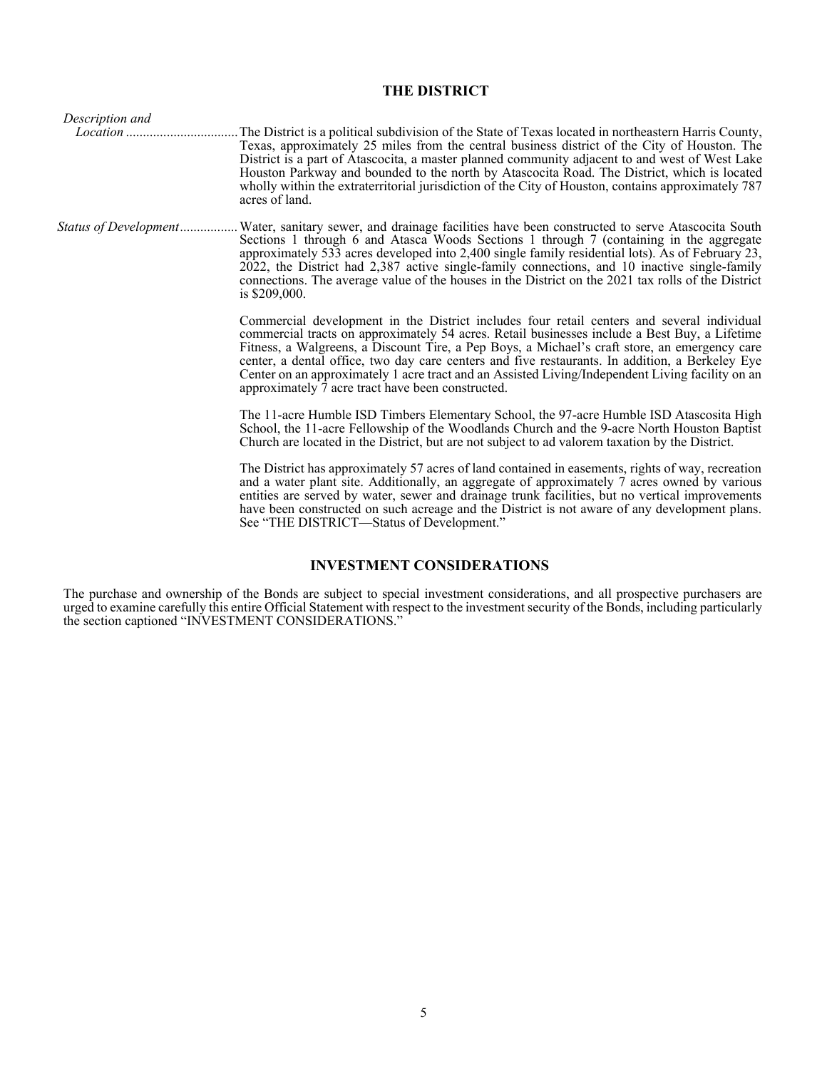# **THE DISTRICT**

| Description and       |                                                                                                                                                                                                                                                                                                                                                                                                                                                                                                                                                                  |
|-----------------------|------------------------------------------------------------------------------------------------------------------------------------------------------------------------------------------------------------------------------------------------------------------------------------------------------------------------------------------------------------------------------------------------------------------------------------------------------------------------------------------------------------------------------------------------------------------|
|                       | . The District is a political subdivision of the State of Texas located in northeastern Harris County,<br>Texas, approximately 25 miles from the central business district of the City of Houston. The<br>District is a part of Atascocita, a master planned community adjacent to and west of West Lake<br>Houston Parkway and bounded to the north by Atascocita Road. The District, which is located<br>wholly within the extraterritorial jurisdiction of the City of Houston, contains approximately 787<br>acres of land.                                  |
| Status of Development | . Water, sanitary sewer, and drainage facilities have been constructed to serve Atascocita South<br>Sections 1 through 6 and Atasca Woods Sections 1 through 7 (containing in the aggregate<br>approximately 533 acres developed into 2,400 single family residential lots). As of February 23,<br>2022, the District had 2,387 active single-family connections, and 10 inactive single-family<br>connections. The average value of the houses in the District on the 2021 tax rolls of the District<br>is $$209,000$ .                                         |
|                       | Commercial development in the District includes four retail centers and several individual<br>commercial tracts on approximately 54 acres. Retail businesses include a Best Buy, a Lifetime<br>Fitness, a Walgreens, a Discount Tire, a Pep Boys, a Michael's craft store, an emergency care<br>center, a dental office, two day care centers and five restaurants. In addition, a Berkeley Eye<br>Center on an approximately 1 acre tract and an Assisted Living/Independent Living facility on an<br>approximately $\bar{7}$ acre tract have been constructed. |
|                       | The 11-acre Humble ISD Timbers Elementary School, the 97-acre Humble ISD Atascosita High<br>School, the 11-acre Fellowship of the Woodlands Church and the 9-acre North Houston Baptist<br>Church are located in the District, but are not subject to ad valorem taxation by the District.                                                                                                                                                                                                                                                                       |
|                       | The District has approximately 57 acres of land contained in easements, rights of way, recreation<br>and a water plant site. Additionally, an aggregate of approximately 7 acres owned by various<br>entities are served by water, sewer and drainage trunk facilities, but no vertical improvements<br>have been constructed on such acreage and the District is not aware of any development plans.<br>See "THE DISTRICT—Status of Development."                                                                                                               |
|                       |                                                                                                                                                                                                                                                                                                                                                                                                                                                                                                                                                                  |

# **INVESTMENT CONSIDERATIONS**

The purchase and ownership of the Bonds are subject to special investment considerations, and all prospective purchasers are urged to examine carefully this entire Official Statement with respect to the investment security of the Bonds, including particularly the section captioned "INVESTMENT CONSIDERATIONS."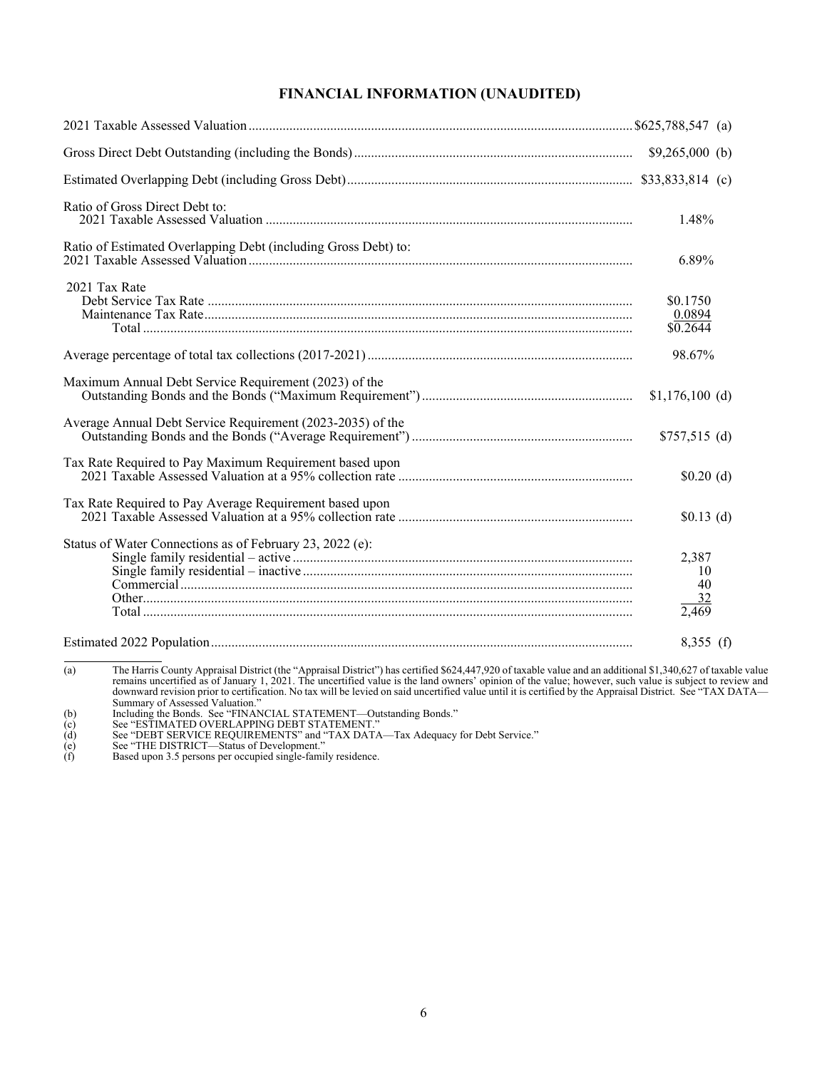# **FINANCIAL INFORMATION (UNAUDITED)**

| Ratio of Gross Direct Debt to:                                 | 1.48%                                 |  |
|----------------------------------------------------------------|---------------------------------------|--|
| Ratio of Estimated Overlapping Debt (including Gross Debt) to: | 6.89%                                 |  |
| 2021 Tax Rate                                                  | \$0.1750<br>0.0894<br>$\sqrt{0.2644}$ |  |
|                                                                | 98.67%                                |  |
| Maximum Annual Debt Service Requirement (2023) of the          | $$1,176,100$ (d)                      |  |
| Average Annual Debt Service Requirement (2023-2035) of the     | $$757,515$ (d)                        |  |
| Tax Rate Required to Pay Maximum Requirement based upon        | \$0.20(d)                             |  |
| Tax Rate Required to Pay Average Requirement based upon        | $$0.13$ (d)                           |  |
| Status of Water Connections as of February 23, 2022 (e):       | 2,387<br>-10<br>40<br>32<br>2,469     |  |
|                                                                | $8,355$ (f)                           |  |

(a) The Harris County Appraisal District (the "Appraisal District") has certified \$624,447,920 of taxable value and an additional \$1,340,627 of taxable value<br>remains uncertified as of January 1, 2021. The uncertified value downward revision prior to certification. No tax will be levied on said uncertified value until it is certified by the Appraisal District. See "TAX DATA—<br>Summary of Assessed Valuation."<br>Including the Bonds. See "FINANCIAL

(c) See "ESTIMATED OVERLAPPING DEBT STATEMENT." (d) See "DEBT SERVICE REQUIREMENTS" and "TAX DATA—Tax Adequacy for Debt Service." (e) See "THE DISTRICT—Status of Development."

(f) Based upon 3.5 persons per occupied single-family residence.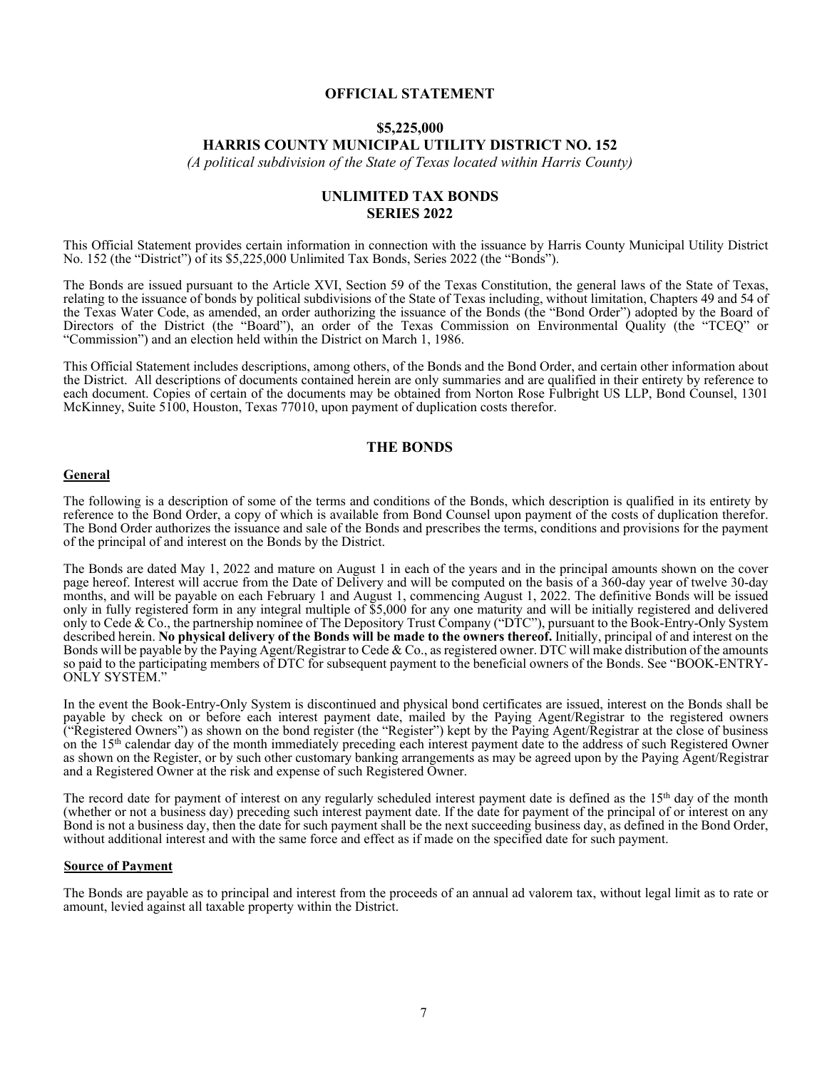## **OFFICIAL STATEMENT**

## **\$5,225,000 HARRIS COUNTY MUNICIPAL UTILITY DISTRICT NO. 152**

*(A political subdivision of the State of Texas located within Harris County)* 

# **UNLIMITED TAX BONDS SERIES 2022**

This Official Statement provides certain information in connection with the issuance by Harris County Municipal Utility District No. 152 (the "District") of its \$5,225,000 Unlimited Tax Bonds, Series 2022 (the "Bonds").

The Bonds are issued pursuant to the Article XVI, Section 59 of the Texas Constitution, the general laws of the State of Texas, relating to the issuance of bonds by political subdivisions of the State of Texas including, without limitation, Chapters 49 and 54 of the Texas Water Code, as amended, an order authorizing the issuance of the Bonds (the "Bond Order") adopted by the Board of Directors of the District (the "Board"), an order of the Texas Commission on Environmental Quality (the "TCEQ" or "Commission") and an election held within the District on March 1, 1986.

This Official Statement includes descriptions, among others, of the Bonds and the Bond Order, and certain other information about the District. All descriptions of documents contained herein are only summaries and are qualified in their entirety by reference to each document. Copies of certain of the documents may be obtained from Norton Rose Fulbright US LLP, Bond Counsel, 1301 McKinney, Suite 5100, Houston, Texas 77010, upon payment of duplication costs therefor.

## **THE BONDS**

## **General**

The following is a description of some of the terms and conditions of the Bonds, which description is qualified in its entirety by reference to the Bond Order, a copy of which is available from Bond Counsel upon payment of the costs of duplication therefor. The Bond Order authorizes the issuance and sale of the Bonds and prescribes the terms, conditions and provisions for the payment of the principal of and interest on the Bonds by the District.

The Bonds are dated May 1, 2022 and mature on August 1 in each of the years and in the principal amounts shown on the cover page hereof. Interest will accrue from the Date of Delivery and will be computed on the basis of a 360-day year of twelve 30-day months, and will be payable on each February 1 and August 1, commencing August 1, 2022. The definitive Bonds will be issued only in fully registered form in any integral multiple of \$5,000 for any one maturity and will be initially registered and delivered only to Cede & Co., the partnership nominee of The Depository Trust Company ("DTC"), pursuant to the Book-Entry-Only System described herein. **No physical delivery of the Bonds will be made to the owners thereof.** Initially, principal of and interest on the Bonds will be payable by the Paying Agent/Registrar to Cede & Co., as registered owner. DTC will make distribution of the amounts so paid to the participating members of DTC for subsequent payment to the beneficial owners of the Bonds. See "BOOK-ENTRY-ONLY SYSTEM."

In the event the Book-Entry-Only System is discontinued and physical bond certificates are issued, interest on the Bonds shall be payable by check on or before each interest payment date, mailed by the Paying Agent/Registrar to the registered owners ("Registered Owners") as shown on the bond register (the "Register") kept by the Paying Agent/Registrar at the close of business on the 15<sup>th</sup> calendar day of the month immediately preceding each interest payment date to the address of such Registered Owner as shown on the Register, or by such other customary banking arrangements as may be agreed upon by the Paying Agent/Registrar and a Registered Owner at the risk and expense of such Registered Owner.

The record date for payment of interest on any regularly scheduled interest payment date is defined as the  $15<sup>th</sup>$  day of the month (whether or not a business day) preceding such interest payment date. If the date for payment of the principal of or interest on any Bond is not a business day, then the date for such payment shall be the next succeeding business day, as defined in the Bond Order, without additional interest and with the same force and effect as if made on the specified date for such payment.

#### **Source of Payment**

The Bonds are payable as to principal and interest from the proceeds of an annual ad valorem tax, without legal limit as to rate or amount, levied against all taxable property within the District.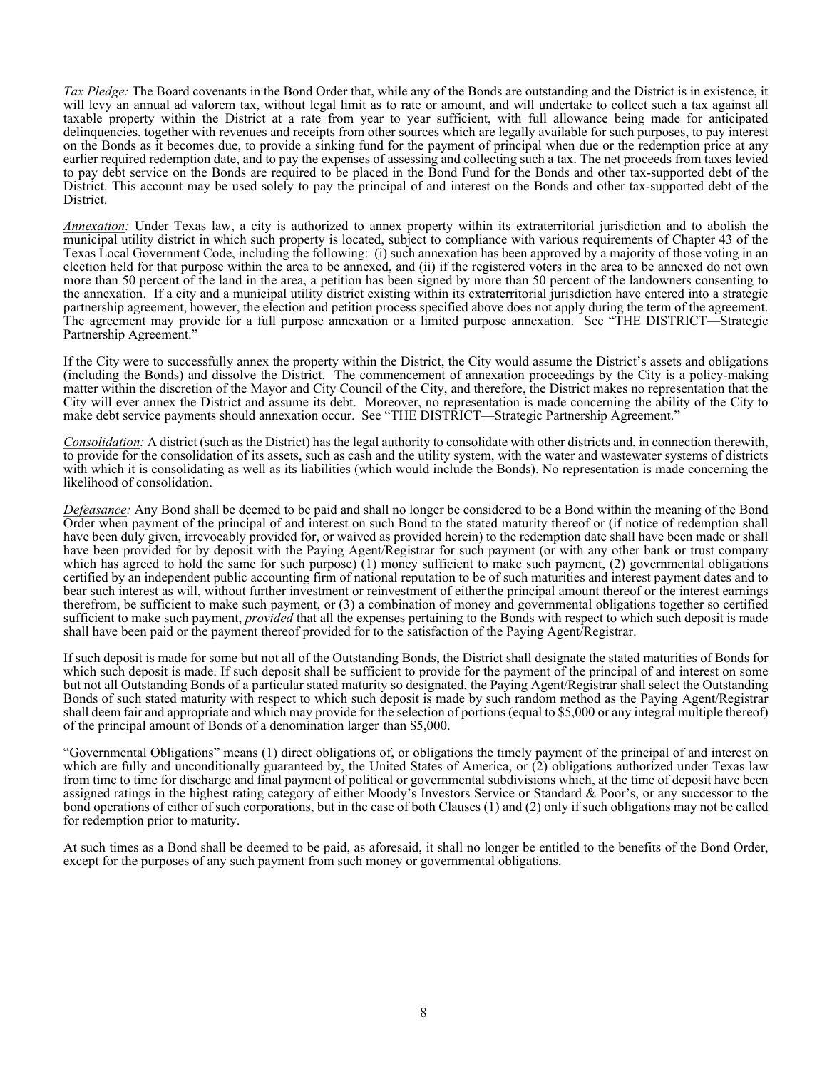*Tax Pledge:* The Board covenants in the Bond Order that, while any of the Bonds are outstanding and the District is in existence, it will levy an annual ad valorem tax, without legal limit as to rate or amount, and will undertake to collect such a tax against all taxable property within the District at a rate from year to year sufficient, with full allowance being made for anticipated delinquencies, together with revenues and receipts from other sources which are legally available for such purposes, to pay interest on the Bonds as it becomes due, to provide a sinking fund for the payment of principal when due or the redemption price at any earlier required redemption date, and to pay the expenses of assessing and collecting such a tax. The net proceeds from taxes levied to pay debt service on the Bonds are required to be placed in the Bond Fund for the Bonds and other tax-supported debt of the District. This account may be used solely to pay the principal of and interest on the Bonds and other tax-supported debt of the District.

*Annexation:* Under Texas law, a city is authorized to annex property within its extraterritorial jurisdiction and to abolish the municipal utility district in which such property is located, subject to compliance with various requirements of Chapter 43 of the Texas Local Government Code, including the following: (i) such annexation has been approved by a majority of those voting in an election held for that purpose within the area to be annexed, and (ii) if the registered voters in the area to be annexed do not own more than 50 percent of the land in the area, a petition has been signed by more than 50 percent of the landowners consenting to the annexation. If a city and a municipal utility district existing within its extraterritorial jurisdiction have entered into a strategic partnership agreement, however, the election and petition process specified above does not apply during the term of the agreement. The agreement may provide for a full purpose annexation or a limited purpose annexation. See "THE DISTRICT—Strategic Partnership Agreement."

If the City were to successfully annex the property within the District, the City would assume the District's assets and obligations (including the Bonds) and dissolve the District. The commencement of annexation proceedings by the City is a policy-making matter within the discretion of the Mayor and City Council of the City, and therefore, the District makes no representation that the City will ever annex the District and assume its debt. Moreover, no representation is made concerning the ability of the City to make debt service payments should annexation occur. See "THE DISTRICT—Strategic Partnership Agreement."

*Consolidation:* A district (such as the District) has the legal authority to consolidate with other districts and, in connection therewith, to provide for the consolidation of its assets, such as cash and the utility system, with the water and wastewater systems of districts with which it is consolidating as well as its liabilities (which would include the Bonds). No representation is made concerning the likelihood of consolidation.

*Defeasance:* Any Bond shall be deemed to be paid and shall no longer be considered to be a Bond within the meaning of the Bond Order when payment of the principal of and interest on such Bond to the stated maturity thereof or (if notice of redemption shall have been duly given, irrevocably provided for, or waived as provided herein) to the redemption date shall have been made or shall have been provided for by deposit with the Paying Agent/Registrar for such payment (or with any other bank or trust company which has agreed to hold the same for such purpose) (1) money sufficient to make such payment, (2) governmental obligations certified by an independent public accounting firm of national reputation to be of such maturities and interest payment dates and to bear such interest as will, without further investment or reinvestment of either the principal amount thereof or the interest earnings therefrom, be sufficient to make such payment, or (3) a combination of money and governmental obligations together so certified sufficient to make such payment, *provided* that all the expenses pertaining to the Bonds with respect to which such deposit is made shall have been paid or the payment thereof provided for to the satisfaction of the Paying Agent/Registrar.

If such deposit is made for some but not all of the Outstanding Bonds, the District shall designate the stated maturities of Bonds for which such deposit is made. If such deposit shall be sufficient to provide for the payment of the principal of and interest on some but not all Outstanding Bonds of a particular stated maturity so designated, the Paying Agent/Registrar shall select the Outstanding Bonds of such stated maturity with respect to which such deposit is made by such random method as the Paying Agent/Registrar shall deem fair and appropriate and which may provide for the selection of portions (equal to \$5,000 or any integral multiple thereof) of the principal amount of Bonds of a denomination larger than \$5,000.

"Governmental Obligations" means (1) direct obligations of, or obligations the timely payment of the principal of and interest on which are fully and unconditionally guaranteed by, the United States of America, or (2) obligations authorized under Texas law from time to time for discharge and final payment of political or governmental subdivisions which, at the time of deposit have been assigned ratings in the highest rating category of either Moody's Investors Service or Standard & Poor's, or any successor to the bond operations of either of such corporations, but in the case of both Clauses (1) and (2) only if such obligations may not be called for redemption prior to maturity.

At such times as a Bond shall be deemed to be paid, as aforesaid, it shall no longer be entitled to the benefits of the Bond Order, except for the purposes of any such payment from such money or governmental obligations.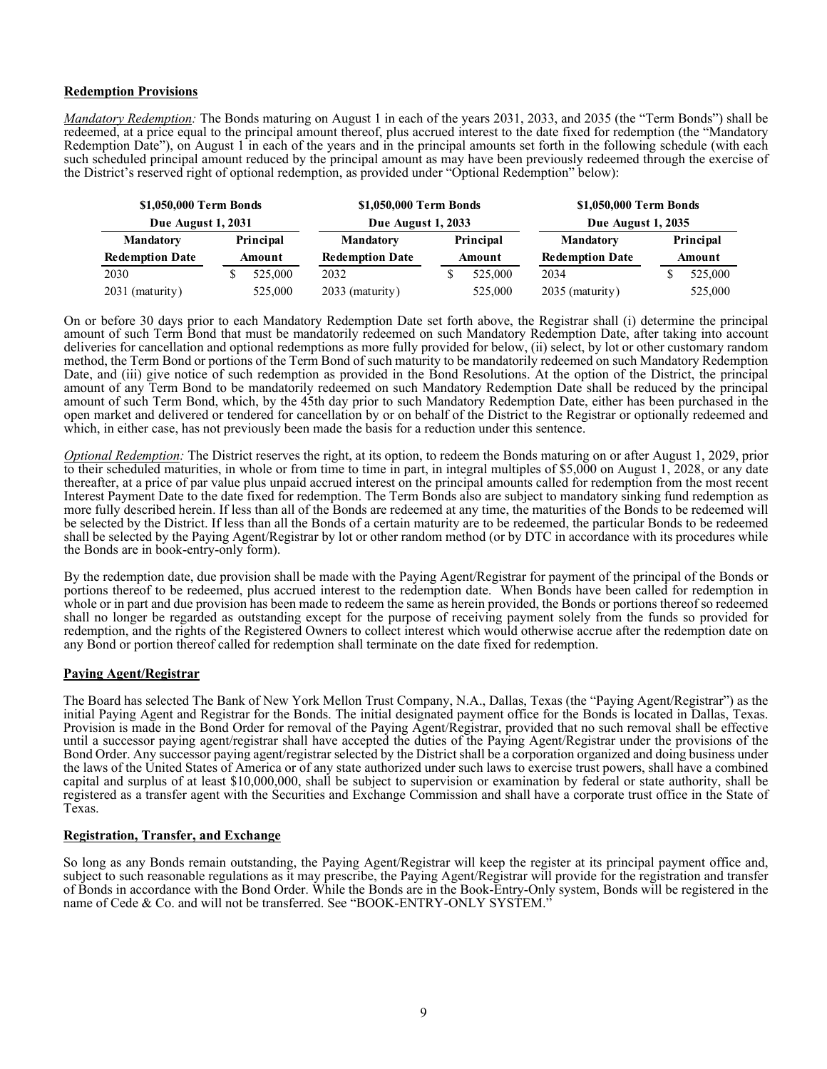### **Redemption Provisions**

*Mandatory Redemption:* The Bonds maturing on August 1 in each of the years 2031, 2033, and 2035 (the "Term Bonds") shall be redeemed, at a price equal to the principal amount thereof, plus accrued interest to the date fixed for redemption (the "Mandatory Redemption Date"), on August 1 in each of the years and in the principal amounts set forth in the following schedule (with each such scheduled principal amount reduced by the principal amount as may have been previously redeemed through the exercise of the District's reserved right of optional redemption, as provided under "Optional Redemption" below):

| \$1,050,000 Term Bonds<br><b>Due August 1, 2031</b> |        |         | \$1,050,000 Term Bonds<br><b>Due August 1, 2033</b> |                     |         | \$1,050,000 Term Bonds    |        |           |  |
|-----------------------------------------------------|--------|---------|-----------------------------------------------------|---------------------|---------|---------------------------|--------|-----------|--|
|                                                     |        |         |                                                     |                     |         | <b>Due August 1, 2035</b> |        |           |  |
| Principal<br><b>Mandatory</b>                       |        |         | <b>Mandatory</b>                                    | Principal<br>Amount |         | <b>Mandatory</b>          |        | Principal |  |
| <b>Redemption Date</b>                              | Amount |         | <b>Redemption Date</b>                              |                     |         | <b>Redemption Date</b>    | Amount |           |  |
| 2030                                                |        | 525,000 | 2032                                                |                     | 525,000 | 2034                      |        | 525,000   |  |
| 2031 (maturity)                                     |        | 525,000 | 2033 (maturity)                                     |                     | 525,000 | $2035$ (maturity)         |        | 525,000   |  |

On or before 30 days prior to each Mandatory Redemption Date set forth above, the Registrar shall (i) determine the principal amount of such Term Bond that must be mandatorily redeemed on such Mandatory Redemption Date, after taking into account deliveries for cancellation and optional redemptions as more fully provided for below, (ii) select, by lot or other customary random method, the Term Bond or portions of the Term Bond of such maturity to be mandatorily redeemed on such Mandatory Redemption Date, and (iii) give notice of such redemption as provided in the Bond Resolutions. At the option of the District, the principal amount of any Term Bond to be mandatorily redeemed on such Mandatory Redemption Date shall be reduced by the principal amount of such Term Bond, which, by the 45th day prior to such Mandatory Redemption Date, either has been purchased in the open market and delivered or tendered for cancellation by or on behalf of the District to the Registrar or optionally redeemed and which, in either case, has not previously been made the basis for a reduction under this sentence.

*Optional Redemption:* The District reserves the right, at its option, to redeem the Bonds maturing on or after August 1, 2029, prior to their scheduled maturities, in whole or from time to time in part, in integral multiples of \$5,000 on August 1, 2028, or any date thereafter, at a price of par value plus unpaid accrued interest on the principal amounts called for redemption from the most recent Interest Payment Date to the date fixed for redemption. The Term Bonds also are subject to mandatory sinking fund redemption as more fully described herein. If less than all of the Bonds are redeemed at any time, the maturities of the Bonds to be redeemed will be selected by the District. If less than all the Bonds of a certain maturity are to be redeemed, the particular Bonds to be redeemed shall be selected by the Paying Agent/Registrar by lot or other random method (or by DTC in accordance with its procedures while the Bonds are in book-entry-only form).

By the redemption date, due provision shall be made with the Paying Agent/Registrar for payment of the principal of the Bonds or portions thereof to be redeemed, plus accrued interest to the redemption date. When Bonds have been called for redemption in whole or in part and due provision has been made to redeem the same as herein provided, the Bonds or portions thereof so redeemed shall no longer be regarded as outstanding except for the purpose of receiving payment solely from the funds so provided for redemption, and the rights of the Registered Owners to collect interest which would otherwise accrue after the redemption date on any Bond or portion thereof called for redemption shall terminate on the date fixed for redemption.

#### **Paying Agent/Registrar**

The Board has selected The Bank of New York Mellon Trust Company, N.A., Dallas, Texas (the "Paying Agent/Registrar") as the initial Paying Agent and Registrar for the Bonds. The initial designated payment office for the Bonds is located in Dallas, Texas. Provision is made in the Bond Order for removal of the Paying Agent/Registrar, provided that no such removal shall be effective until a successor paying agent/registrar shall have accepted the duties of the Paying Agent/Registrar under the provisions of the Bond Order. Any successor paying agent/registrar selected by the District shall be a corporation organized and doing business under the laws of the United States of America or of any state authorized under such laws to exercise trust powers, shall have a combined capital and surplus of at least \$10,000,000, shall be subject to supervision or examination by federal or state authority, shall be registered as a transfer agent with the Securities and Exchange Commission and shall have a corporate trust office in the State of Texas.

#### **Registration, Transfer, and Exchange**

So long as any Bonds remain outstanding, the Paying Agent/Registrar will keep the register at its principal payment office and, subject to such reasonable regulations as it may prescribe, the Paying Agent/Registrar will provide for the registration and transfer of Bonds in accordance with the Bond Order. While the Bonds are in the Book-Entry-Only system, Bonds will be registered in the name of Cede & Co. and will not be transferred. See "BOOK-ENTRY-ONLY SYSTEM."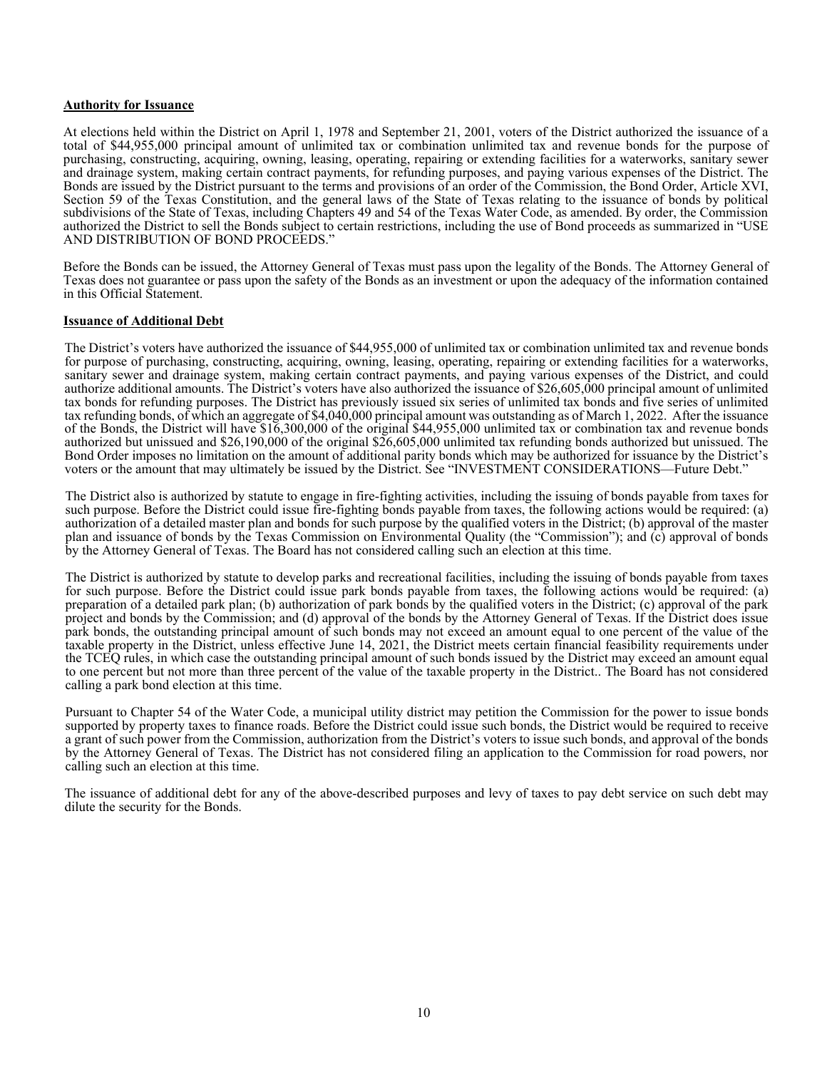#### **Authority for Issuance**

At elections held within the District on April 1, 1978 and September 21, 2001, voters of the District authorized the issuance of a total of \$44,955,000 principal amount of unlimited tax or combination unlimited tax and revenue bonds for the purpose of purchasing, constructing, acquiring, owning, leasing, operating, repairing or extending facilities for a waterworks, sanitary sewer and drainage system, making certain contract payments, for refunding purposes, and paying various expenses of the District. The Bonds are issued by the District pursuant to the terms and provisions of an order of the Commission, the Bond Order, Article XVI, Section 59 of the Texas Constitution, and the general laws of the State of Texas relating to the issuance of bonds by political subdivisions of the State of Texas, including Chapters 49 and 54 of the Texas Water Code, as amended. By order, the Commission authorized the District to sell the Bonds subject to certain restrictions, including the use of Bond proceeds as summarized in "USE AND DISTRIBUTION OF BOND PROCEEDS."

Before the Bonds can be issued, the Attorney General of Texas must pass upon the legality of the Bonds. The Attorney General of Texas does not guarantee or pass upon the safety of the Bonds as an investment or upon the adequacy of the information contained in this Official Statement.

#### **Issuance of Additional Debt**

The District's voters have authorized the issuance of \$44,955,000 of unlimited tax or combination unlimited tax and revenue bonds for purpose of purchasing, constructing, acquiring, owning, leasing, operating, repairing or extending facilities for a waterworks, sanitary sewer and drainage system, making certain contract payments, and paying various expenses of the District, and could authorize additional amounts. The District's voters have also authorized the issuance of \$26,605,000 principal amount of unlimited tax bonds for refunding purposes. The District has previously issued six series of unlimited tax bonds and five series of unlimited tax refunding bonds, of which an aggregate of \$4,040,000 principal amount was outstanding as of March 1, 2022. After the issuance of the Bonds, the District will have \$16,300,000 of the original \$44,955,000 unlimited tax or combination tax and revenue bonds authorized but unissued and \$26,190,000 of the original \$26,605,000 unlimited tax refunding bonds authorized but unissued. The Bond Order imposes no limitation on the amount of additional parity bonds which may be authorized for issuance by the District's voters or the amount that may ultimately be issued by the District. See "INVESTMENT CONSIDERATIONS—Future Debt."

The District also is authorized by statute to engage in fire-fighting activities, including the issuing of bonds payable from taxes for such purpose. Before the District could issue fire-fighting bonds payable from taxes, the following actions would be required: (a) authorization of a detailed master plan and bonds for such purpose by the qualified voters in the District; (b) approval of the master plan and issuance of bonds by the Texas Commission on Environmental Quality (the "Commission"); and (c) approval of bonds by the Attorney General of Texas. The Board has not considered calling such an election at this time.

The District is authorized by statute to develop parks and recreational facilities, including the issuing of bonds payable from taxes for such purpose. Before the District could issue park bonds payable from taxes, the following actions would be required: (a) preparation of a detailed park plan; (b) authorization of park bonds by the qualified voters in the District; (c) approval of the park project and bonds by the Commission; and (d) approval of the bonds by the Attorney General of Texas. If the District does issue park bonds, the outstanding principal amount of such bonds may not exceed an amount equal to one percent of the value of the taxable property in the District, unless effective June 14, 2021, the District meets certain financial feasibility requirements under the TCEQ rules, in which case the outstanding principal amount of such bonds issued by the District may exceed an amount equal to one percent but not more than three percent of the value of the taxable property in the District.. The Board has not considered calling a park bond election at this time.

Pursuant to Chapter 54 of the Water Code, a municipal utility district may petition the Commission for the power to issue bonds supported by property taxes to finance roads. Before the District could issue such bonds, the District would be required to receive a grant of such power from the Commission, authorization from the District's voters to issue such bonds, and approval of the bonds by the Attorney General of Texas. The District has not considered filing an application to the Commission for road powers, nor calling such an election at this time.

The issuance of additional debt for any of the above-described purposes and levy of taxes to pay debt service on such debt may dilute the security for the Bonds.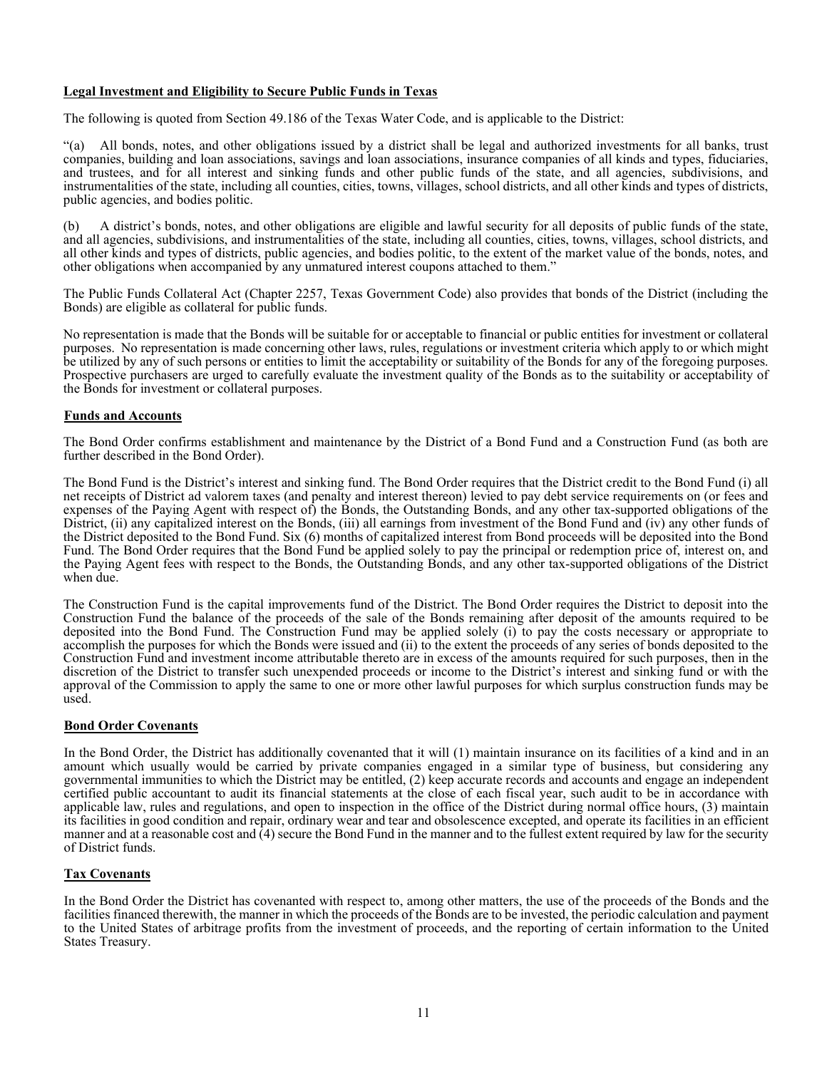## **Legal Investment and Eligibility to Secure Public Funds in Texas**

The following is quoted from Section 49.186 of the Texas Water Code, and is applicable to the District:

"(a) All bonds, notes, and other obligations issued by a district shall be legal and authorized investments for all banks, trust companies, building and loan associations, savings and loan associations, insurance companies of all kinds and types, fiduciaries, and trustees, and for all interest and sinking funds and other public funds of the state, and all agencies, subdivisions, and instrumentalities of the state, including all counties, cities, towns, villages, school districts, and all other kinds and types of districts, public agencies, and bodies politic.

(b) A district's bonds, notes, and other obligations are eligible and lawful security for all deposits of public funds of the state, and all agencies, subdivisions, and instrumentalities of the state, including all counties, cities, towns, villages, school districts, and all other kinds and types of districts, public agencies, and bodies politic, to the extent of the market value of the bonds, notes, and other obligations when accompanied by any unmatured interest coupons attached to them."

The Public Funds Collateral Act (Chapter 2257, Texas Government Code) also provides that bonds of the District (including the Bonds) are eligible as collateral for public funds.

No representation is made that the Bonds will be suitable for or acceptable to financial or public entities for investment or collateral purposes. No representation is made concerning other laws, rules, regulations or investment criteria which apply to or which might be utilized by any of such persons or entities to limit the acceptability or suitability of the Bonds for any of the foregoing purposes. Prospective purchasers are urged to carefully evaluate the investment quality of the Bonds as to the suitability or acceptability of the Bonds for investment or collateral purposes.

## **Funds and Accounts**

The Bond Order confirms establishment and maintenance by the District of a Bond Fund and a Construction Fund (as both are further described in the Bond Order).

The Bond Fund is the District's interest and sinking fund. The Bond Order requires that the District credit to the Bond Fund (i) all net receipts of District ad valorem taxes (and penalty and interest thereon) levied to pay debt service requirements on (or fees and expenses of the Paying Agent with respect of) the Bonds, the Outstanding Bonds, and any other tax-supported obligations of the District, (ii) any capitalized interest on the Bonds, (iii) all earnings from investment of the Bond Fund and (iv) any other funds of the District deposited to the Bond Fund. Six (6) months of capitalized interest from Bond proceeds will be deposited into the Bond Fund. The Bond Order requires that the Bond Fund be applied solely to pay the principal or redemption price of, interest on, and the Paying Agent fees with respect to the Bonds, the Outstanding Bonds, and any other tax-supported obligations of the District when due.

The Construction Fund is the capital improvements fund of the District. The Bond Order requires the District to deposit into the Construction Fund the balance of the proceeds of the sale of the Bonds remaining after deposit of the amounts required to be deposited into the Bond Fund. The Construction Fund may be applied solely (i) to pay the costs necessary or appropriate to accomplish the purposes for which the Bonds were issued and (ii) to the extent the proceeds of any series of bonds deposited to the Construction Fund and investment income attributable thereto are in excess of the amounts required for such purposes, then in the discretion of the District to transfer such unexpended proceeds or income to the District's interest and sinking fund or with the approval of the Commission to apply the same to one or more other lawful purposes for which surplus construction funds may be used.

#### **Bond Order Covenants**

In the Bond Order, the District has additionally covenanted that it will (1) maintain insurance on its facilities of a kind and in an amount which usually would be carried by private companies engaged in a similar type of business, but considering any governmental immunities to which the District may be entitled, (2) keep accurate records and accounts and engage an independent certified public accountant to audit its financial statements at the close of each fiscal year, such audit to be in accordance with applicable law, rules and regulations, and open to inspection in the office of the District during normal office hours, (3) maintain its facilities in good condition and repair, ordinary wear and tear and obsolescence excepted, and operate its facilities in an efficient manner and at a reasonable cost and (4) secure the Bond Fund in the manner and to the fullest extent required by law for the security of District funds.

#### **Tax Covenants**

In the Bond Order the District has covenanted with respect to, among other matters, the use of the proceeds of the Bonds and the facilities financed therewith, the manner in which the proceeds of the Bonds are to be invested, the periodic calculation and payment to the United States of arbitrage profits from the investment of proceeds, and the reporting of certain information to the United States Treasury.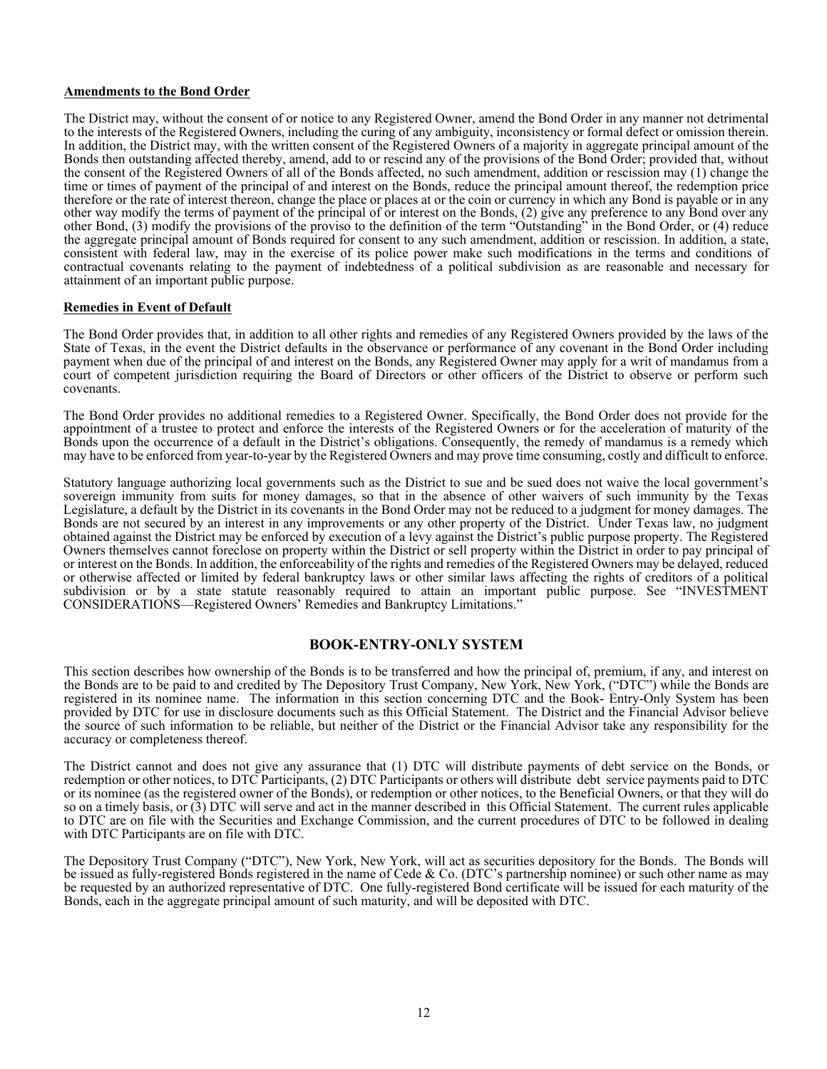### **Amendments to the Bond Order**

The District may, without the consent of or notice to any Registered Owner, amend the Bond Order in any manner not detrimental to the interests of the Registered Owners, including the curing of any ambiguity, inconsistency or formal defect or omission therein. In addition, the District may, with the written consent of the Registered Owners of a majority in aggregate principal amount of the Bonds then outstanding affected thereby, amend, add to or rescind any of the provisions of the Bond Order; provided that, without the consent of the Registered Owners of all of the Bonds affected, no such amendment, addition or rescission may (1) change the time or times of payment of the principal of and interest on the Bonds, reduce the principal amount thereof, the redemption price therefore or the rate of interest thereon, change the place or places at or the coin or currency in which any Bond is payable or in any other way modify the terms of payment of the principal of or interest on the Bonds, (2) give any preference to any Bond over any other Bond, (3) modify the provisions of the proviso to the definition of the term "Outstanding" in the Bond Order, or (4) reduce the aggregate principal amount of Bonds required for consent to any such amendment, addition or rescission. In addition, a state, consistent with federal law, may in the exercise of its police power make such modifications in the terms and conditions of contractual covenants relating to the payment of indebtedness of a political subdivision as are reasonable and necessary for attainment of an important public purpose.

#### **Remedies in Event of Default**

The Bond Order provides that, in addition to all other rights and remedies of any Registered Owners provided by the laws of the State of Texas, in the event the District defaults in the observance or performance of any covenant in the Bond Order including payment when due of the principal of and interest on the Bonds, any Registered Owner may apply for a writ of mandamus from a court of competent jurisdiction requiring the Board of Directors or other officers of the District to observe or perform such covenants.

The Bond Order provides no additional remedies to a Registered Owner. Specifically, the Bond Order does not provide for the appointment of a trustee to protect and enforce the interests of the Registered Owners or for the acceleration of maturity of the Bonds upon the occurrence of a default in the District's obligations. Consequently, the remedy of mandamus is a remedy which may have to be enforced from year-to-year by the Registered Owners and may prove time consuming, costly and difficult to enforce.

Statutory language authorizing local governments such as the District to sue and be sued does not waive the local government's sovereign immunity from suits for money damages, so that in the absence of other waivers of such immunity by the Texas Legislature, a default by the District in its covenants in the Bond Order may not be reduced to a judgment for money damages. The Bonds are not secured by an interest in any improvements or any other property of the District. Under Texas law, no judgment obtained against the District may be enforced by execution of a levy against the District's public purpose property. The Registered Owners themselves cannot foreclose on property within the District or sell property within the District in order to pay principal of or interest on the Bonds. In addition, the enforceability of the rights and remedies of the Registered Owners may be delayed, reduced or otherwise affected or limited by federal bankruptcy laws or other similar laws affecting the rights of creditors of a political subdivision or by a state statute reasonably required to attain an important public purpose. See "INVESTMENT CONSIDERATIONS—Registered Owners' Remedies and Bankruptcy Limitations."

## **BOOK-ENTRY-ONLY SYSTEM**

This section describes how ownership of the Bonds is to be transferred and how the principal of, premium, if any, and interest on the Bonds are to be paid to and credited by The Depository Trust Company, New York, New York, ("DTC") while the Bonds are registered in its nominee name. The information in this section concerning DTC and the Book- Entry-Only System has been provided by DTC for use in disclosure documents such as this Official Statement. The District and the Financial Advisor believe the source of such information to be reliable, but neither of the District or the Financial Advisor take any responsibility for the accuracy or completeness thereof.

The District cannot and does not give any assurance that (1) DTC will distribute payments of debt service on the Bonds, or redemption or other notices, to DTC Participants, (2) DTC Participants or others will distribute debt service payments paid to DTC or its nominee (as the registered owner of the Bonds), or redemption or other notices, to the Beneficial Owners, or that they will do so on a timely basis, or (3) DTC will serve and act in the manner described in this Official Statement. The current rules applicable to DTC are on file with the Securities and Exchange Commission, and the current procedures of DTC to be followed in dealing with DTC Participants are on file with DTC.

The Depository Trust Company ("DTC"), New York, New York, will act as securities depository for the Bonds. The Bonds will be issued as fully-registered Bonds registered in the name of Cede & Co. (DTC's partnership nominee) or such other name as may be requested by an authorized representative of DTC. One fully-registered Bond certificate will be issued for each maturity of the Bonds, each in the aggregate principal amount of such maturity, and will be deposited with DTC.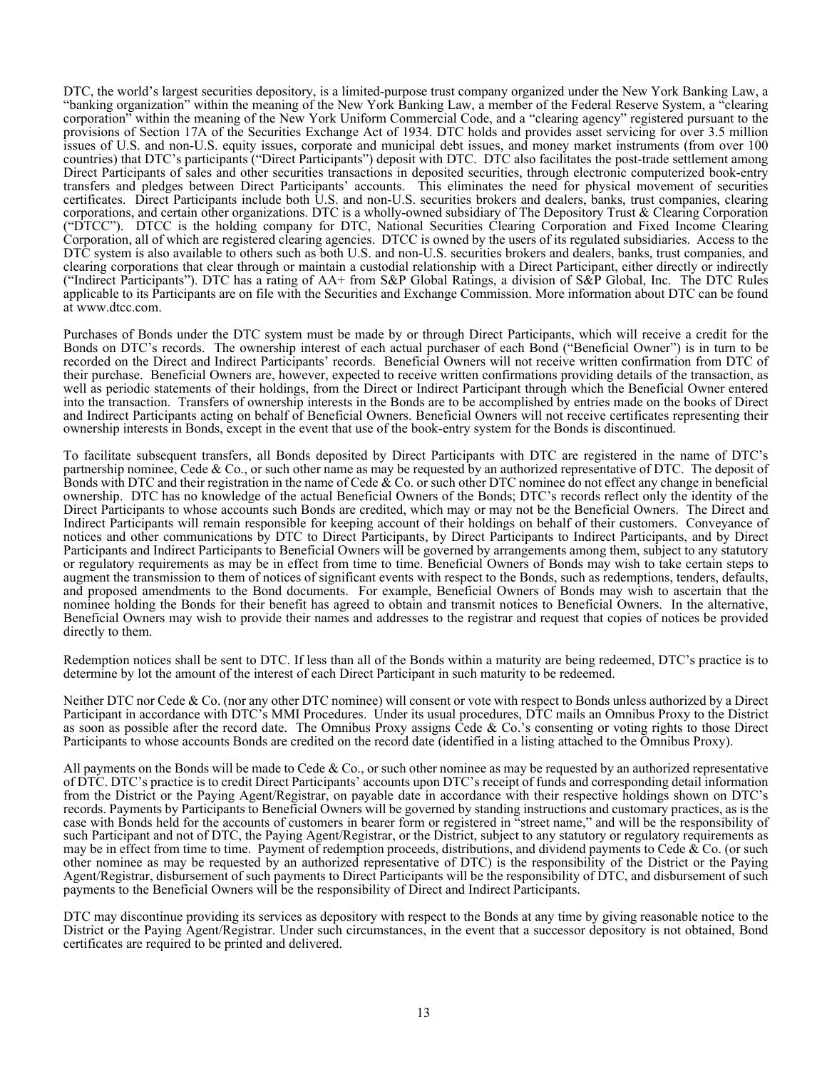DTC, the world's largest securities depository, is a limited-purpose trust company organized under the New York Banking Law, a "banking organization" within the meaning of the New York Banking Law, a member of the Federal Reserve System, a "clearing corporation" within the meaning of the New York Uniform Commercial Code, and a "clearing agency" registered pursuant to the provisions of Section 17A of the Securities Exchange Act of 1934. DTC holds and provides asset servicing for over 3.5 million issues of U.S. and non-U.S. equity issues, corporate and municipal debt issues, and money market instruments (from over 100 countries) that DTC's participants ("Direct Participants") deposit with DTC. DTC also facilitates the post-trade settlement among Direct Participants of sales and other securities transactions in deposited securities, through electronic computerized book-entry transfers and pledges between Direct Participants' accounts. This eliminates the need for physical movement of securities certificates. Direct Participants include both U.S. and non-U.S. securities brokers and dealers, banks, trust companies, clearing corporations, and certain other organizations. DTC is a wholly-owned subsidiary of The Depository Trust & Clearing Corporation ("DTCC"). DTCC is the holding company for DTC, National Securities Clearing Corporation and Fixed Income Clearing Corporation, all of which are registered clearing agencies. DTCC is owned by the users of its regulated subsidiaries. Access to the DTC system is also available to others such as both U.S. and non-U.S. securities brokers and dealers, banks, trust companies, and clearing corporations that clear through or maintain a custodial relationship with a Direct Participant, either directly or indirectly ("Indirect Participants"). DTC has a rating of AA+ from S&P Global Ratings, a division of S&P Global, Inc. The DTC Rules applicable to its Participants are on file with the Securities and Exchange Commission. More information about DTC can be found at www.dtcc.com.

Purchases of Bonds under the DTC system must be made by or through Direct Participants, which will receive a credit for the Bonds on DTC's records. The ownership interest of each actual purchaser of each Bond ("Beneficial Owner") is in turn to be recorded on the Direct and Indirect Participants' records. Beneficial Owners will not receive written confirmation from DTC of their purchase. Beneficial Owners are, however, expected to receive written confirmations providing details of the transaction, as well as periodic statements of their holdings, from the Direct or Indirect Participant through which the Beneficial Owner entered into the transaction. Transfers of ownership interests in the Bonds are to be accomplished by entries made on the books of Direct and Indirect Participants acting on behalf of Beneficial Owners. Beneficial Owners will not receive certificates representing their ownership interests in Bonds, except in the event that use of the book-entry system for the Bonds is discontinued.

To facilitate subsequent transfers, all Bonds deposited by Direct Participants with DTC are registered in the name of DTC's partnership nominee, Cede & Co., or such other name as may be requested by an authorized representative of DTC. The deposit of Bonds with DTC and their registration in the name of Cede  $\&$  Co. or such other DTC nominee do not effect any change in beneficial ownership. DTC has no knowledge of the actual Beneficial Owners of the Bonds; DTC's records reflect only the identity of the Direct Participants to whose accounts such Bonds are credited, which may or may not be the Beneficial Owners. The Direct and Indirect Participants will remain responsible for keeping account of their holdings on behalf of their customers. Conveyance of notices and other communications by DTC to Direct Participants, by Direct Participants to Indirect Participants, and by Direct Participants and Indirect Participants to Beneficial Owners will be governed by arrangements among them, subject to any statutory or regulatory requirements as may be in effect from time to time. Beneficial Owners of Bonds may wish to take certain steps to augment the transmission to them of notices of significant events with respect to the Bonds, such as redemptions, tenders, defaults, and proposed amendments to the Bond documents. For example, Beneficial Owners of Bonds may wish to ascertain that the nominee holding the Bonds for their benefit has agreed to obtain and transmit notices to Beneficial Owners. In the alternative, Beneficial Owners may wish to provide their names and addresses to the registrar and request that copies of notices be provided directly to them.

Redemption notices shall be sent to DTC. If less than all of the Bonds within a maturity are being redeemed, DTC's practice is to determine by lot the amount of the interest of each Direct Participant in such maturity to be redeemed.

Neither DTC nor Cede & Co. (nor any other DTC nominee) will consent or vote with respect to Bonds unless authorized by a Direct Participant in accordance with DTC's MMI Procedures. Under its usual procedures, DTC mails an Omnibus Proxy to the District as soon as possible after the record date. The Omnibus Proxy assigns Cede & Co.'s consenting or voting rights to those Direct Participants to whose accounts Bonds are credited on the record date (identified in a listing attached to the Omnibus Proxy).

All payments on the Bonds will be made to Cede  $& Co., or such other nomine as may be requested by an authorized representative$ of DTC. DTC's practice is to credit Direct Participants' accounts upon DTC's receipt of funds and corresponding detail information from the District or the Paying Agent/Registrar, on payable date in accordance with their respective holdings shown on DTC's records. Payments by Participants to Beneficial Owners will be governed by standing instructions and customary practices, as is the case with Bonds held for the accounts of customers in bearer form or registered in "street name," and will be the responsibility of such Participant and not of DTC, the Paying Agent/Registrar, or the District, subject to any statutory or regulatory requirements as may be in effect from time to time. Payment of redemption proceeds, distributions, and dividend payments to Cede  $\&$  Co. (or such other nominee as may be requested by an authorized representative of DTC) is the responsibility of the District or the Paying Agent/Registrar, disbursement of such payments to Direct Participants will be the responsibility of DTC, and disbursement of such payments to the Beneficial Owners will be the responsibility of Direct and Indirect Participants.

DTC may discontinue providing its services as depository with respect to the Bonds at any time by giving reasonable notice to the District or the Paying Agent/Registrar. Under such circumstances, in the event that a successor depository is not obtained, Bond certificates are required to be printed and delivered.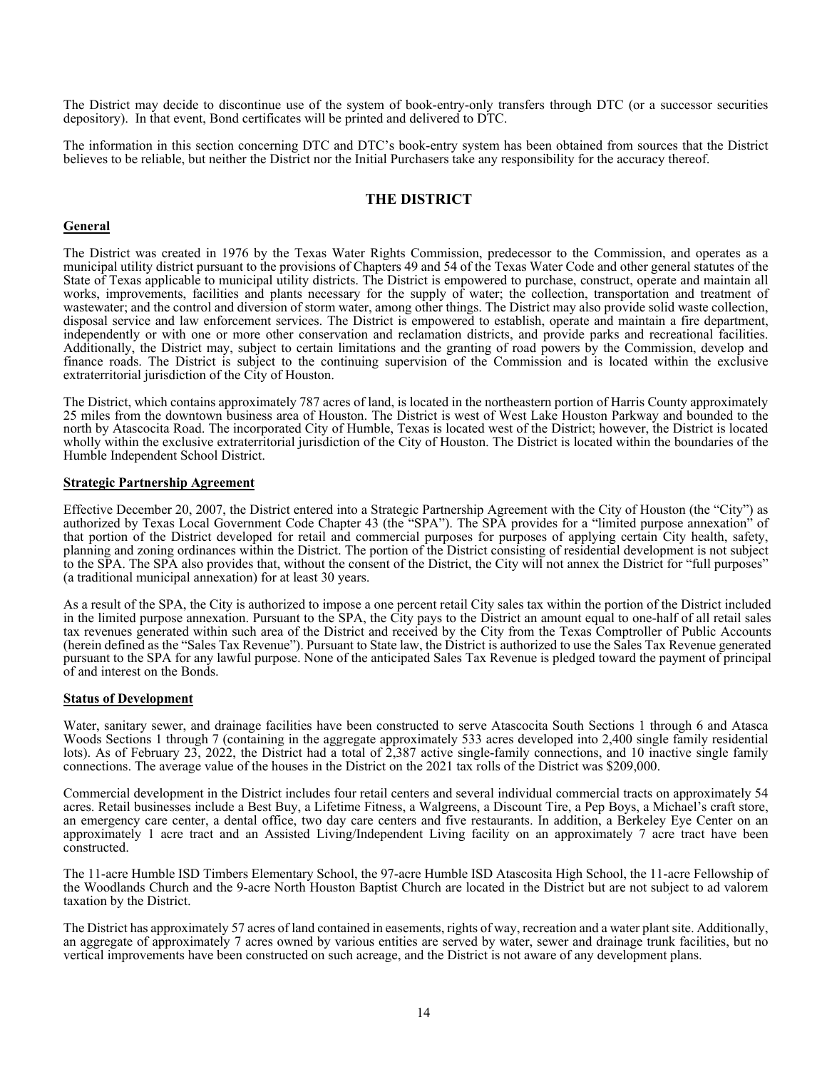The District may decide to discontinue use of the system of book-entry-only transfers through DTC (or a successor securities depository). In that event, Bond certificates will be printed and delivered to DTC.

The information in this section concerning DTC and DTC's book-entry system has been obtained from sources that the District believes to be reliable, but neither the District nor the Initial Purchasers take any responsibility for the accuracy thereof.

## **THE DISTRICT**

### **General**

The District was created in 1976 by the Texas Water Rights Commission, predecessor to the Commission, and operates as a municipal utility district pursuant to the provisions of Chapters 49 and 54 of the Texas Water Code and other general statutes of the State of Texas applicable to municipal utility districts. The District is empowered to purchase, construct, operate and maintain all works, improvements, facilities and plants necessary for the supply of water; the collection, transportation and treatment of wastewater; and the control and diversion of storm water, among other things. The District may also provide solid waste collection, disposal service and law enforcement services. The District is empowered to establish, operate and maintain a fire department, independently or with one or more other conservation and reclamation districts, and provide parks and recreational facilities. Additionally, the District may, subject to certain limitations and the granting of road powers by the Commission, develop and finance roads. The District is subject to the continuing supervision of the Commission and is located within the exclusive extraterritorial jurisdiction of the City of Houston.

The District, which contains approximately 787 acres of land, is located in the northeastern portion of Harris County approximately 25 miles from the downtown business area of Houston. The District is west of West Lake Houston Parkway and bounded to the north by Atascocita Road. The incorporated City of Humble, Texas is located west of the District; however, the District is located wholly within the exclusive extraterritorial jurisdiction of the City of Houston. The District is located within the boundaries of the Humble Independent School District.

#### **Strategic Partnership Agreement**

Effective December 20, 2007, the District entered into a Strategic Partnership Agreement with the City of Houston (the "City") as authorized by Texas Local Government Code Chapter 43 (the "SPA"). The SPA provides for a "limited purpose annexation" of that portion of the District developed for retail and commercial purposes for purposes of applying certain City health, safety, planning and zoning ordinances within the District. The portion of the District consisting of residential development is not subject to the SPA. The SPA also provides that, without the consent of the District, the City will not annex the District for "full purposes" (a traditional municipal annexation) for at least 30 years.

As a result of the SPA, the City is authorized to impose a one percent retail City sales tax within the portion of the District included in the limited purpose annexation. Pursuant to the SPA, the City pays to the District an amount equal to one-half of all retail sales tax revenues generated within such area of the District and received by the City from the Texas Comptroller of Public Accounts (herein defined as the "Sales Tax Revenue"). Pursuant to State law, the District is authorized to use the Sales Tax Revenue generated pursuant to the SPA for any lawful purpose. None of the anticipated Sales Tax Revenue is pledged toward the payment of principal of and interest on the Bonds.

#### **Status of Development**

Water, sanitary sewer, and drainage facilities have been constructed to serve Atascocita South Sections 1 through 6 and Atasca Woods Sections 1 through 7 (containing in the aggregate approximately 533 acres developed into 2,400 single family residential lots). As of February 23, 2022, the District had a total of 2,387 active single-family connections, and 10 inactive single family connections. The average value of the houses in the District on the 2021 tax rolls of the District was \$209,000.

Commercial development in the District includes four retail centers and several individual commercial tracts on approximately 54 acres. Retail businesses include a Best Buy, a Lifetime Fitness, a Walgreens, a Discount Tire, a Pep Boys, a Michael's craft store, an emergency care center, a dental office, two day care centers and five restaurants. In addition, a Berkeley Eye Center on an approximately 1 acre tract and an Assisted Living/Independent Living facility on an approximately 7 acre tract have been constructed.

The 11-acre Humble ISD Timbers Elementary School, the 97-acre Humble ISD Atascosita High School, the 11-acre Fellowship of the Woodlands Church and the 9-acre North Houston Baptist Church are located in the District but are not subject to ad valorem taxation by the District.

The District has approximately 57 acres of land contained in easements, rights of way, recreation and a water plant site. Additionally, an aggregate of approximately 7 acres owned by various entities are served by water, sewer and drainage trunk facilities, but no vertical improvements have been constructed on such acreage, and the District is not aware of any development plans.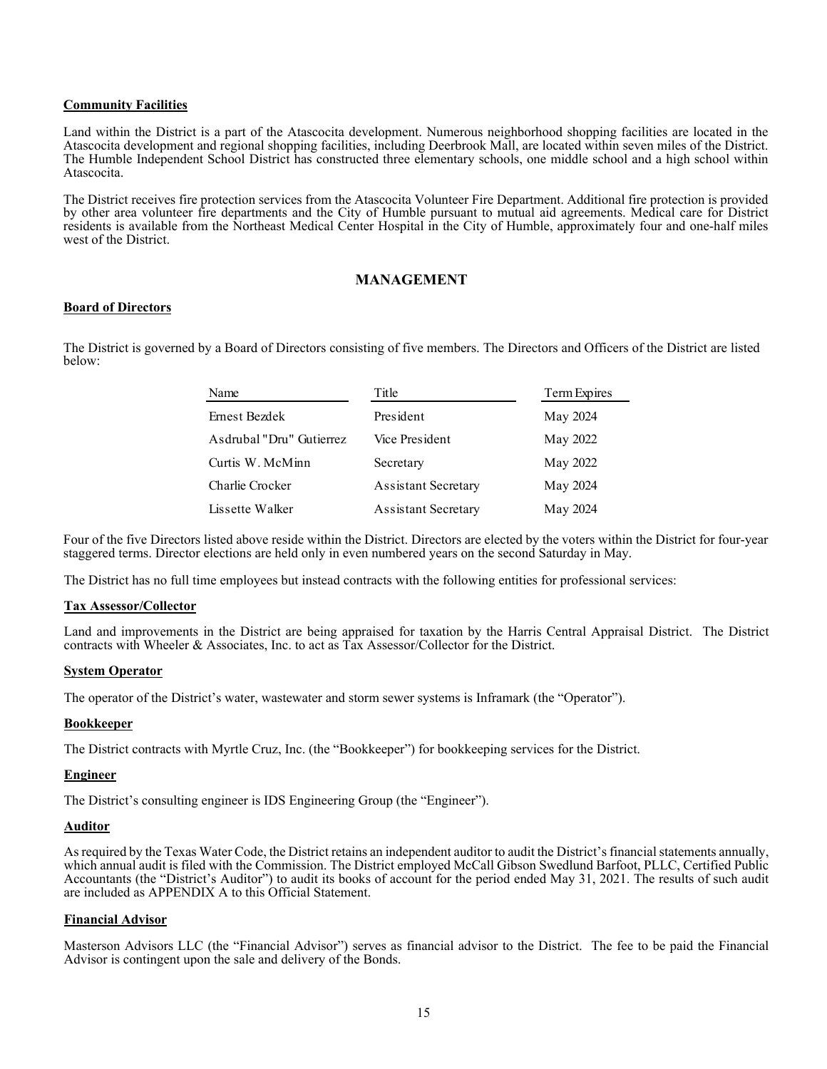## **Community Facilities**

Land within the District is a part of the Atascocita development. Numerous neighborhood shopping facilities are located in the Atascocita development and regional shopping facilities, including Deerbrook Mall, are located within seven miles of the District. The Humble Independent School District has constructed three elementary schools, one middle school and a high school within Atascocita.

The District receives fire protection services from the Atascocita Volunteer Fire Department. Additional fire protection is provided by other area volunteer fire departments and the City of Humble pursuant to mutual aid agreements. Medical care for District residents is available from the Northeast Medical Center Hospital in the City of Humble, approximately four and one-half miles west of the District.

## **MANAGEMENT**

## **Board of Directors**

The District is governed by a Board of Directors consisting of five members. The Directors and Officers of the District are listed below:

| Name                     | Title                      | Term Expires |
|--------------------------|----------------------------|--------------|
| Ernest Bezdek            | President                  | May 2024     |
| Asdrubal "Dru" Gutierrez | Vice President             | May 2022     |
| Curtis W. McMinn         | Secretary                  | May 2022     |
| Charlie Crocker          | <b>Assistant Secretary</b> | May 2024     |
| Lissette Walker          | <b>Assistant Secretary</b> | May 2024     |

Four of the five Directors listed above reside within the District. Directors are elected by the voters within the District for four-year staggered terms. Director elections are held only in even numbered years on the second Saturday in May.

The District has no full time employees but instead contracts with the following entities for professional services:

#### **Tax Assessor/Collector**

Land and improvements in the District are being appraised for taxation by the Harris Central Appraisal District. The District contracts with Wheeler & Associates, Inc. to act as Tax Assessor/Collector for the District.

#### **System Operator**

The operator of the District's water, wastewater and storm sewer systems is Inframark (the "Operator").

#### **Bookkeeper**

The District contracts with Myrtle Cruz, Inc. (the "Bookkeeper") for bookkeeping services for the District.

#### **Engineer**

The District's consulting engineer is IDS Engineering Group (the "Engineer").

#### **Auditor**

As required by the Texas Water Code, the District retains an independent auditor to audit the District's financial statements annually, which annual audit is filed with the Commission. The District employed McCall Gibson Swedlund Barfoot, PLLC, Certified Public Accountants (the "District's Auditor") to audit its books of account for the period ended May 31, 2021. The results of such audit are included as APPENDIX A to this Official Statement.

### **Financial Advisor**

Masterson Advisors LLC (the "Financial Advisor") serves as financial advisor to the District. The fee to be paid the Financial Advisor is contingent upon the sale and delivery of the Bonds.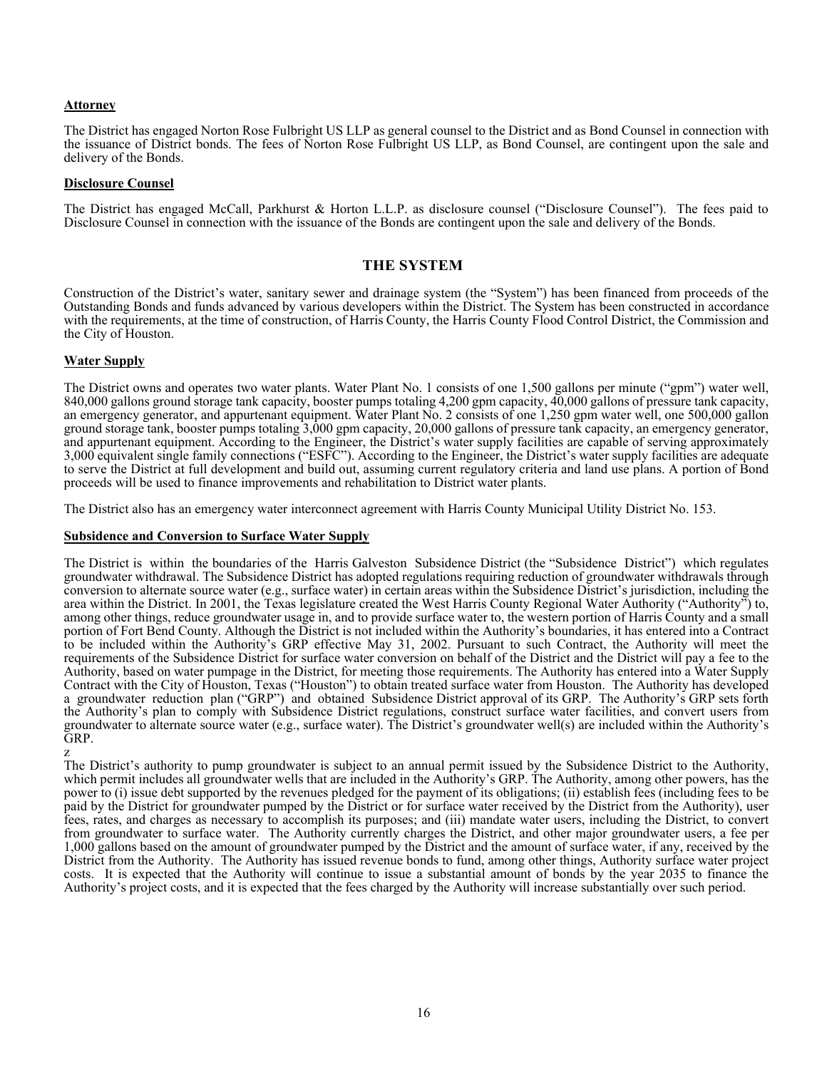## **Attorney**

The District has engaged Norton Rose Fulbright US LLP as general counsel to the District and as Bond Counsel in connection with the issuance of District bonds. The fees of Norton Rose Fulbright US LLP, as Bond Counsel, are contingent upon the sale and delivery of the Bonds.

#### **Disclosure Counsel**

The District has engaged McCall, Parkhurst & Horton L.L.P. as disclosure counsel ("Disclosure Counsel"). The fees paid to Disclosure Counsel in connection with the issuance of the Bonds are contingent upon the sale and delivery of the Bonds.

## **THE SYSTEM**

Construction of the District's water, sanitary sewer and drainage system (the "System") has been financed from proceeds of the Outstanding Bonds and funds advanced by various developers within the District. The System has been constructed in accordance with the requirements, at the time of construction, of Harris County, the Harris County Flood Control District, the Commission and the City of Houston.

## **Water Supply**

The District owns and operates two water plants. Water Plant No. 1 consists of one 1,500 gallons per minute ("gpm") water well, 840,000 gallons ground storage tank capacity, booster pumps totaling 4,200 gpm capacity, 40,000 gallons of pressure tank capacity, an emergency generator, and appurtenant equipment. Water Plant No. 2 consists of one 1,250 gpm water well, one 500,000 gallon ground storage tank, booster pumps totaling 3,000 gpm capacity, 20,000 gallons of pressure tank capacity, an emergency generator, and appurtenant equipment. According to the Engineer, the District's water supply facilities are capable of serving approximately 3,000 equivalent single family connections ("ESFC"). According to the Engineer, the District's water supply facilities are adequate to serve the District at full development and build out, assuming current regulatory criteria and land use plans. A portion of Bond proceeds will be used to finance improvements and rehabilitation to District water plants.

The District also has an emergency water interconnect agreement with Harris County Municipal Utility District No. 153.

#### **Subsidence and Conversion to Surface Water Supply**

The District is within the boundaries of the Harris Galveston Subsidence District (the "Subsidence District") which regulates groundwater withdrawal. The Subsidence District has adopted regulations requiring reduction of groundwater withdrawals through conversion to alternate source water (e.g., surface water) in certain areas within the Subsidence District's jurisdiction, including the area within the District. In 2001, the Texas legislature created the West Harris County Regional Water Authority ("Authority") to, among other things, reduce groundwater usage in, and to provide surface water to, the western portion of Harris County and a small portion of Fort Bend County. Although the District is not included within the Authority's boundaries, it has entered into a Contract to be included within the Authority's GRP effective May 31, 2002. Pursuant to such Contract, the Authority will meet the requirements of the Subsidence District for surface water conversion on behalf of the District and the District will pay a fee to the Authority, based on water pumpage in the District, for meeting those requirements. The Authority has entered into a Water Supply Contract with the City of Houston, Texas ("Houston") to obtain treated surface water from Hou a groundwater reduction plan ("GRP") and obtained Subsidence District approval of its GRP. The Authority's GRP sets forth the Authority's plan to comply with Subsidence District regulations, construct surface water facilities, and convert users from groundwater to alternate source water (e.g., surface water). The District's groundwater well(s) are included within the Authority's GRP.

z The District's authority to pump groundwater is subject to an annual permit issued by the Subsidence District to the Authority, which permit includes all groundwater wells that are included in the Authority's GRP. The Authority, among other powers, has the power to (i) issue debt supported by the revenues pledged for the payment of its obligations; (ii) establish fees (including fees to be paid by the District for groundwater pumped by the District or for surface water received by the District from the Authority), user fees, rates, and charges as necessary to accomplish its purposes; and (iii) mandate water users, including the District, to convert from groundwater to surface water. The Authority currently charges the District, and other major groundwater users, a fee per 1,000 gallons based on the amount of groundwater pumped by the District and the amount of surface water, if any, received by the District from the Authority. The Authority has issued revenue bonds to fund, among other things, Authority surface water project costs. It is expected that the Authority will continue to issue a substantial amount of bonds by the year 2035 to finance the Authority's project costs, and it is expected that the fees charged by the Authority will increase substantially over such period.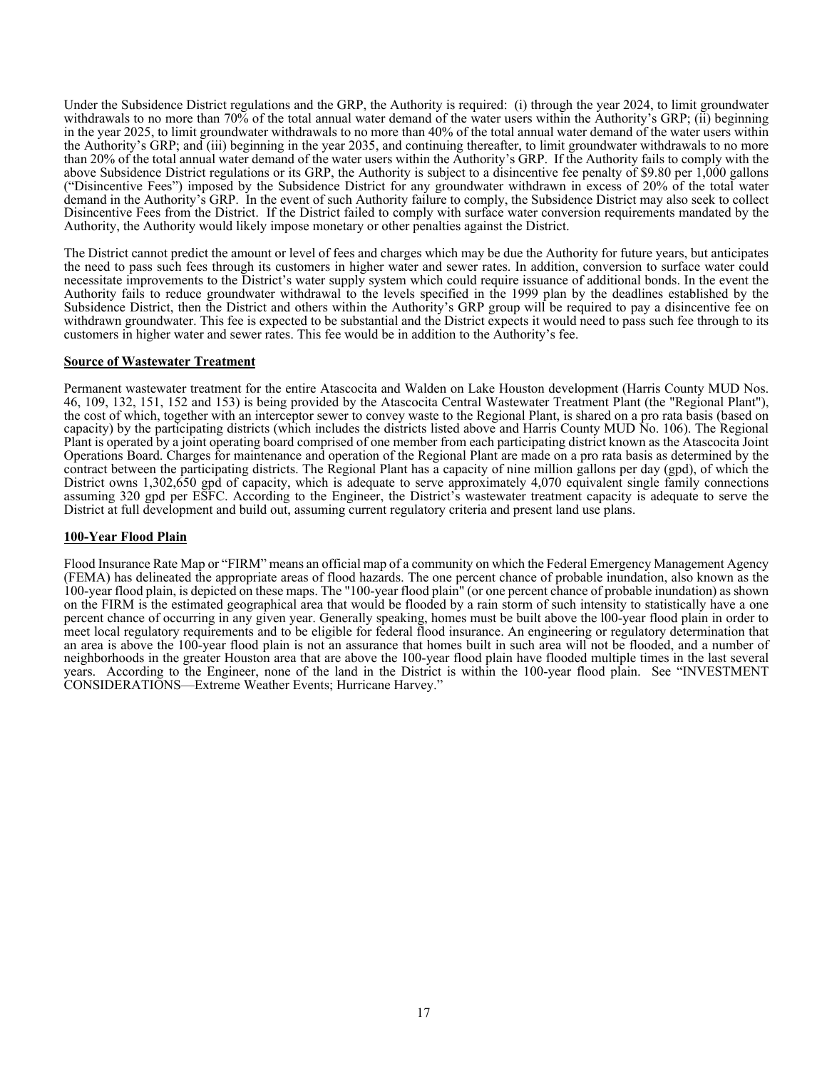Under the Subsidence District regulations and the GRP, the Authority is required: (i) through the year 2024, to limit groundwater withdrawals to no more than 70% of the total annual water demand of the water users within the Authority's GRP; (ii) beginning in the year 2025, to limit groundwater withdrawals to no more than 40% of the total annual water demand of the water users within the Authority's GRP; and (iii) beginning in the year 2035, and continuing thereafter, to limit groundwater withdrawals to no more than 20% of the total annual water demand of the water users within the Authority's GRP. If the Authority fails to comply with the above Subsidence District regulations or its GRP, the Authority is subject to a disincentive fee penalty of \$9.80 per 1,000 gallons ("Disincentive Fees") imposed by the Subsidence District for any groundwater withdrawn in excess of 20% of the total water demand in the Authority's GRP. In the event of such Authority failure to comply, the Subsidence District may also seek to collect Disincentive Fees from the District. If the District failed to comply with surface water conversion requirements mandated by the Authority, the Authority would likely impose monetary or other penalties against the District.

The District cannot predict the amount or level of fees and charges which may be due the Authority for future years, but anticipates the need to pass such fees through its customers in higher water and sewer rates. In addition, conversion to surface water could necessitate improvements to the District's water supply system which could require issuance of additional bonds. In the event the Authority fails to reduce groundwater withdrawal to the levels specified in the 1999 plan by the deadlines established by the Subsidence District, then the District and others within the Authority's GRP group will be required to pay a disincentive fee on withdrawn groundwater. This fee is expected to be substantial and the District expects it would need to pass such fee through to its customers in higher water and sewer rates. This fee would be in addition to the Authority's fee.

#### **Source of Wastewater Treatment**

Permanent wastewater treatment for the entire Atascocita and Walden on Lake Houston development (Harris County MUD Nos. 46, 109, 132, 151, 152 and 153) is being provided by the Atascocita Central Wastewater Treatment Plant (the "Regional Plant"), the cost of which, together with an interceptor sewer to convey waste to the Regional Plant, is shared on a pro rata basis (based on capacity) by the participating districts (which includes the districts listed above and Harris County MUD No. 106). The Regional Plant is operated by a joint operating board comprised of one member from each participating district known as the Atascocita Joint Operations Board. Charges for maintenance and operation of the Regional Plant are made on a pro rata basis as determined by the contract between the participating districts. The Regional Plant has a capacity of nine million gallons per day (gpd), of which the District owns 1,302,650 gpd of capacity, which is adequate to serve approximately 4,070 equivalent single family connections assuming 320 gpd per ESFC. According to the Engineer, the District's wastewater treatment capacity is adequate to serve the District at full development and build out, assuming current regulatory criteria and present land use plans.

#### **100-Year Flood Plain**

Flood Insurance Rate Map or "FIRM" means an official map of a community on which the Federal Emergency Management Agency (FEMA) has delineated the appropriate areas of flood hazards. The one percent chance of probable inundation, also known as the 100-year flood plain, is depicted on these maps. The "100-year flood plain" (or one percent chance of probable inundation) as shown on the FIRM is the estimated geographical area that would be flooded by a rain storm of such intensity to statistically have a one percent chance of occurring in any given year. Generally speaking, homes must be built above the l00-year flood plain in order to meet local regulatory requirements and to be eligible for federal flood insurance. An engineering or regulatory determination that an area is above the 100-year flood plain is not an assurance that homes built in such area will not be flooded, and a number of neighborhoods in the greater Houston area that are above the 100-year flood plain have flooded multiple times in the last several years. According to the Engineer, none of the land in the District is within the 100-year flood plain. See "INVESTMENT CONSIDERATIONS—Extreme Weather Events; Hurricane Harvey."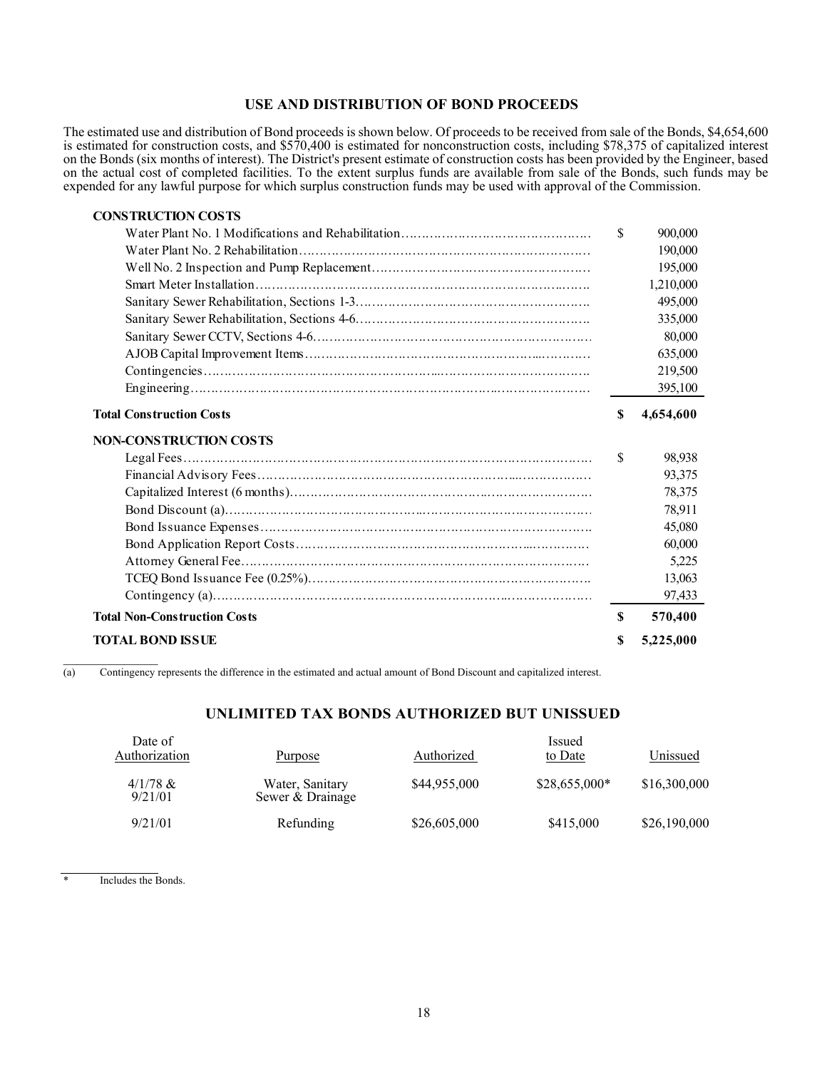## **USE AND DISTRIBUTION OF BOND PROCEEDS**

The estimated use and distribution of Bond proceeds is shown below. Of proceeds to be received from sale of the Bonds, \$4,654,600 is estimated for construction costs, and \$570,400 is estimated for nonconstruction costs, including \$78,375 of capitalized interest on the Bonds (six months of interest). The District's present estimate of construction costs has been provided by the Engineer, based on the actual cost of completed facilities. To the extent surplus funds are available from sale of the Bonds, such funds may be expended for any lawful purpose for which surplus construction funds may be used with approval of the Commission.

| 900,000<br>190,000<br>195,000 |
|-------------------------------|
|                               |
|                               |
|                               |
| 1,210,000                     |
| 495,000                       |
| 335,000                       |
| 80,000                        |
| 635,000                       |
| 219,500                       |
| 395,100                       |
| 4,654,600                     |
|                               |
| 98,938                        |
| 93,375                        |
| 78,375                        |
| 78,911                        |
| 45,080                        |
| 60,000                        |
| 5,225                         |
| 13,063                        |
| 97,433                        |
| 570,400                       |
| 5,225,000                     |
|                               |

(a) Contingency represents the difference in the estimated and actual amount of Bond Discount and capitalized interest.

# **UNLIMITED TAX BONDS AUTHORIZED BUT UNISSUED**

| Date of<br>Authorization | <b>Purpose</b>                      | Authorized   | <i>Issued</i><br>to Date | Unissued     |
|--------------------------|-------------------------------------|--------------|--------------------------|--------------|
| $4/1/78$ &<br>9/21/01    | Water, Sanitary<br>Sewer & Drainage | \$44,955,000 | $$28,655,000*$           | \$16,300,000 |
| 9/21/01                  | Refunding                           | \$26,605,000 | \$415,000                | \$26,190,000 |

\* Includes the Bonds.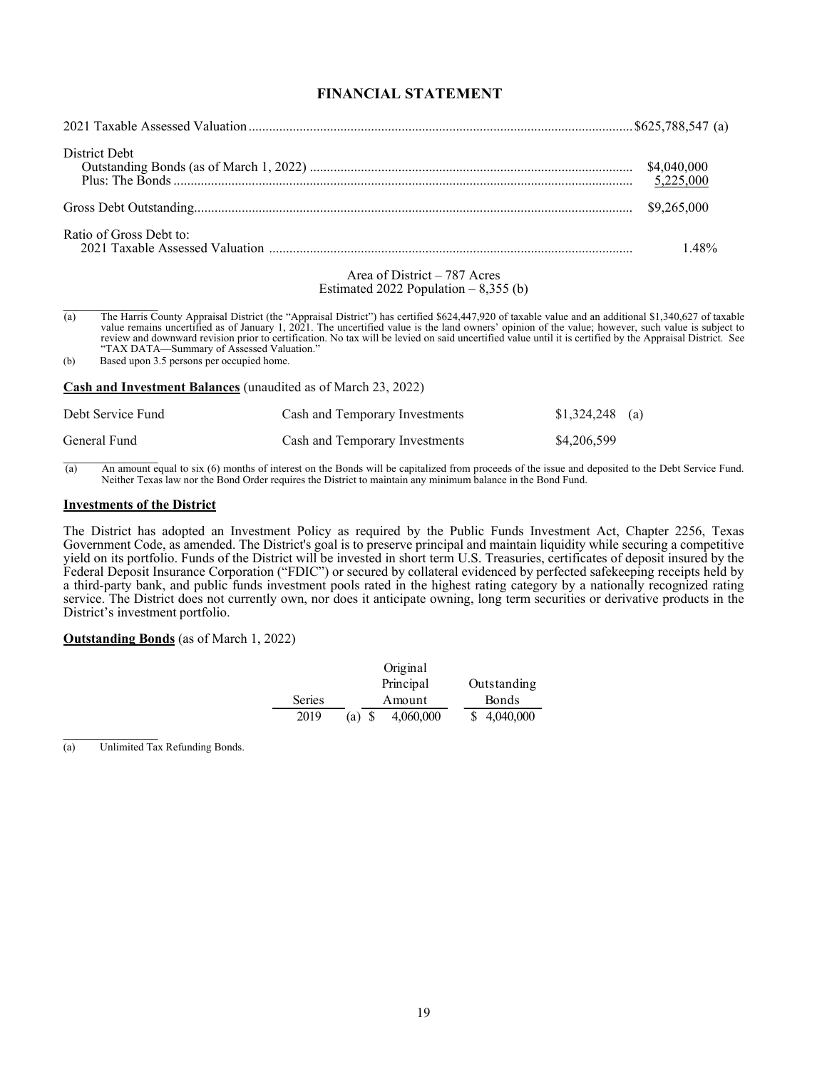# **FINANCIAL STATEMENT**

| District Debt                                                           | \$4,040,000<br>5,225,000 |
|-------------------------------------------------------------------------|--------------------------|
|                                                                         | \$9,265,000              |
| Ratio of Gross Debt to:                                                 | 148%                     |
| Area of District $-787$ Acres<br>Estimated 2022 Population $-8,355$ (b) |                          |
|                                                                         |                          |

(a) The Harris County Appraisal District (the "Appraisal District") has certified \$624,447,920 of taxable value and an additional \$1,340,627 of taxable value remains uncertified as of January 1, 2021. The uncertified value is the land owners' opinion of the value; however, such value is subject to review and downward revision prior to certification. No tax will be levied on said uncertified value until it is certified by the Appraisal District. See "TAX DATA—Summary of Assessed Valuation."

(b) Based upon 3.5 persons per occupied home.

**Cash and Investment Balances** (unaudited as of March 23, 2022)

| Debt Service Fund | Cash and Temporary Investments | $$1,324,248$ (a) |
|-------------------|--------------------------------|------------------|
| General Fund      | Cash and Temporary Investments | \$4,206,599      |
|                   |                                |                  |

(a) An amount equal to six (6) months of interest on the Bonds will be capitalized from proceeds of the issue and deposited to the Debt Service Fund. Neither Texas law nor the Bond Order requires the District to maintain any minimum balance in the Bond Fund.

#### **Investments of the District**

The District has adopted an Investment Policy as required by the Public Funds Investment Act, Chapter 2256, Texas Government Code, as amended. The District's goal is to preserve principal and maintain liquidity while securing a competitive yield on its portfolio. Funds of the District will be invested in short term U.S. Treasuries, certificates of deposit insured by the Federal Deposit Insurance Corporation ("FDIC") or secured by collateral evidenced by perfected safekeeping receipts held by a third-party bank, and public funds investment pools rated in the highest rating category by a nationally recognized rating service. The District does not currently own, nor does it anticipate owning, long term securities or derivative products in the District's investment portfolio.

#### **Outstanding Bonds** (as of March 1, 2022)

|        | Original                 |              |
|--------|--------------------------|--------------|
|        | Principal                | Outstanding  |
| Series | Amount                   | <b>Bonds</b> |
| 2019   | 4,060,000<br>- \$<br>(a) | \$4,040,000  |

 $\frac{1}{2}$ (a) Unlimited Tax Refunding Bonds.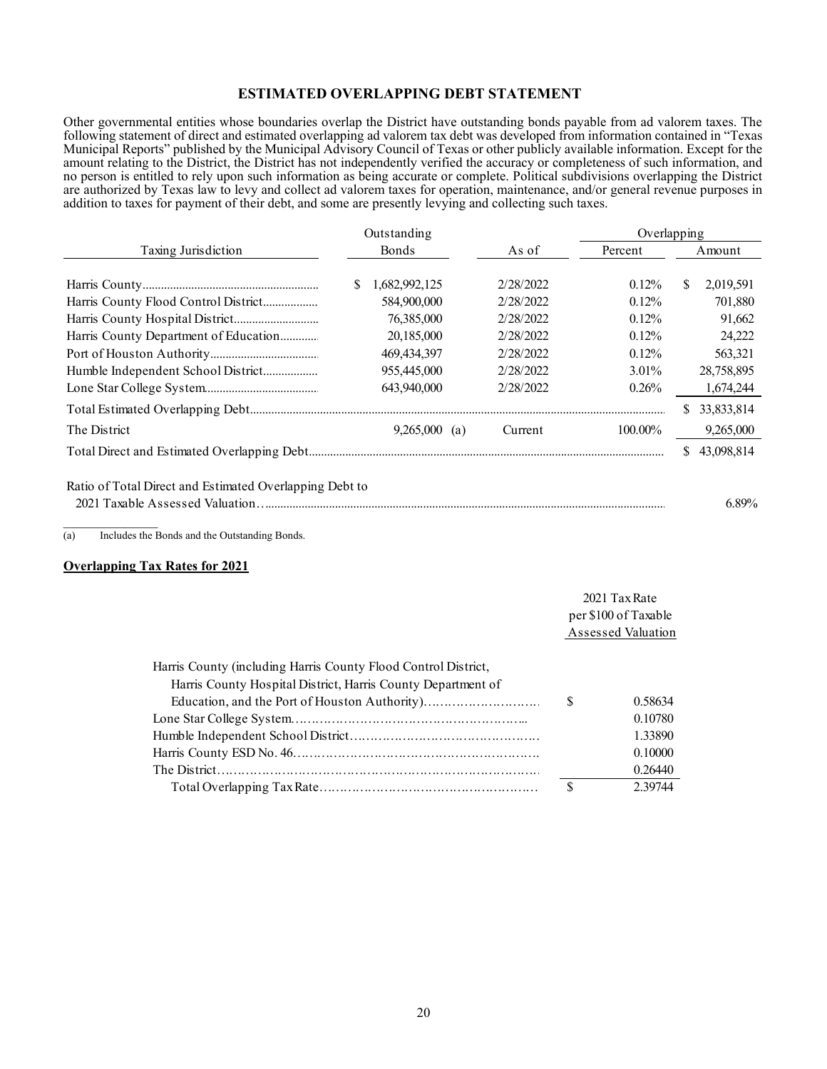## **ESTIMATED OVERLAPPING DEBT STATEMENT**

Other governmental entities whose boundaries overlap the District have outstanding bonds payable from ad valorem taxes. The following statement of direct and estimated overlapping ad valorem tax debt was developed from information contained in "Texas Municipal Reports" published by the Municipal Advisory Council of Texas or other publicly available information. Except for the amount relating to the District, the District has not independently verified the accuracy or completeness of such information, and no person is entitled to rely upon such information as being accurate or complete. Political subdivisions overlapping the District are authorized by Texas law to levy and collect ad valorem taxes for operation, maintenance, and/or general revenue purposes in addition to taxes for payment of their debt, and some are presently levying and collecting such taxes.

|                                                         | Outstanding |                 |           | Overlapping |        |            |  |
|---------------------------------------------------------|-------------|-----------------|-----------|-------------|--------|------------|--|
| Taxing Jurisdiction                                     |             | Bonds           | As of     | Percent     | Amount |            |  |
|                                                         | S           | 1,682,992,125   | 2/28/2022 | $0.12\%$    | \$     | 2,019,591  |  |
|                                                         |             | 584,900,000     | 2/28/2022 | $0.12\%$    |        | 701,880    |  |
|                                                         |             | 76,385,000      | 2/28/2022 | $0.12\%$    |        | 91,662     |  |
| Harris County Department of Education                   |             | 20,185,000      | 2/28/2022 | 0.12%       |        | 24,222     |  |
|                                                         |             | 469, 434, 397   | 2/28/2022 | 0.12%       |        | 563,321    |  |
| Humble Independent School District                      |             | 955,445,000     | 2/28/2022 | $3.01\%$    |        | 28,758,895 |  |
|                                                         |             | 643,940,000     | 2/28/2022 | 0.26%       |        | 1,674,244  |  |
|                                                         |             |                 |           |             | S      | 33,833,814 |  |
| The District                                            |             | $9,265,000$ (a) | Current   | 100.00%     |        | 9,265,000  |  |
|                                                         |             |                 |           |             | S.     | 43,098,814 |  |
| Ratio of Total Direct and Estimated Overlapping Debt to |             |                 |           |             |        |            |  |

2021 Taxable Assessed Valuation…................................................................................................................................... 6.89%

(a) Includes the Bonds and the Outstanding Bonds.

#### **Overlapping Tax Rates for 2021**

 $\mathcal{L}_\text{max}$ 

|                                                                |          | 2021 Tax Rate<br>per \$100 of Taxable<br>Assessed Valuation |  |  |
|----------------------------------------------------------------|----------|-------------------------------------------------------------|--|--|
| Harris County (including Harris County Flood Control District, |          |                                                             |  |  |
| Harris County Hospital District, Harris County Department of   |          |                                                             |  |  |
|                                                                | <b>S</b> | 0.58634                                                     |  |  |
|                                                                |          | 0.10780                                                     |  |  |
|                                                                |          | 1.33890                                                     |  |  |
|                                                                |          | 0.10000                                                     |  |  |
|                                                                |          | 0.26440                                                     |  |  |
|                                                                | S        | 2.39744                                                     |  |  |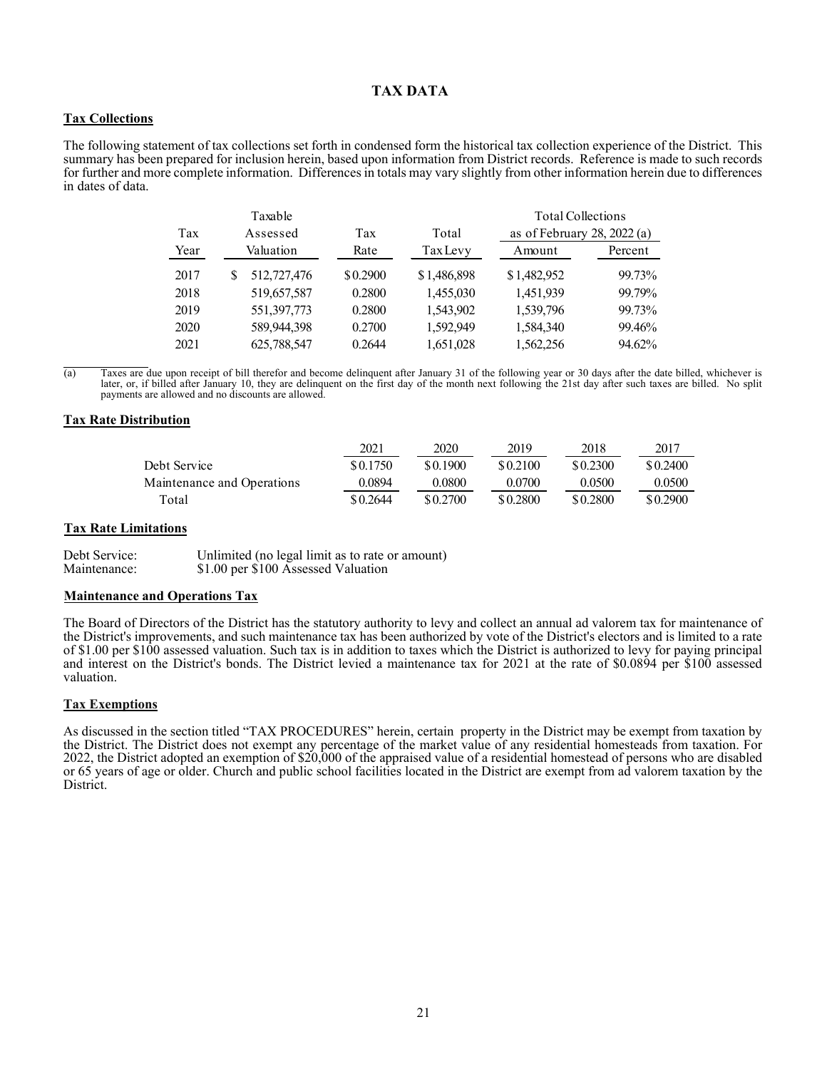## **TAX DATA**

## **Tax Collections**

The following statement of tax collections set forth in condensed form the historical tax collection experience of the District. This summary has been prepared for inclusion herein, based upon information from District records. Reference is made to such records for further and more complete information. Differences in totals may vary slightly from other information herein due to differences in dates of data.

|      | Taxable          |          |                 | <b>Total Collections</b>     |         |
|------|------------------|----------|-----------------|------------------------------|---------|
| Tax  | Assessed         | Tax      | Total           | as of February 28, $2022(a)$ |         |
| Year | Valuation        | Rate     | <b>Tax Levy</b> | Amount                       | Percent |
| 2017 | 512,727,476<br>S | \$0.2900 | \$1,486,898     | \$1,482,952                  | 99.73%  |
| 2018 | 519,657,587      | 0.2800   | 1,455,030       | 1,451,939                    | 99.79%  |
| 2019 | 551,397,773      | 0.2800   | 1,543,902       | 1,539,796                    | 99.73%  |
| 2020 | 589,944,398      | 0.2700   | 1,592,949       | 1,584,340                    | 99.46%  |
| 2021 | 625,788,547      | 0.2644   | 1,651,028       | 1,562,256                    | 94.62%  |

 $\overline{(a)}$  Taxes are due upon receipt of bill therefor and become delinquent after January 31 of the following year or 30 days after the date billed, whichever is later, or, if billed after January 10, they are delinquent on the first day of the month next following the 21st day after such taxes are billed. No split payments are allowed and no discounts are allowed.

#### **Tax Rate Distribution**

|                            | 2021     | 2020     | 2019     | 2018     | 2017     |
|----------------------------|----------|----------|----------|----------|----------|
| Debt Service               | \$0.1750 | \$0.1900 | \$0.2100 | \$0.2300 | \$0.2400 |
| Maintenance and Operations | 0.0894   | 0.0800   | 0.0700   | 0.0500   | 0.0500   |
| Total                      | \$0.2644 | \$0.2700 | \$0.2800 | \$0.2800 | \$0.2900 |

#### **Tax Rate Limitations**

| Debt Service: | Unlimited (no legal limit as to rate or amount) |
|---------------|-------------------------------------------------|
| Maintenance:  | \$1.00 per \$100 Assessed Valuation             |

#### **Maintenance and Operations Tax**

The Board of Directors of the District has the statutory authority to levy and collect an annual ad valorem tax for maintenance of the District's improvements, and such maintenance tax has been authorized by vote of the District's electors and is limited to a rate of \$1.00 per \$100 assessed valuation. Such tax is in addition to taxes which the District is authorized to levy for paying principal and interest on the District's bonds. The District levied a maintenance tax for 2021 at the rate of \$0.0894 per \$100 assessed valuation.

#### **Tax Exemptions**

As discussed in the section titled "TAX PROCEDURES" herein, certain property in the District may be exempt from taxation by the District. The District does not exempt any percentage of the market value of any residential homesteads from taxation. For 2022, the District adopted an exemption of \$20,000 of the appraised value of a residential homestead of persons who are disabled or 65 years of age or older. Church and public school facilities located in the District are exempt from ad valorem taxation by the District.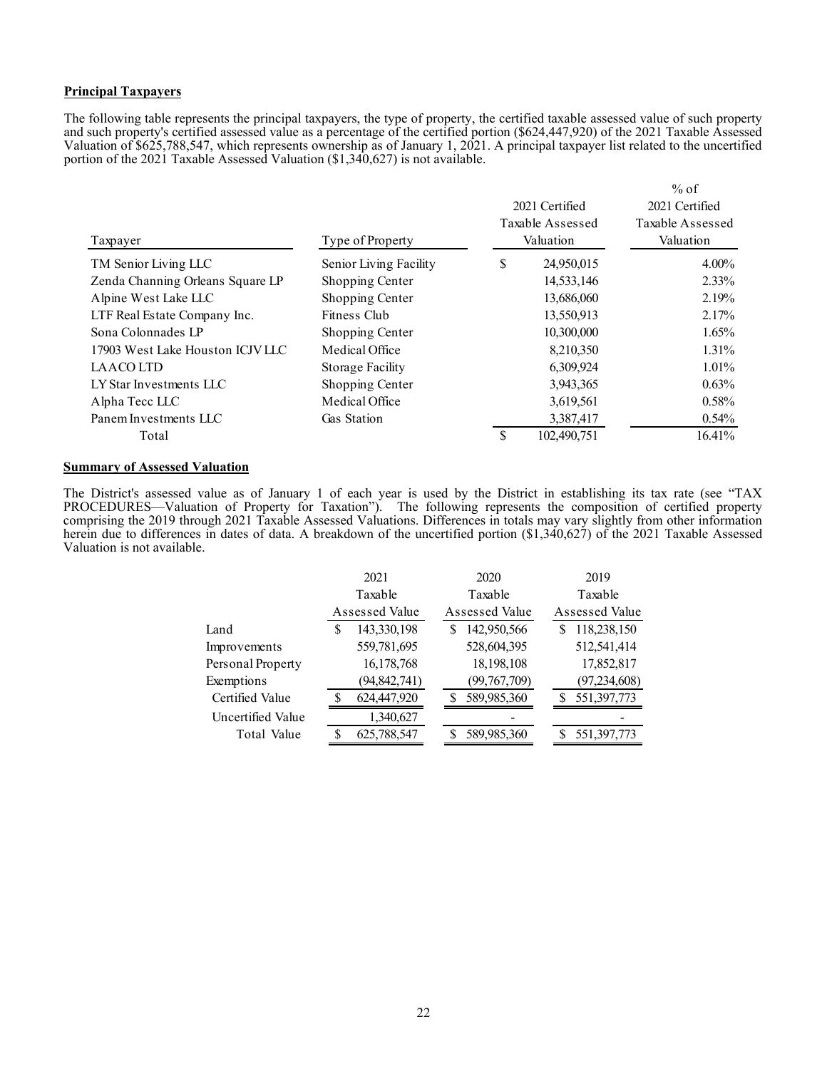#### **Principal Taxpayers**

The following table represents the principal taxpayers, the type of property, the certified taxable assessed value of such property and such property's certified assessed value as a percentage of the certified portion (\$624,447,920) of the 2021 Taxable Assessed Valuation of \$625,788,547, which represents ownership as of January 1, 2021. A principal taxpayer list related to the uncertified portion of the 2021 Taxable Assessed Valuation (\$1,340,627) is not available.

|                                  |                         |     | 2021 Certified<br>Taxable Assessed | $%$ of<br>2021 Certified<br>Taxable Assessed |  |
|----------------------------------|-------------------------|-----|------------------------------------|----------------------------------------------|--|
| Taxpayer                         | Type of Property        |     | Valuation                          | Valuation                                    |  |
| TM Senior Living LLC             | Senior Living Facility  | \$  | 24,950,015                         | $4.00\%$                                     |  |
| Zenda Channing Orleans Square LP | Shopping Center         |     | 14,533,146                         | $2.33\%$                                     |  |
| Alpine West Lake LLC             | Shopping Center         |     | 13,686,060                         | 2.19%                                        |  |
| LTF Real Estate Company Inc.     | Fitness Club            |     | 13,550,913                         | 2.17%                                        |  |
| Sona Colonnades LP               | Shopping Center         |     | 10,300,000                         | $1.65\%$                                     |  |
| 17903 West Lake Houston ICJVLLC  | Medical Office          |     | 8,210,350                          | $1.31\%$                                     |  |
| <b>LAACOLTD</b>                  | <b>Storage Facility</b> |     | 6,309,924                          | $1.01\%$                                     |  |
| LY Star Investments LLC          | Shopping Center         |     | 3,943,365                          | $0.63\%$                                     |  |
| Alpha Tecc LLC                   | Medical Office          |     | 3,619,561                          | 0.58%                                        |  |
| Panem Investments LLC            | Gas Station             |     | 3,387,417                          | $0.54\%$                                     |  |
| Total                            |                         | \$. | 102,490,751                        | 16.41%                                       |  |

## **Summary of Assessed Valuation**

The District's assessed value as of January 1 of each year is used by the District in establishing its tax rate (see "TAX PROCEDURES—Valuation of Property for Taxation"). The following represents the composition of certified property comprising the 2019 through 2021 Taxable Assessed Valuations. Differences in totals may vary slightly from other information herein due to differences in dates of data. A breakdown of the uncertified portion (\$1,340,627) of the 2021 Taxable Assessed Valuation is not available.

|                   | 2021 |                |   | 2020           |  | 2019           |
|-------------------|------|----------------|---|----------------|--|----------------|
|                   |      | Taxable        |   | Taxable        |  | Taxable        |
|                   |      | Assessed Value |   | Assessed Value |  | Assessed Value |
| Land              | S    | 143,330,198    | S | 142,950,566    |  | 118,238,150    |
| Improvements      |      | 559,781,695    |   | 528,604,395    |  | 512,541,414    |
| Personal Property |      | 16,178,768     |   | 18,198,108     |  | 17,852,817     |
| Exemptions        |      | (94, 842, 741) |   | (99, 767, 709) |  | (97, 234, 608) |
| Certified Value   | S    | 624,447,920    |   | 589,985,360    |  | 551,397,773    |
| Uncertified Value |      | 1,340,627      |   |                |  |                |
| Total Value       | S    | 625,788,547    |   | 589,985,360    |  | 551,397,773    |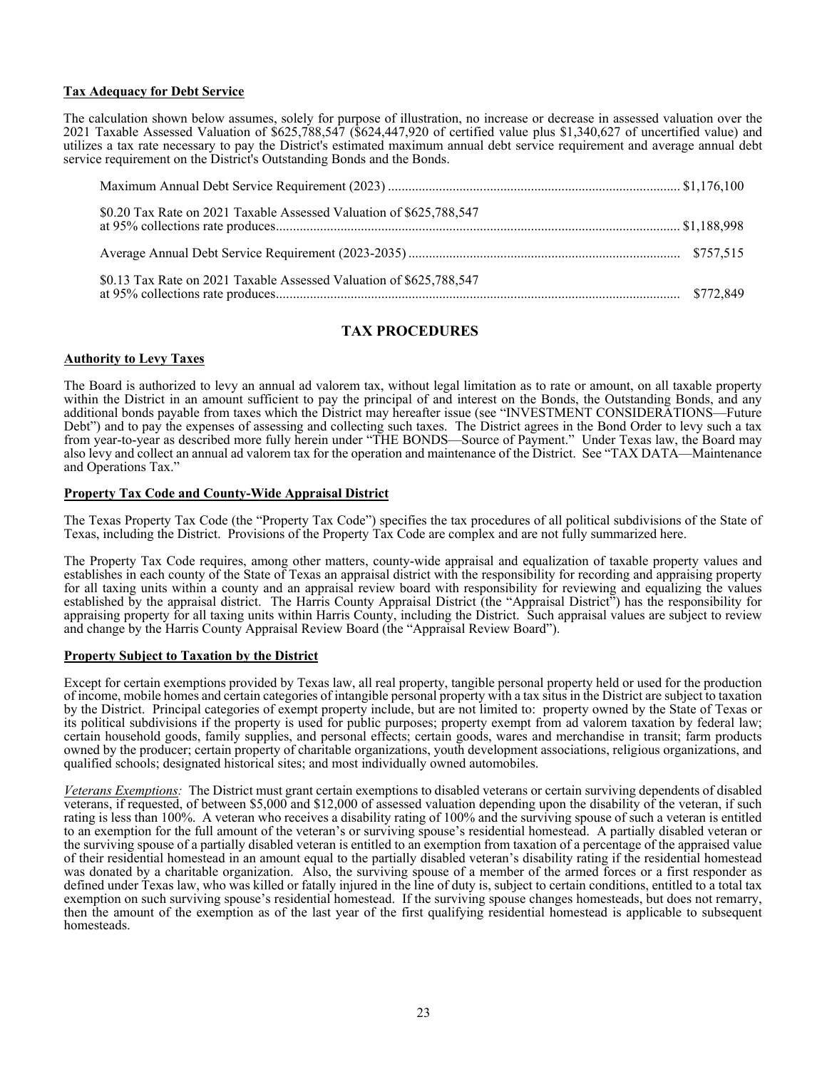## **Tax Adequacy for Debt Service**

The calculation shown below assumes, solely for purpose of illustration, no increase or decrease in assessed valuation over the 2021 Taxable Assessed Valuation of \$625,788,547 (\$624,447,920 of certified value plus \$1,340,627 of uncertified value) and utilizes a tax rate necessary to pay the District's estimated maximum annual debt service requirement and average annual debt service requirement on the District's Outstanding Bonds and the Bonds.

| \$0.20 Tax Rate on 2021 Taxable Assessed Valuation of \$625,788,547 |  |
|---------------------------------------------------------------------|--|
|                                                                     |  |
| \$0.13 Tax Rate on 2021 Taxable Assessed Valuation of \$625,788,547 |  |

## **TAX PROCEDURES**

## **Authority to Levy Taxes**

The Board is authorized to levy an annual ad valorem tax, without legal limitation as to rate or amount, on all taxable property within the District in an amount sufficient to pay the principal of and interest on the Bonds, the Outstanding Bonds, and any additional bonds payable from taxes which the District may hereafter issue (see "INVESTMENT CONSIDERATIONS—Future<br>Debt") and to pay the expenses of assessing and collecting such taxes. The District agrees in the Bond Order from year-to-year as described more fully herein under "THE BONDS—Source of Payment." Under Texas law, the Board may also levy and collect an annual ad valorem tax for the operation and maintenance of the District. See "TAX DATA—Maintenance and Operations Tax."

#### **Property Tax Code and County-Wide Appraisal District**

The Texas Property Tax Code (the "Property Tax Code") specifies the tax procedures of all political subdivisions of the State of Texas, including the District. Provisions of the Property Tax Code are complex and are not fully summarized here.

The Property Tax Code requires, among other matters, county-wide appraisal and equalization of taxable property values and establishes in each county of the State of Texas an appraisal district with the responsibility for recording and appraising property for all taxing units within a county and an appraisal review board with responsibility for reviewing and equalizing the values established by the appraisal district. The Harris County Appraisal District (the "Appraisal District") has the responsibility for appraising property for all taxing units within Harris County, including the District. Such appraisal values are subject to review and change by the Harris County Appraisal Review Board (the "Appraisal Review Board").

#### **Property Subject to Taxation by the District**

Except for certain exemptions provided by Texas law, all real property, tangible personal property held or used for the production of income, mobile homes and certain categories of intangible personal property with a tax situs in the District are subject to taxation by the District. Principal categories of exempt property include, but are not limited to: property owned by the State of Texas or its political subdivisions if the property is used for public purposes; property exempt from ad valorem taxation by federal law; certain household goods, family supplies, and personal effects; certain goods, wares and merchandise in transit; farm products owned by the producer; certain property of charitable organizations, youth development associations, religious organizations, and qualified schools; designated historical sites; and most individually owned automobiles.

*Veterans Exemptions:* The District must grant certain exemptions to disabled veterans or certain surviving dependents of disabled veterans, if requested, of between \$5,000 and \$12,000 of assessed valuation depending upon the disability of the veteran, if such rating is less than 100%. A veteran who receives a disability rating of 100% and the surviving spouse of such a veteran is entitled to an exemption for the full amount of the veteran's or surviving spouse's residential homestead. A partially disabled veteran or the surviving spouse of a partially disabled veteran is entitled to an exemption from taxation of a percentage of the appraised value of their residential homestead in an amount equal to the partially disabled veteran's disability rating if the residential homestead was donated by a charitable organization. Also, the surviving spouse of a member of the armed forces or a first responder as defined under Texas law, who was killed or fatally injured in the line of duty is, subject to certain conditions, entitled to a total tax exemption on such surviving spouse's residential homestead. If the surviving spouse changes homesteads, but does not remarry, then the amount of the exemption as of the last year of the first qualifying residential homestead is applicable to subsequent homesteads.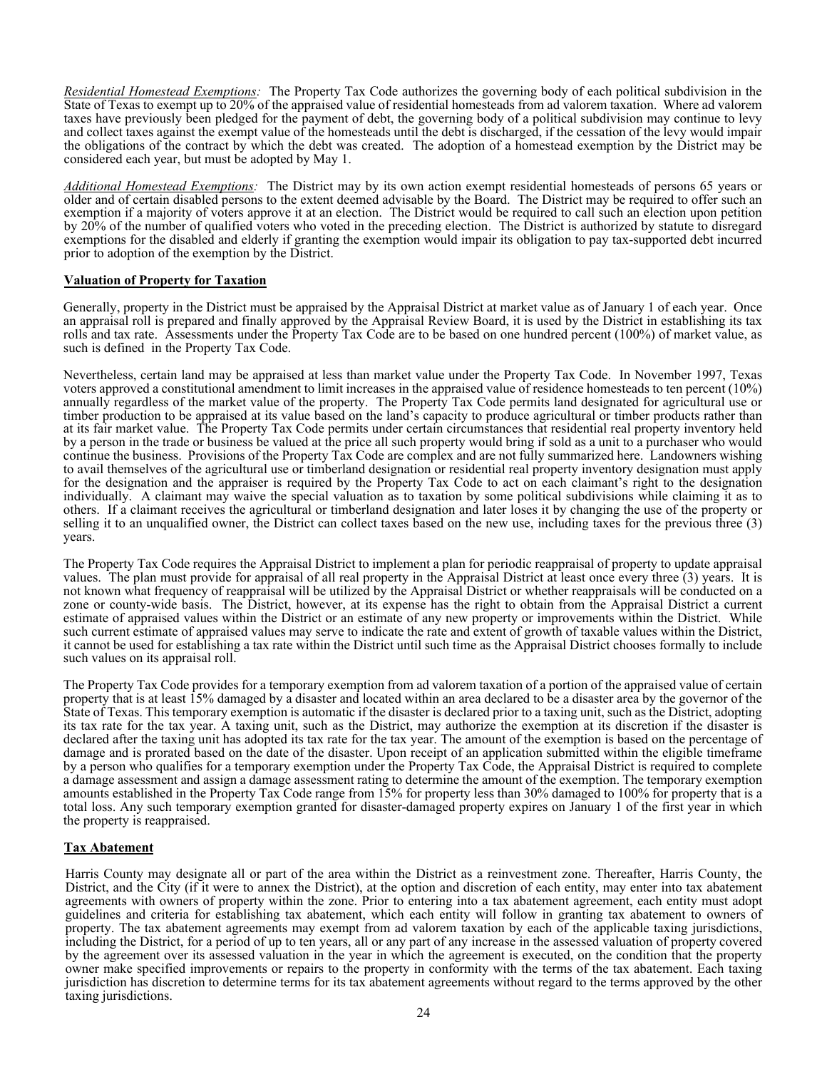*Residential Homestead Exemptions:* The Property Tax Code authorizes the governing body of each political subdivision in the State of Texas to exempt up to 20% of the appraised value of residential homesteads from ad valorem taxation. Where ad valorem taxes have previously been pledged for the payment of debt, the governing body of a political subdivision may continue to levy and collect taxes against the exempt value of the homesteads until the debt is discharged, if the cessation of the levy would impair the obligations of the contract by which the debt was created. The adoption of a homestead exemption by the District may be considered each year, but must be adopted by May 1.

*Additional Homestead Exemptions:* The District may by its own action exempt residential homesteads of persons 65 years or older and of certain disabled persons to the extent deemed advisable by the Board. The District may be required to offer such an exemption if a majority of voters approve it at an election. The District would be required to call such an election upon petition by 20% of the number of qualified voters who voted in the preceding election. The District is authorized by statute to disregard exemptions for the disabled and elderly if granting the exemption would impair its obligation to pay tax-supported debt incurred prior to adoption of the exemption by the District.

## **Valuation of Property for Taxation**

Generally, property in the District must be appraised by the Appraisal District at market value as of January 1 of each year. Once an appraisal roll is prepared and finally approved by the Appraisal Review Board, it is used by the District in establishing its tax rolls and tax rate. Assessments under the Property Tax Code are to be based on one hundred percent (100%) of market value, as such is defined in the Property Tax Code.

Nevertheless, certain land may be appraised at less than market value under the Property Tax Code. In November 1997, Texas voters approved a constitutional amendment to limit increases in the appraised value of residence homesteads to ten percent (10%) annually regardless of the market value of the property. The Property Tax Code permits land designated for agricultural use or timber production to be appraised at its value based on the land's capacity to produce agricultural or timber products rather than at its fair market value. The Property Tax Code permits under certain circumstances that residential real property inventory held by a person in the trade or business be valued at the price all such property would bring if sold as a unit to a purchaser who would continue the business. Provisions of the Property Tax Code are complex and are not fully summarized here. Landowners wishing to avail themselves of the agricultural use or timberland designation or residential real property inventory designation must apply for the designation and the appraiser is required by the Property Tax Code to act on each claimant's right to the designation individually. A claimant may waive the special valuation as to taxation by some political subdivisions while claiming it as to others. If a claimant receives the agricultural or timberland designation and later loses it by changing the use of the property or selling it to an unqualified owner, the District can collect taxes based on the new use, including taxes for the previous three (3) years.

The Property Tax Code requires the Appraisal District to implement a plan for periodic reappraisal of property to update appraisal values. The plan must provide for appraisal of all real property in the Appraisal District at least once every three (3) years. It is not known what frequency of reappraisal will be utilized by the Appraisal District or whether reappraisals will be conducted on a zone or county-wide basis. The District, however, at its expense has the right to obtain from the Appraisal District a current estimate of appraised values within the District or an estimate of any new property or improvements within the District. While such current estimate of appraised values may serve to indicate the rate and extent of growth of taxable values within the District, it cannot be used for establishing a tax rate within the District until such time as the Appraisal District chooses formally to include such values on its appraisal roll.

The Property Tax Code provides for a temporary exemption from ad valorem taxation of a portion of the appraised value of certain property that is at least 15% damaged by a disaster and located within an area declared to be a disaster area by the governor of the State of Texas. This temporary exemption is automatic if the disaster is declared prior to a taxing unit, such as the District, adopting its tax rate for the tax year. A taxing unit, such as the District, may authorize the exemption at its discretion if the disaster is declared after the taxing unit has adopted its tax rate for the tax year. The amount of the exemption is based on the percentage of damage and is prorated based on the date of the disaster. Upon receipt of an application submitted within the eligible timeframe by a person who qualifies for a temporary exemption under the Property Tax Code, the Appraisal District is required to complete a damage assessment and assign a damage assessment rating to determine the amount of the exemption. The temporary exemption amounts established in the Property Tax Code range from 15% for property less than 30% damaged to 100% for property that is a total loss. Any such temporary exemption granted for disaster-damaged property expires on January 1 of the first year in which the property is reappraised.

#### **Tax Abatement**

Harris County may designate all or part of the area within the District as a reinvestment zone. Thereafter, Harris County, the District, and the City (if it were to annex the District), at the option and discretion of each entity, may enter into tax abatement agreements with owners of property within the zone. Prior to entering into a tax abatement agreement, each entity must adopt guidelines and criteria for establishing tax abatement, which each entity will follow in granting tax abatement to owners of property. The tax abatement agreements may exempt from ad valorem taxation by each of the applicable taxing jurisdictions, including the District, for a period of up to ten years, all or any part of any increase in the assessed valuation of property covered by the agreement over its assessed valuation in the year in which the agreement is executed, on the condition that the property owner make specified improvements or repairs to the property in conformity with the terms of the tax abatement. Each taxing jurisdiction has discretion to determine terms for its tax abatement agreements without regard to the terms approved by the other taxing jurisdictions.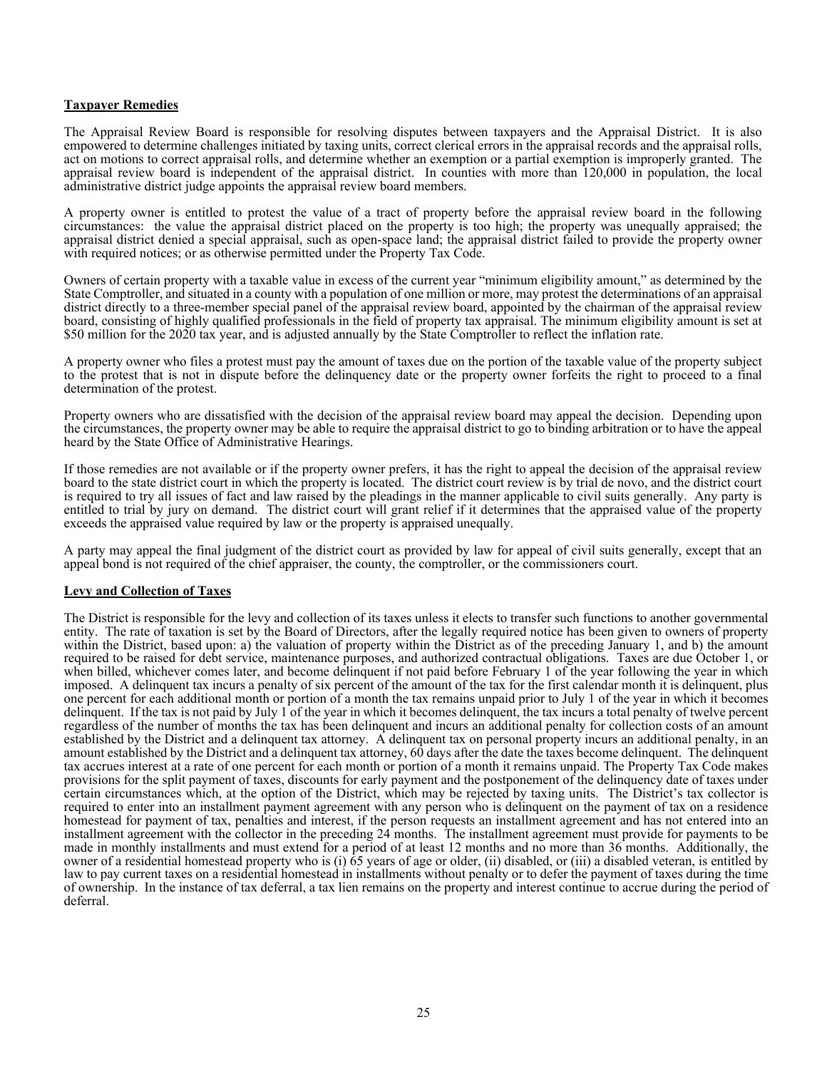## **Taxpayer Remedies**

The Appraisal Review Board is responsible for resolving disputes between taxpayers and the Appraisal District. It is also empowered to determine challenges initiated by taxing units, correct clerical errors in the appraisal records and the appraisal rolls, act on motions to correct appraisal rolls, and determine whether an exemption or a partial exemption is improperly granted. The appraisal review board is independent of the appraisal district. In counties with more than 120,000 in population, the local administrative district judge appoints the appraisal review board members.

A property owner is entitled to protest the value of a tract of property before the appraisal review board in the following circumstances: the value the appraisal district placed on the property is too high; the property was unequally appraised; the appraisal district denied a special appraisal, such as open-space land; the appraisal district failed to provide the property owner with required notices; or as otherwise permitted under the Property Tax Code.

Owners of certain property with a taxable value in excess of the current year "minimum eligibility amount," as determined by the State Comptroller, and situated in a county with a population of one million or more, may protest the determinations of an appraisal district directly to a three-member special panel of the appraisal review board, appointed by the chairman of the appraisal review board, consisting of highly qualified professionals in the field of property tax appraisal. The minimum eligibility amount is set at \$50 million for the 2020 tax year, and is adjusted annually by the State Comptroller to reflect the inflation rate.

A property owner who files a protest must pay the amount of taxes due on the portion of the taxable value of the property subject to the protest that is not in dispute before the delinquency date or the property owner forfeits the right to proceed to a final determination of the protest.

Property owners who are dissatisfied with the decision of the appraisal review board may appeal the decision. Depending upon the circumstances, the property owner may be able to require the appraisal district to go to binding arbitration or to have the appeal heard by the State Office of Administrative Hearings.

If those remedies are not available or if the property owner prefers, it has the right to appeal the decision of the appraisal review board to the state district court in which the property is located. The district court review is by trial de novo, and the district court is required to try all issues of fact and law raised by the pleadings in the manner applicable to civil suits generally. Any party is entitled to trial by jury on demand. The district court will grant relief if it determines that the appraised value of the property exceeds the appraised value required by law or the property is appraised unequally.

A party may appeal the final judgment of the district court as provided by law for appeal of civil suits generally, except that an appeal bond is not required of the chief appraiser, the county, the comptroller, or the commissioners court.

#### **Levy and Collection of Taxes**

The District is responsible for the levy and collection of its taxes unless it elects to transfer such functions to another governmental entity. The rate of taxation is set by the Board of Directors, after the legally required notice has been given to owners of property within the District, based upon: a) the valuation of property within the District as of the preceding January 1, and b) the amount required to be raised for debt service, maintenance purposes, and authorized contractual obligations. Taxes are due October 1, or when billed, whichever comes later, and become delinquent if not paid before February 1 of the year following the year in which imposed. A delinquent tax incurs a penalty of six percent of the amount of the tax for the first calendar month it is delinquent, plus one percent for each additional month or portion of a month the tax remains unpaid prior to July 1 of the year in which it becomes delinquent. If the tax is not paid by July 1 of the year in which it becomes delinquent, the tax incurs a total penalty of twelve percent regardless of the number of months the tax has been delinquent and incurs an additional penalty for collection costs of an amount established by the District and a delinquent tax attorney. A delinquent tax on personal property incurs an additional penalty, in an amount established by the District and a delinquent tax attorney, 60 days after the date the taxes become delinquent. The delinquent tax accrues interest at a rate of one percent for each month or portion of a month it remains unpaid. The Property Tax Code makes provisions for the split payment of taxes, discounts for early payment and the postponement of the delinquency date of taxes under certain circumstances which, at the option of the District, which may be rejected by taxing units. The District's tax collector is required to enter into an installment payment agreement with any person who is delinquent on the payment of tax on a residence homestead for payment of tax, penalties and interest, if the person requests an installment agreement and has not entered into an installment agreement with the collector in the preceding 24 months. The installment agreement must provide for payments to be made in monthly installments and must extend for a period of at least 12 months and no more than 36 months. Additionally, the owner of a residential homestead property who is (i) 65 years of age or older, (ii) disabled, or (iii) a disabled veteran, is entitled by law to pay current taxes on a residential homestead in installments without penalty or to defer the payment of taxes during the time of ownership. In the instance of tax deferral, a tax lien remains on the property and interest continue to accrue during the period of deferral.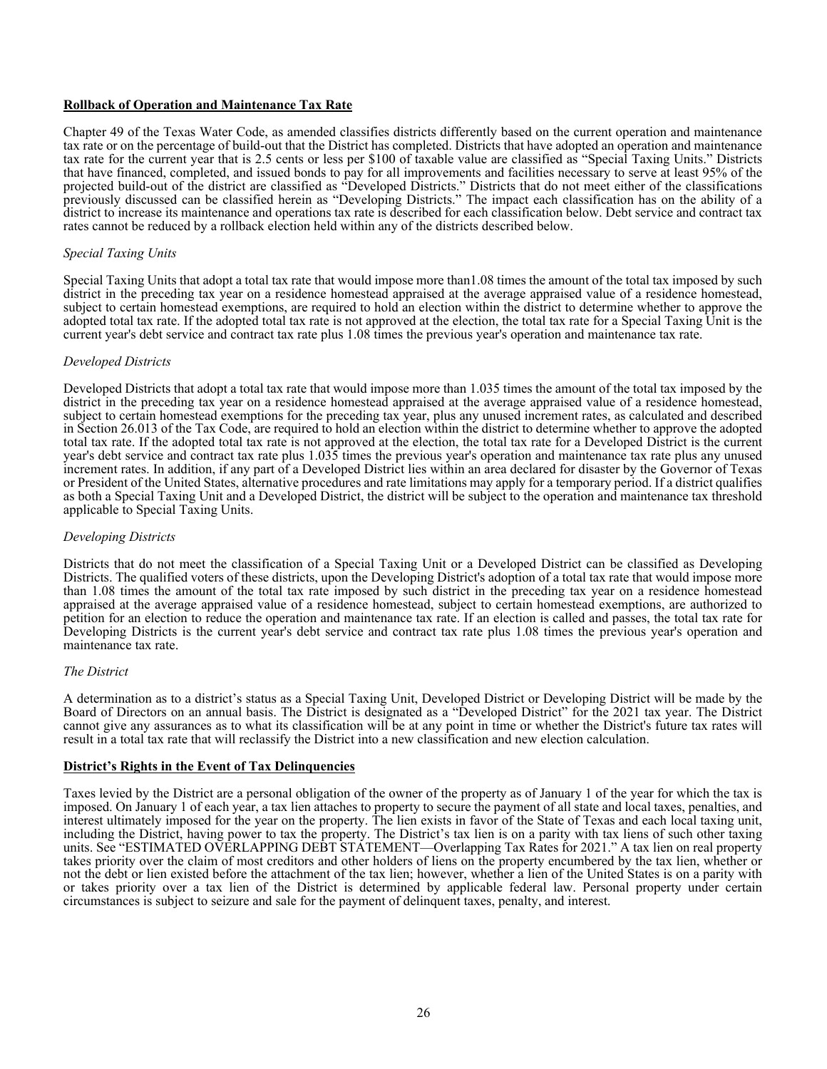## **Rollback of Operation and Maintenance Tax Rate**

Chapter 49 of the Texas Water Code, as amended classifies districts differently based on the current operation and maintenance tax rate or on the percentage of build-out that the District has completed. Districts that have adopted an operation and maintenance tax rate for the current year that is 2.5 cents or less per \$100 of taxable value are classified as "Special Taxing Units." Districts that have financed, completed, and issued bonds to pay for all improvements and facilities necessary to serve at least 95% of the projected build-out of the district are classified as "Developed Districts." Districts that do not meet either of the classifications previously discussed can be classified herein as "Developing Districts." The impact each classification has on the ability of a district to increase its maintenance and operations tax rate is described for each classification below. Debt service and contract tax rates cannot be reduced by a rollback election held within any of the districts described below.

### *Special Taxing Units*

Special Taxing Units that adopt a total tax rate that would impose more than1.08 times the amount of the total tax imposed by such district in the preceding tax year on a residence homestead appraised at the average appraised value of a residence homestead, subject to certain homestead exemptions, are required to hold an election within the district to determine whether to approve the adopted total tax rate. If the adopted total tax rate is not approved at the election, the total tax rate for a Special Taxing Unit is the current year's debt service and contract tax rate plus 1.08 times the previous year's operation and maintenance tax rate.

#### *Developed Districts*

Developed Districts that adopt a total tax rate that would impose more than 1.035 times the amount of the total tax imposed by the district in the preceding tax year on a residence homestead appraised at the average appraised value of a residence homestead, subject to certain homestead exemptions for the preceding tax year, plus any unused increment rates, as calculated and described in Section 26.013 of the Tax Code, are required to hold an election within the district to determine whether to approve the adopted total tax rate. If the adopted total tax rate is not approved at the election, the total tax rate for a Developed District is the current year's debt service and contract tax rate plus 1.035 times the previous year's operation and maintenance tax rate plus any unused increment rates. In addition, if any part of a Developed District lies within an area declared for disaster by the Governor of Texas or President of the United States, alternative procedures and rate limitations may apply for a temporary period. If a district qualifies as both a Special Taxing Unit and a Developed District, the district will be subject to the operation and maintenance tax threshold applicable to Special Taxing Units.

#### *Developing Districts*

Districts that do not meet the classification of a Special Taxing Unit or a Developed District can be classified as Developing Districts. The qualified voters of these districts, upon the Developing District's adoption of a total tax rate that would impose more than 1.08 times the amount of the total tax rate imposed by such district in the preceding tax year on a residence homestead appraised at the average appraised value of a residence homestead, subject to certain homestead exemptions, are authorized to petition for an election to reduce the operation and maintenance tax rate. If an election is called and passes, the total tax rate for Developing Districts is the current year's debt service and contract tax rate plus 1.08 times the previous year's operation and maintenance tax rate.

#### *The District*

A determination as to a district's status as a Special Taxing Unit, Developed District or Developing District will be made by the Board of Directors on an annual basis. The District is designated as a "Developed District" for the 2021 tax year. The District cannot give any assurances as to what its classification will be at any point in time or whether the District's future tax rates will result in a total tax rate that will reclassify the District into a new classification and new election calculation.

#### **District's Rights in the Event of Tax Delinquencies**

Taxes levied by the District are a personal obligation of the owner of the property as of January 1 of the year for which the tax is imposed. On January 1 of each year, a tax lien attaches to property to secure the payment of all state and local taxes, penalties, and interest ultimately imposed for the year on the property. The lien exists in favor of the State of Texas and each local taxing unit, including the District, having power to tax the property. The District's tax lien is on a parity with tax liens of such other taxing units. See "ESTIMATED OVERLAPPING DEBT STATEMENT—Overlapping Tax Rates for 2021." A tax lien on real property takes priority over the claim of most creditors and other holders of liens on the property encumbered by the tax lien, whether or not the debt or lien existed before the attachment of the tax lien; however, whether a lien of the United States is on a parity with or takes priority over a tax lien of the District is determined by applicable federal law. Personal property under certain circumstances is subject to seizure and sale for the payment of delinquent taxes, penalty, and interest.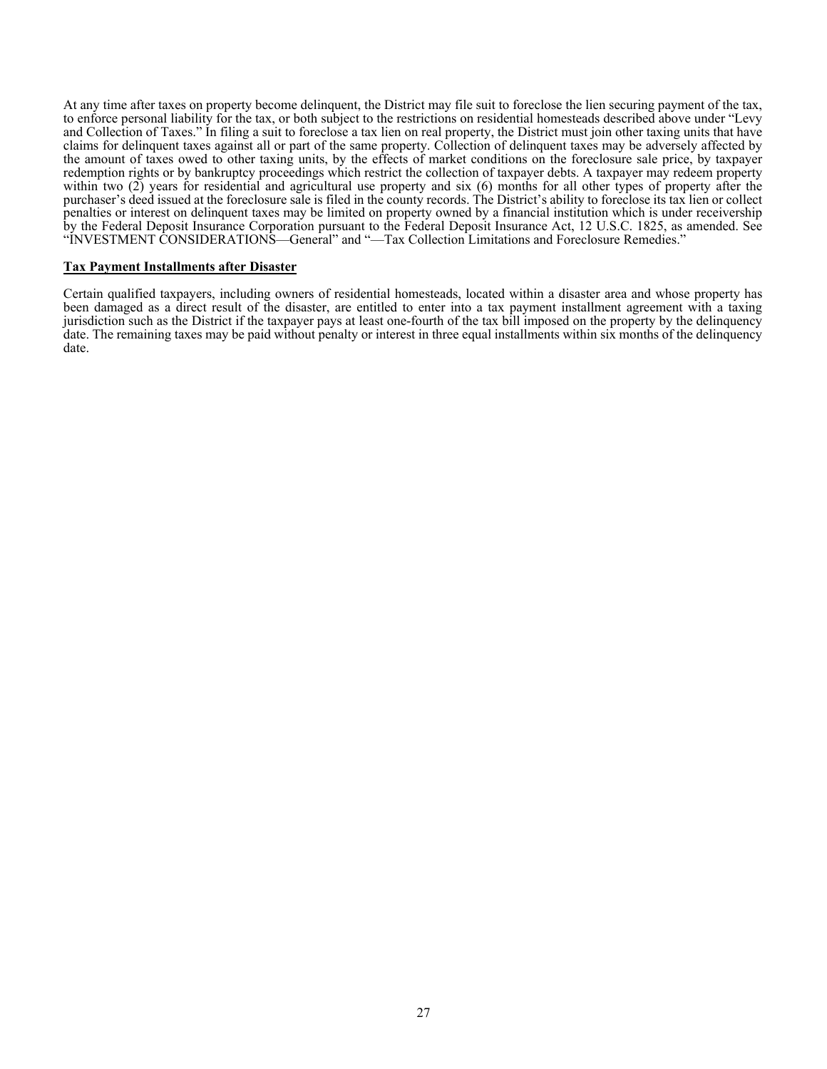At any time after taxes on property become delinquent, the District may file suit to foreclose the lien securing payment of the tax, to enforce personal liability for the tax, or both subject to the restrictions on residential homesteads described above under "Levy and Collection of Taxes." In filing a suit to foreclose a tax lien on real property, the District must join other taxing units that have claims for delinquent taxes against all or part of the same property. Collection of delinquent taxes may be adversely affected by the amount of taxes owed to other taxing units, by the effects of market conditions on the foreclosure sale price, by taxpayer redemption rights or by bankruptcy proceedings which restrict the collection of taxpayer debts. A taxpayer may redeem property within two (2) years for residential and agricultural use property and six (6) months for all other types of property after the purchaser's deed issued at the foreclosure sale is filed in the county records. The District's ability to foreclose its tax lien or collect penalties or interest on delinquent taxes may be limited on property owned by a financial institution which is under receivership by the Federal Deposit Insurance Corporation pursuant to the Federal Deposit Insurance Act, 12 U.S.C. 1825, as amended. See "INVESTMENT CONSIDERATIONS—General" and "—Tax Collection Limitations and Foreclosure Remedies."

#### **Tax Payment Installments after Disaster**

Certain qualified taxpayers, including owners of residential homesteads, located within a disaster area and whose property has been damaged as a direct result of the disaster, are entitled to enter into a tax payment installment agreement with a taxing jurisdiction such as the District if the taxpayer pays at least one-fourth of the tax bill imposed on the property by the delinquency date. The remaining taxes may be paid without penalty or interest in three equal installments within six months of the delinquency date.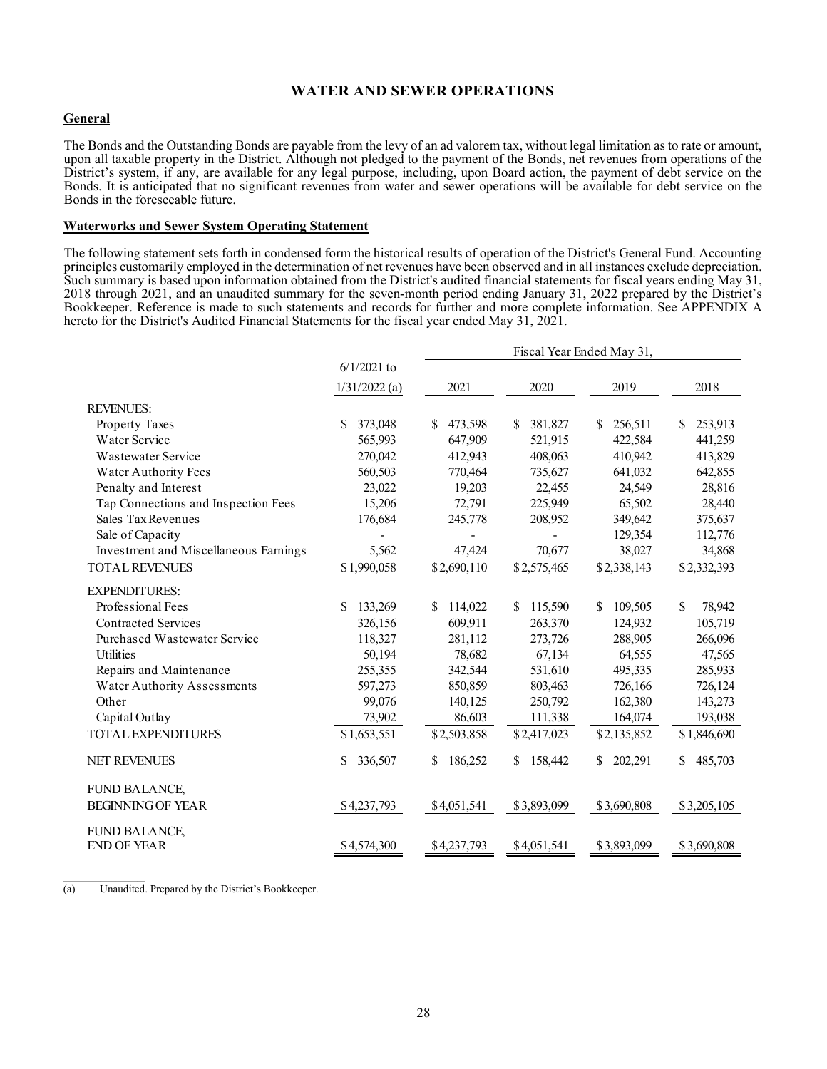## **WATER AND SEWER OPERATIONS**

## **General**

The Bonds and the Outstanding Bonds are payable from the levy of an ad valorem tax, without legal limitation as to rate or amount, upon all taxable property in the District. Although not pledged to the payment of the Bonds, net revenues from operations of the District's system, if any, are available for any legal purpose, including, upon Board action, the payment of debt service on the Bonds. It is anticipated that no significant revenues from water and sewer operations will be available for debt service on the Bonds in the foreseeable future.

#### **Waterworks and Sewer System Operating Statement**

The following statement sets forth in condensed form the historical results of operation of the District's General Fund. Accounting principles customarily employed in the determination of net revenues have been observed and in all instances exclude depreciation. Such summary is based upon information obtained from the District's audited financial statements for fiscal years ending May 31, 2018 through 2021, and an unaudited summary for the seven-month period ending January 31, 2022 prepared by the District's Bookkeeper. Reference is made to such statements and records for further and more complete information. See APPENDIX A hereto for the District's Audited Financial Statements for the fiscal year ended May 31, 2021.

|                                       |                 | Fiscal Year Ended May 31, |               |               |               |  |  |
|---------------------------------------|-----------------|---------------------------|---------------|---------------|---------------|--|--|
|                                       | $6/1/2021$ to   |                           |               |               |               |  |  |
|                                       | $1/31/2022$ (a) | 2021                      | 2020          | 2019          | 2018          |  |  |
| <b>REVENUES:</b>                      |                 |                           |               |               |               |  |  |
| Property Taxes                        | \$<br>373,048   | 473,598<br>S              | 381,827<br>S. | 256,511<br>S  | 253,913<br>\$ |  |  |
| Water Service                         | 565,993         | 647,909                   | 521,915       | 422,584       | 441,259       |  |  |
| Wastewater Service                    | 270,042         | 412,943                   | 408,063       | 410,942       | 413,829       |  |  |
| Water Authority Fees                  | 560,503         | 770,464                   | 735,627       | 641,032       | 642,855       |  |  |
| Penalty and Interest                  | 23,022          | 19,203                    | 22,455        | 24,549        | 28,816        |  |  |
| Tap Connections and Inspection Fees   | 15,206          | 72,791                    | 225,949       | 65,502        | 28,440        |  |  |
| Sales Tax Revenues                    | 176,684         | 245,778                   | 208,952       | 349,642       | 375,637       |  |  |
| Sale of Capacity                      |                 |                           |               | 129,354       | 112,776       |  |  |
| Investment and Miscellaneous Earnings | 5,562           | 47,424                    | 70,677        | 38,027        | 34,868        |  |  |
| <b>TOTAL REVENUES</b>                 | \$1,990,058     | \$2,690,110               | \$2,575,465   | \$2,338,143   | \$2,332,393   |  |  |
| <b>EXPENDITURES:</b>                  |                 |                           |               |               |               |  |  |
| Professional Fees                     | \$<br>133,269   | 114,022<br>S              | 115,590<br>S. | 109,505<br>\$ | \$<br>78,942  |  |  |
| <b>Contracted Services</b>            | 326,156         | 609,911                   | 263,370       | 124,932       | 105,719       |  |  |
| Purchased Wastewater Service          | 118,327         | 281,112                   | 273,726       | 288,905       | 266,096       |  |  |
| Utilities                             | 50,194          | 78,682                    | 67,134        | 64,555        | 47,565        |  |  |
| Repairs and Maintenance               | 255,355         | 342,544                   | 531,610       | 495,335       | 285,933       |  |  |
| Water Authority Assessments           | 597,273         | 850,859                   | 803,463       | 726,166       | 726,124       |  |  |
| Other                                 | 99,076          | 140,125                   | 250,792       | 162,380       | 143,273       |  |  |
| Capital Outlay                        | 73,902          | 86,603                    | 111,338       | 164,074       | 193,038       |  |  |
| <b>TOTAL EXPENDITURES</b>             | \$1,653,551     | \$2,503,858               | \$2,417,023   | \$2,135,852   | \$1,846,690   |  |  |
| <b>NET REVENUES</b>                   | \$<br>336,507   | 186,252<br>S              | 158,442<br>S. | 202,291<br>S. | 485,703<br>S. |  |  |
| <b>FUND BALANCE,</b>                  |                 |                           |               |               |               |  |  |
| <b>BEGINNING OF YEAR</b>              | \$4,237,793     | \$4,051,541               | \$3,893,099   | \$3,690,808   | \$3,205,105   |  |  |
| FUND BALANCE,                         |                 |                           |               |               |               |  |  |
| <b>END OF YEAR</b>                    | \$4,574,300     | \$4,237,793               | \$4,051,541   | \$3,893,099   | \$3,690,808   |  |  |

(a) Unaudited. Prepared by the District's Bookkeeper.

 $\mathcal{L}_\text{max}$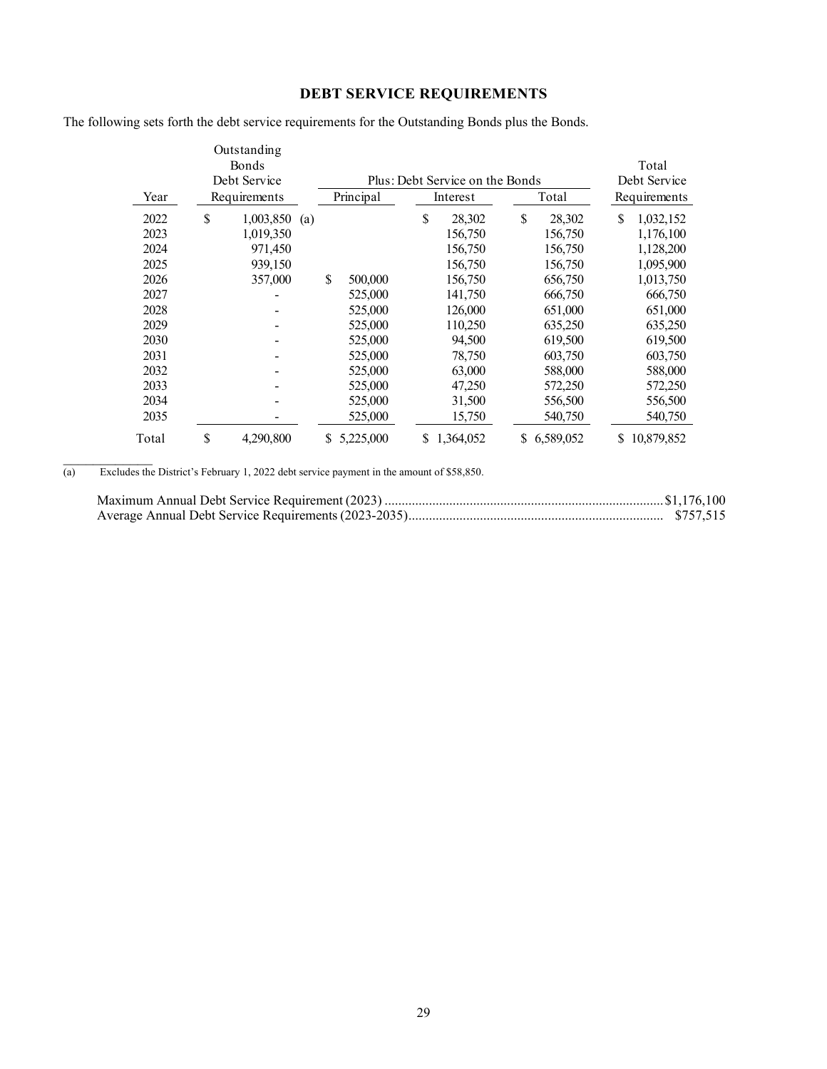# **DEBT SERVICE REQUIREMENTS**

The following sets forth the debt service requirements for the Outstanding Bonds plus the Bonds.

|       | Outstanding<br>Bonds |     |    |           |    |                                 |    |           |    | Total        |  |
|-------|----------------------|-----|----|-----------|----|---------------------------------|----|-----------|----|--------------|--|
|       | Debt Service         |     |    |           |    | Plus: Debt Service on the Bonds |    |           |    | Debt Service |  |
| Year  | Requirements         |     |    | Principal |    | Interest                        |    | Total     |    | Requirements |  |
| 2022  | \$<br>1,003,850      | (a) |    |           | \$ | 28,302                          | \$ | 28,302    | \$ | 1,032,152    |  |
| 2023  | 1,019,350            |     |    |           |    | 156,750                         |    | 156,750   |    | 1,176,100    |  |
| 2024  | 971,450              |     |    |           |    | 156,750                         |    | 156,750   |    | 1,128,200    |  |
| 2025  | 939,150              |     |    |           |    | 156,750                         |    | 156,750   |    | 1,095,900    |  |
| 2026  | 357,000              |     | \$ | 500,000   |    | 156,750                         |    | 656,750   |    | 1,013,750    |  |
| 2027  |                      |     |    | 525,000   |    | 141,750                         |    | 666,750   |    | 666,750      |  |
| 2028  |                      |     |    | 525,000   |    | 126,000                         |    | 651,000   |    | 651,000      |  |
| 2029  |                      |     |    | 525,000   |    | 110,250                         |    | 635,250   |    | 635,250      |  |
| 2030  |                      |     |    | 525,000   |    | 94,500                          |    | 619,500   |    | 619,500      |  |
| 2031  |                      |     |    | 525,000   |    | 78,750                          |    | 603,750   |    | 603,750      |  |
| 2032  |                      |     |    | 525,000   |    | 63,000                          |    | 588,000   |    | 588,000      |  |
| 2033  |                      |     |    | 525,000   |    | 47,250                          |    | 572,250   |    | 572,250      |  |
| 2034  |                      |     |    | 525,000   |    | 31,500                          |    | 556,500   |    | 556,500      |  |
| 2035  |                      |     |    | 525,000   |    | 15,750                          |    | 540,750   |    | 540,750      |  |
| Total | \$<br>4,290,800      |     | S  | 5,225,000 | S. | 1,364,052                       | S. | 6,589,052 | S. | 10,879,852   |  |

(a) Excludes the District's February 1, 2022 debt service payment in the amount of \$58,850.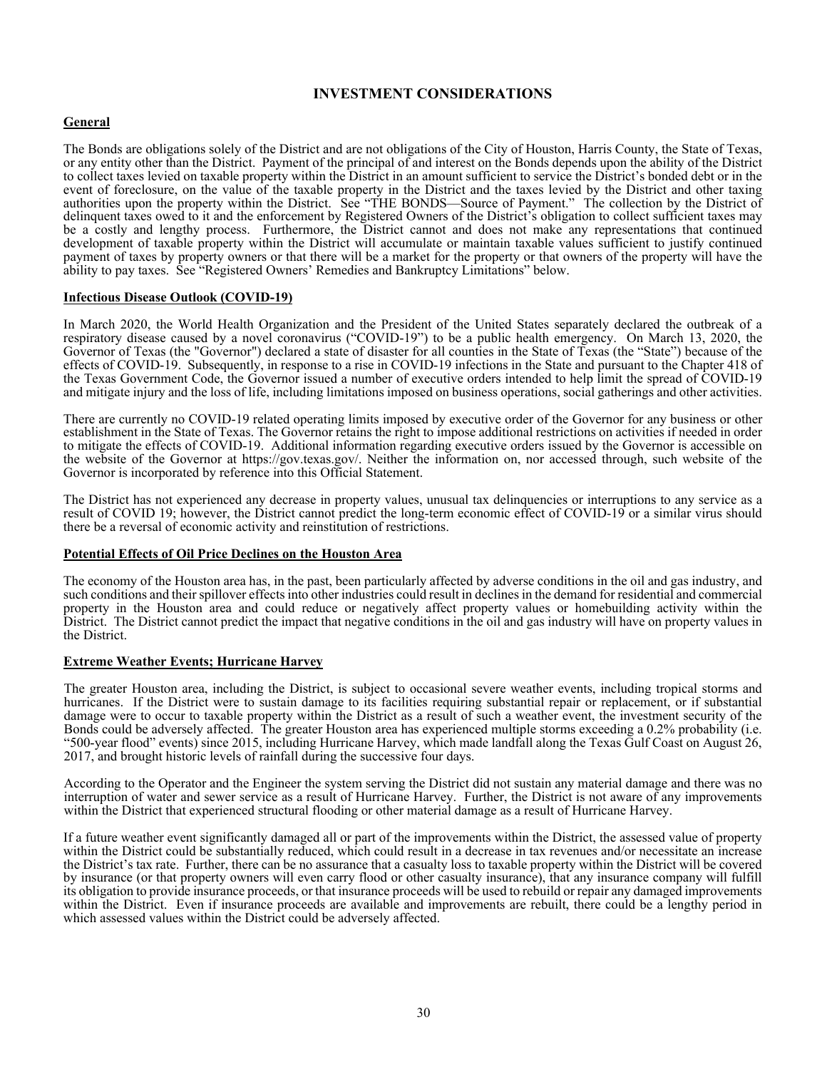## **INVESTMENT CONSIDERATIONS**

## **General**

The Bonds are obligations solely of the District and are not obligations of the City of Houston, Harris County, the State of Texas, or any entity other than the District. Payment of the principal of and interest on the Bonds depends upon the ability of the District to collect taxes levied on taxable property within the District in an amount sufficient to service the District's bonded debt or in the event of foreclosure, on the value of the taxable property in the District and the taxes levied by the District and other taxing authorities upon the property within the District. See "THE BONDS—Source of Payment." The collection by the District of delinquent taxes owed to it and the enforcement by Registered Owners of the District's obligation to collect sufficient taxes may be a costly and lengthy process. Furthermore, the District cannot and does not make any representations that continued development of taxable property within the District will accumulate or maintain taxable values sufficient to justify continued payment of taxes by property owners or that there will be a market for the property or that owners of the property will have the ability to pay taxes. See "Registered Owners' Remedies and Bankruptcy Limitations" below.

## **Infectious Disease Outlook (COVID-19)**

In March 2020, the World Health Organization and the President of the United States separately declared the outbreak of a respiratory disease caused by a novel coronavirus ("COVID-19") to be a public health emergency. On March 13, 2020, the Governor of Texas (the "Governor") declared a state of disaster for all counties in the State of Texas (the "State") because of the effects of COVID-19. Subsequently, in response to a rise in COVID-19 infections in the State and pursuant to the Chapter 418 of the Texas Government Code, the Governor issued a number of executive orders intended to help limit the spread of COVID-19 and mitigate injury and the loss of life, including limitations imposed on business operations, social gatherings and other activities.

There are currently no COVID-19 related operating limits imposed by executive order of the Governor for any business or other establishment in the State of Texas. The Governor retains the right to impose additional restrictions on activities if needed in order to mitigate the effects of COVID-19. Additional information regarding executive orders issued by the Governor is accessible on the website of the Governor at https://gov.texas.gov/. Neither the information on, nor accessed through, such website of the Governor is incorporated by reference into this Official Statement.

The District has not experienced any decrease in property values, unusual tax delinquencies or interruptions to any service as a result of COVID 19; however, the District cannot predict the long-term economic effect of COVID-19 or a similar virus should there be a reversal of economic activity and reinstitution of restrictions.

#### **Potential Effects of Oil Price Declines on the Houston Area**

The economy of the Houston area has, in the past, been particularly affected by adverse conditions in the oil and gas industry, and such conditions and their spillover effects into other industries could result in declines in the demand for residential and commercial property in the Houston area and could reduce or negatively affect property values or homebuilding activity within the District. The District cannot predict the impact that negative conditions in the oil and gas industry will have on property values in the District.

#### **Extreme Weather Events; Hurricane Harvey**

The greater Houston area, including the District, is subject to occasional severe weather events, including tropical storms and hurricanes. If the District were to sustain damage to its facilities requiring substantial repair or replacement, or if substantial damage were to occur to taxable property within the District as a result of such a weather event, the investment security of the Bonds could be adversely affected. The greater Houston area has experienced multiple storms exceeding a 0.2% probability (i.e. "500‐year flood" events) since 2015, including Hurricane Harvey, which made landfall along the Texas Gulf Coast on August 26, 2017, and brought historic levels of rainfall during the successive four days.

According to the Operator and the Engineer the system serving the District did not sustain any material damage and there was no interruption of water and sewer service as a result of Hurricane Harvey. Further, the District is not aware of any improvements within the District that experienced structural flooding or other material damage as a result of Hurricane Harvey.

If a future weather event significantly damaged all or part of the improvements within the District, the assessed value of property within the District could be substantially reduced, which could result in a decrease in tax revenues and/or necessitate an increase the District's tax rate. Further, there can be no assurance that a casualty loss to taxable property within the District will be covered by insurance (or that property owners will even carry flood or other casualty insurance), that any insurance company will fulfill its obligation to provide insurance proceeds, or that insurance proceeds will be used to rebuild or repair any damaged improvements within the District. Even if insurance proceeds are available and improvements are rebuilt, there could be a lengthy period in which assessed values within the District could be adversely affected.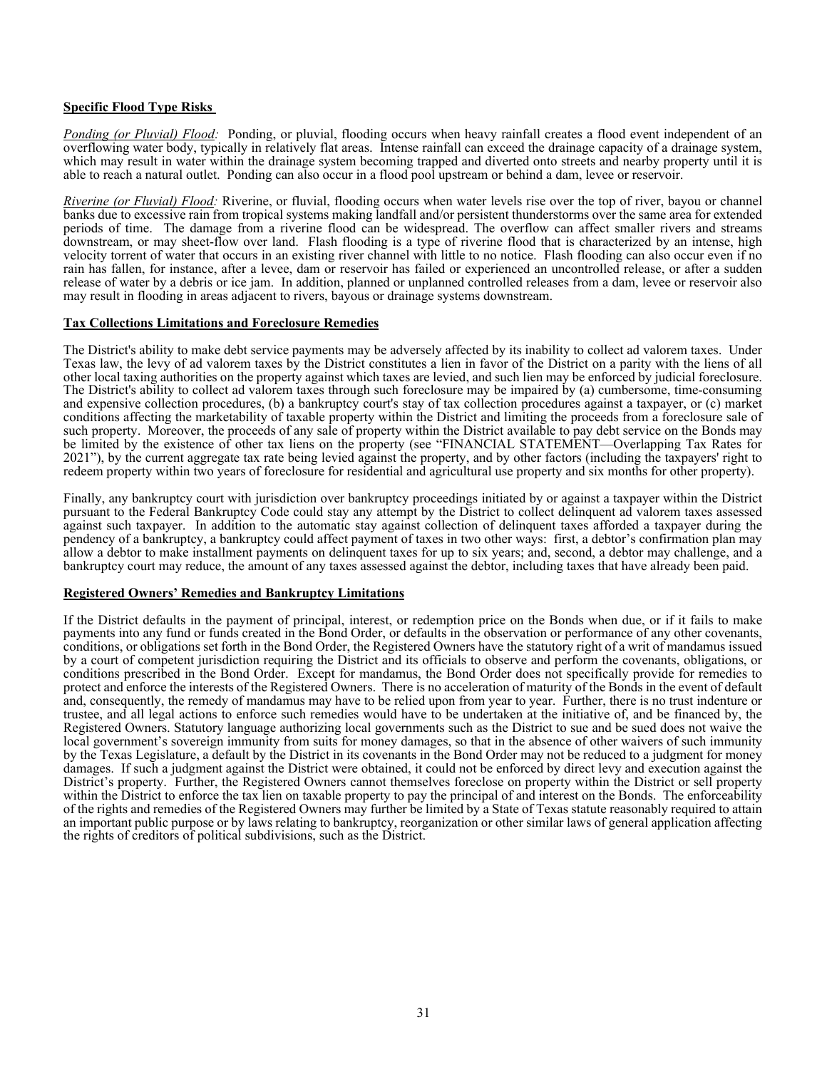## **Specific Flood Type Risks**

*Ponding (or Pluvial) Flood:* Ponding, or pluvial, flooding occurs when heavy rainfall creates a flood event independent of an overflowing water body, typically in relatively flat areas. Intense rainfall can exceed the drainage capacity of a drainage system, which may result in water within the drainage system becoming trapped and diverted onto streets and nearby property until it is able to reach a natural outlet. Ponding can also occur in a flood pool upstream or behind a dam, levee or reservoir.

*Riverine (or Fluvial) Flood:* Riverine, or fluvial, flooding occurs when water levels rise over the top of river, bayou or channel banks due to excessive rain from tropical systems making landfall and/or persistent thunderstorms over the same area for extended periods of time. The damage from a riverine flood can be widespread. The overflow can affect smaller rivers and streams downstream, or may sheet-flow over land. Flash flooding is a type of riverine flood that is characterized by an intense, high velocity torrent of water that occurs in an existing river channel with little to no notice. Flash flooding can also occur even if no rain has fallen, for instance, after a levee, dam or reservoir has failed or experienced an uncontrolled release, or after a sudden release of water by a debris or ice jam. In addition, planned or unplanned controlled releases from a dam, levee or reservoir also may result in flooding in areas adjacent to rivers, bayous or drainage systems downstream.

## **Tax Collections Limitations and Foreclosure Remedies**

The District's ability to make debt service payments may be adversely affected by its inability to collect ad valorem taxes. Under Texas law, the levy of ad valorem taxes by the District constitutes a lien in favor of the District on a parity with the liens of all other local taxing authorities on the property against which taxes are levied, and such lien may be enforced by judicial foreclosure. The District's ability to collect ad valorem taxes through such foreclosure may be impaired by (a) cumbersome, time-consuming and expensive collection procedures, (b) a bankruptcy court's stay of tax collection procedures against a taxpayer, or (c) market conditions affecting the marketability of taxable property within the District and limiting the proceeds from a foreclosure sale of such property. Moreover, the proceeds of any sale of property within the District available to pay debt service on the Bonds may be limited by the existence of other tax liens on the property (see "FINANCIAL STATEMENT—Overlapping Tax Rates for 2021"), by the current aggregate tax rate being levied against the property, and by other factors (including the taxpayers' right to redeem property within two years of foreclosure for residential and agricultural use property and six months for other property).

Finally, any bankruptcy court with jurisdiction over bankruptcy proceedings initiated by or against a taxpayer within the District pursuant to the Federal Bankruptcy Code could stay any attempt by the District to collect delinquent ad valorem taxes assessed against such taxpayer. In addition to the automatic stay against collection of delinquent taxes afforded a taxpayer during the pendency of a bankruptcy, a bankruptcy could affect payment of taxes in two other ways: first, a debtor's confirmation plan may allow a debtor to make installment payments on delinquent taxes for up to six years; and, second, a debtor may challenge, and a bankruptcy court may reduce, the amount of any taxes assessed against the debtor, including taxes that have already been paid.

#### **Registered Owners' Remedies and Bankruptcy Limitations**

If the District defaults in the payment of principal, interest, or redemption price on the Bonds when due, or if it fails to make payments into any fund or funds created in the Bond Order, or defaults in the observation or performance of any other covenants, conditions, or obligations set forth in the Bond Order, the Registered Owners have the statut by a court of competent jurisdiction requiring the District and its officials to observe and perform the covenants, obligations, or conditions prescribed in the Bond Order. Except for mandamus, the Bond Order does not specifically provide for remedies to protect and enforce the interests of the Registered Owners. There is no acceleration of maturity of the Bonds in the event of default and, consequently, the remedy of mandamus may have to be relied upon from year to year. Further, there is no trust indenture or trustee, and all legal actions to enforce such remedies would have to be undertaken at the initiative of, and be financed by, the Registered Owners. Statutory language authorizing local governments such as the District to sue and be sued does not waive the local government's sovereign immunity from suits for money damages, so that in the absence of other waivers of such immunity by the Texas Legislature, a default by the District in its covenants in the Bond Order may not be reduced to a judgment for money damages. If such a judgment against the District were obtained, it could not be enforced by direct levy and execution against the District's property. Further, the Registered Owners cannot themselves foreclose on property within the District or sell property within the District to enforce the tax lien on taxable property to pay the principal of and interest on the Bonds. The enforceability of the rights and remedies of the Registered Owners may further be limited by a State of Texas statute reasonably required to attain an important public purpose or by laws relating to bankruptcy, reorganization or other similar laws of general application affecting the rights of creditors of political subdivisions, such as the District.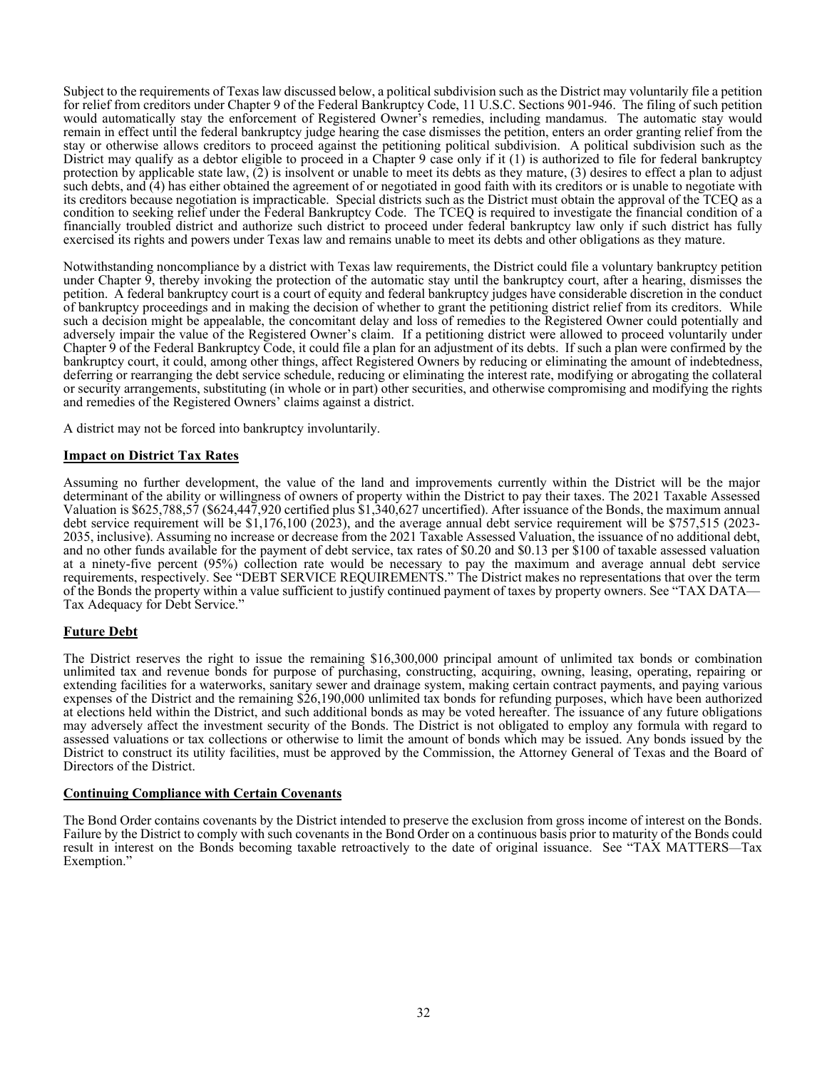Subject to the requirements of Texas law discussed below, a political subdivision such as the District may voluntarily file a petition for relief from creditors under Chapter 9 of the Federal Bankruptcy Code, 11 U.S.C. Sections 901-946. The filing of such petition would automatically stay the enforcement of Registered Owner's remedies, including mandamus. The automatic stay would remain in effect until the federal bankruptcy judge hearing the case dismisses the petition, enters an order granting relief from the stay or otherwise allows creditors to proceed against the petitioning political subdivision. A political subdivision such as the District may qualify as a debtor eligible to proceed in a Chapter 9 case only if it (1) is authorized to file for federal bankruptcy protection by applicable state law, (2) is insolvent or unable to meet its debts as they mature, (3) desires to effect a plan to adjust such debts, and (4) has either obtained the agreement of or negotiated in good faith with its creditors or is unable to negotiate with its creditors because negotiation is impracticable. Special districts such as the District must obtain the approval of the TCEQ as a condition to seeking relief under the Federal Bankruptcy Code. The TCEQ is required to investigate the financial condition of a financially troubled district and authorize such district to proceed under federal bankruptcy law only if such district has fully exercised its rights and powers under Texas law and remains unable to meet its debts and other obligations as they mature.

Notwithstanding noncompliance by a district with Texas law requirements, the District could file a voluntary bankruptcy petition under Chapter  $\overline{9}$ , thereby invoking the protection of the automatic stay until the bankruptcy court, after a hearing, dismisses the petition. A federal bankruptcy court is a court of equity and federal bankruptcy judges have considerable discretion in the conduct of bankruptcy proceedings and in making the decision of whether to grant the petitioning district relief from its creditors. While such a decision might be appealable, the concomitant delay and loss of remedies to the Registered Owner could potentially and adversely impair the value of the Registered Owner's claim. If a petitioning district were allowed to proceed voluntarily under Chapter 9 of the Federal Bankruptcy Code, it could file a plan for an adjustment of its debts. If such a plan were confirmed by the bankruptcy court, it could, among other things, affect Registered Owners by reducing or eliminating the amount of indebtedness, deferring or rearranging the debt service schedule, reducing or eliminating the interest rate, modifying or abrogating the collateral or security arrangements, substituting (in whole or in part) other securities, and otherwise compromising and modifying the rights and remedies of the Registered Owners' claims against a district.

A district may not be forced into bankruptcy involuntarily.

## **Impact on District Tax Rates**

Assuming no further development, the value of the land and improvements currently within the District will be the major determinant of the ability or willingness of owners of property within the District to pay their taxes. The 2021 Taxable Assessed Valuation is \$625,788,57 (\$624,447,920 certified plus \$1,340,627 uncertified). After issuance of the Bonds, the maximum annual debt service requirement will be \$1,176,100 (2023), and the average annual debt service requirement will be \$757,515 (2023- 2035, inclusive). Assuming no increase or decrease from the 2021 Taxable Assessed Valuation, the issuance of no additional debt, and no other funds available for the payment of debt service, tax rates of \$0.20 and \$0.13 pe at a ninety-five percent (95%) collection rate would be necessary to pay the maximum and average annual debt service requirements, respectively. See "DEBT SERVICE REQUIREMENTS." The District makes no representations that over the term of the Bonds the property within a value sufficient to justify continued payment of taxes by property owners. See "TAX DATA— Tax Adequacy for Debt Service."

## **Future Debt**

The District reserves the right to issue the remaining \$16,300,000 principal amount of unlimited tax bonds or combination unlimited tax and revenue bonds for purpose of purchasing, constructing, acquiring, owning, leasing, operating, repairing or extending facilities for a waterworks, sanitary sewer and drainage system, making certain contract payments, and paying various expenses of the District and the remaining \$26,190,000 unlimited tax bonds for refunding purposes, which have been authorized at elections held within the District, and such additional bonds as may be voted hereafter. The issuance of any future obligations may adversely affect the investment security of the Bonds. The District is not obligated to employ any formula with regard to assessed valuations or tax collections or otherwise to limit the amount of bonds which may be issued. Any bonds issued by the District to construct its utility facilities, must be approved by the Commission, the Attorney General of Texas and the Board of Directors of the District.

#### **Continuing Compliance with Certain Covenants**

The Bond Order contains covenants by the District intended to preserve the exclusion from gross income of interest on the Bonds.<br>Failure by the District to comply with such covenants in the Bond Order on a continuous basis result in interest on the Bonds becoming taxable retroactively to the date of original issuance. See "TAX MATTERS—Tax Exemption."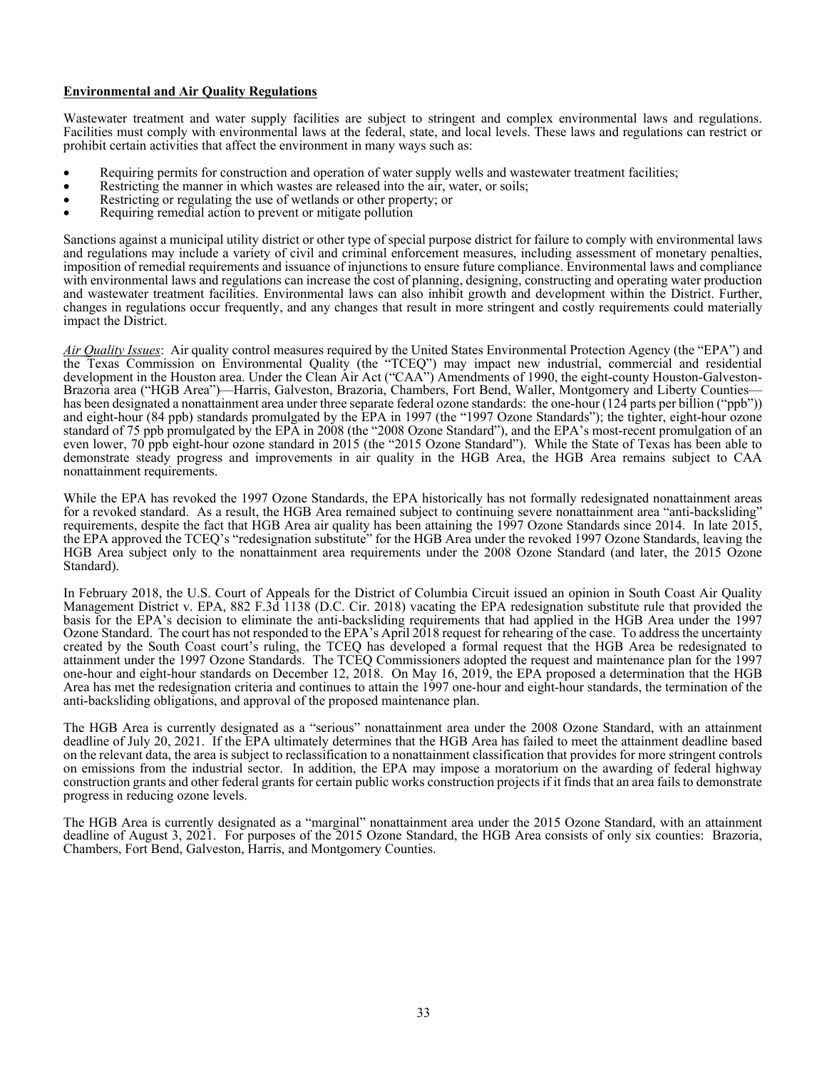## **Environmental and Air Quality Regulations**

Wastewater treatment and water supply facilities are subject to stringent and complex environmental laws and regulations. Facilities must comply with environmental laws at the federal, state, and local levels. These laws and regulations can restrict or prohibit certain activities that affect the environment in many ways such as:

- Requiring permits for construction and operation of water supply wells and wastewater treatment facilities; Restricting the manner in which wastes are released into the air, water, or soils;
- 
- Restricting or regulating the use of wetlands or other property; or
- Requiring remedial action to prevent or mitigate pollution

Sanctions against a municipal utility district or other type of special purpose district for failure to comply with environmental laws and regulations may include a variety of civil and criminal enforcement measures, including assessment of monetary penalties, imposition of remedial requirements and issuance of injunctions to ensure future compliance. Environmental laws and compliance with environmental laws and regulations can increase the cost of planning, designing, constructing and operating water production and wastewater treatment facilities. Environmental laws can also inhibit growth and development within the District. Further, changes in regulations occur frequently, and any changes that result in more stringent and costly requirements could materially impact the District.

*Air Quality Issues*: Air quality control measures required by the United States Environmental Protection Agency (the "EPA") and the Texas Commission on Environmental Quality (the "TCEQ") may impact new industrial, commercial and residential development in the Houston area. Under the Clean Air Act ("CAA") Amendments of 1990, the eight-county Houston-Galveston-Brazoria area ("HGB Area")—Harris, Galveston, Brazoria, Chambers, Fort Bend, Waller, Montgomery and Liberty Counties has been designated a nonattainment area under three separate federal ozone standards: the one-hour (124 parts per billion ("ppb")) and eight-hour (84 ppb) standards promulgated by the EPA in 1997 (the "1997 Ozone Standards"); the tighter, eight-hour ozone standard of 75 ppb promulgated by the EPA in 2008 (the "2008 Ozone Standard"), and the EPA's most-recent promulgation of an even lower, 70 ppb eight-hour ozone standard in 2015 (the "2015 Ozone Standard"). While the State of Texas has been able to demonstrate steady progress and improvements in air quality in the HGB Area, the HGB Area remains subject to CAA nonattainment requirements.

While the EPA has revoked the 1997 Ozone Standards, the EPA historically has not formally redesignated nonattainment areas for a revoked standard. As a result, the HGB Area remained subject to continuing severe nonattainment area "anti-backsliding" requirements, despite the fact that HGB Area air quality has been attaining the 1997 Ozone Standards since 2014. In late 2015, the EPA approved the TCEQ's "redesignation substitute" for the HGB Area under the revoked 1997 Ozone Standards, leaving the HGB Area subject only to the nonattainment area requirements under the 2008 Ozone Standard (and later, the 2015 Ozone Standard).

In February 2018, the U.S. Court of Appeals for the District of Columbia Circuit issued an opinion in South Coast Air Quality Management District v. EPA, 882 F.3d 1138 (D.C. Cir. 2018) vacating the EPA redesignation substitute rule that provided the basis for the EPA's decision to eliminate the anti-backsliding requirements that had applied in the HGB Area under the 1997 Ozone Standard. The court has not responded to the EPA's April 2018 request for rehearing of the case. To address the uncertainty created by the South Coast court's ruling, the TCEQ has developed a formal request that the HGB Area be redesignated to attainment under the 1997 Ozone Standards. The TCEQ Commissioners adopted the request and maintenance plan for the 1997 one-hour and eight-hour standards on December 12, 2018. On May 16, 2019, the EPA proposed a determination that the HGB Area has met the redesignation criteria and continues to attain the 1997 one-hour and eight-hour standards, the termination of the anti-backsliding obligations, and approval of the proposed maintenance plan.

The HGB Area is currently designated as a "serious" nonattainment area under the 2008 Ozone Standard, with an attainment deadline of July 20, 2021. If the EPA ultimately determines that the HGB Area has failed to meet the attainment deadline based on the relevant data, the area is subject to reclassification to a nonattainment classification that provides for more stringent controls on emissions from the industrial sector. In addition, the EPA may impose a moratorium on the awarding of federal highway construction grants and other federal grants for certain public works construction projects if it finds that an area fails to demonstrate progress in reducing ozone levels.

The HGB Area is currently designated as a "marginal" nonattainment area under the 2015 Ozone Standard, with an attainment deadline of August 3, 2021. For purposes of the 2015 Ozone Standard, the HGB Area consists of only six counties: Brazoria, Chambers, Fort Bend, Galveston, Harris, and Montgomery Counties.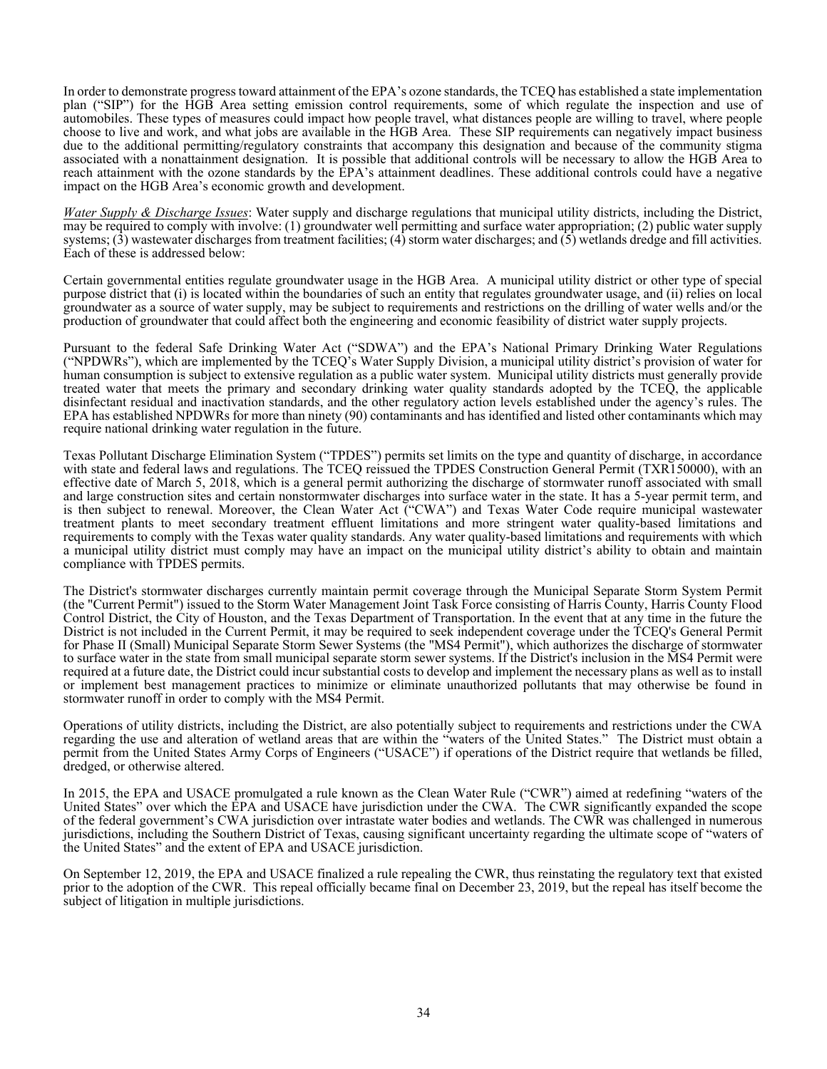In order to demonstrate progress toward attainment of the EPA's ozone standards, the TCEQ has established a state implementation plan ("SIP") for the HGB Area setting emission control requirements, some of which regulate the inspection and use of automobiles. These types of measures could impact how people travel, what distances people are willing to travel, where people choose to live and work, and what jobs are available in the HGB Area. These SIP requirements can negatively impact business due to the additional permitting/regulatory constraints that accompany this designation and because of the community stigma associated with a nonattainment designation. It is possible that additional controls will be necessary to allow the HGB Area to reach attainment with the ozone standards by the EPA's attainment deadlines. These additional controls could have a negative impact on the HGB Area's economic growth and development.

*Water Supply & Discharge Issues*: Water supply and discharge regulations that municipal utility districts, including the District, may be required to comply with involve: (1) groundwater well permitting and surface water appropriation; (2) public water supply systems;  $(3)$  wastewater discharges from treatment facilities;  $(4)$  storm water discharges; and  $(5)$  wetlands dredge and fill activities. Each of these is addressed below:

Certain governmental entities regulate groundwater usage in the HGB Area. A municipal utility district or other type of special purpose district that (i) is located within the boundaries of such an entity that regulates groundwater usage, and (ii) relies on local groundwater as a source of water supply, may be subject to requirements and restrictions on the drilling of water wells and/or the production of groundwater that could affect both the engineering and economic feasibility of district water supply projects.

Pursuant to the federal Safe Drinking Water Act ("SDWA") and the EPA's National Primary Drinking Water Regulations ("NPDWRs"), which are implemented by the TCEQ's Water Supply Division, a municipal utility district's provision of water for human consumption is subject to extensive regulation as a public water system. Municipal utility districts must generally provide treated water that meets the primary and secondary drinking water quality standards adopted by the TCEQ, the applicable disinfectant residual and inactivation standards, and the other regulatory action levels established under the agency's rules. The EPA has established NPDWRs for more than ninety (90) contaminants and has identified and listed other contaminants which may require national drinking water regulation in the future.

Texas Pollutant Discharge Elimination System ("TPDES") permits set limits on the type and quantity of discharge, in accordance with state and federal laws and regulations. The TCEQ reissued the TPDES Construction General Permit (TXR150000), with an effective date of March 5, 2018, which is a general permit authorizing the discharge of stormwater runoff associated with small and large construction sites and certain nonstormwater discharges into surface water in the state. It has a 5-year permit term, and is then subject to renewal. Moreover, the Clean Water Act ("CWA") and Texas Water Code require municipal wastewater treatment plants to meet secondary treatment effluent limitations and more stringent water quality-based limitations and requirements to comply with the Texas water quality standards. Any water quality-based limitations and requirements with which a municipal utility district must comply may have an impact on the municipal utility district's ability to obtain and maintain compliance with TPDES permits.

The District's stormwater discharges currently maintain permit coverage through the Municipal Separate Storm System Permit (the "Current Permit") issued to the Storm Water Management Joint Task Force consisting of Harris County, Harris County Flood Control District, the City of Houston, and the Texas Department of Transportation. In the event that at any time in the future the District is not included in the Current Permit, it may be required to seek independent coverage under the TCEQ's General Permit for Phase II (Small) Municipal Separate Storm Sewer Systems (the "MS4 Permit"), which authorizes the discharge of stormwater to surface water in the state from small municipal separate storm sewer systems. If the District's inclusion in the MS4 Permit were required at a future date, the District could incur substantial costs to develop and implement the necessary plans as well as to install or implement best management practices to minimize or eliminate unauthorized pollutants that may otherwise be found in stormwater runoff in order to comply with the MS4 Permit.

Operations of utility districts, including the District, are also potentially subject to requirements and restrictions under the CWA regarding the use and alteration of wetland areas that are within the "waters of the United States." The District must obtain a permit from the United States Army Corps of Engineers ("USACE") if operations of the District require that wetlands be filled, dredged, or otherwise altered.

In 2015, the EPA and USACE promulgated a rule known as the Clean Water Rule ("CWR") aimed at redefining "waters of the United States" over which the EPA and USACE have jurisdiction under the CWA. The CWR significantly expanded the scope of the federal government's CWA jurisdiction over intrastate water bodies and wetlands. The CWR was challenged in numerous jurisdictions, including the Southern District of Texas, causing significant uncertainty regarding the ultimate scope of "waters of the United States" and the extent of EPA and USACE jurisdiction.

On September 12, 2019, the EPA and USACE finalized a rule repealing the CWR, thus reinstating the regulatory text that existed prior to the adoption of the CWR. This repeal officially became final on December 23, 2019, but the repeal has itself become the subject of litigation in multiple jurisdictions.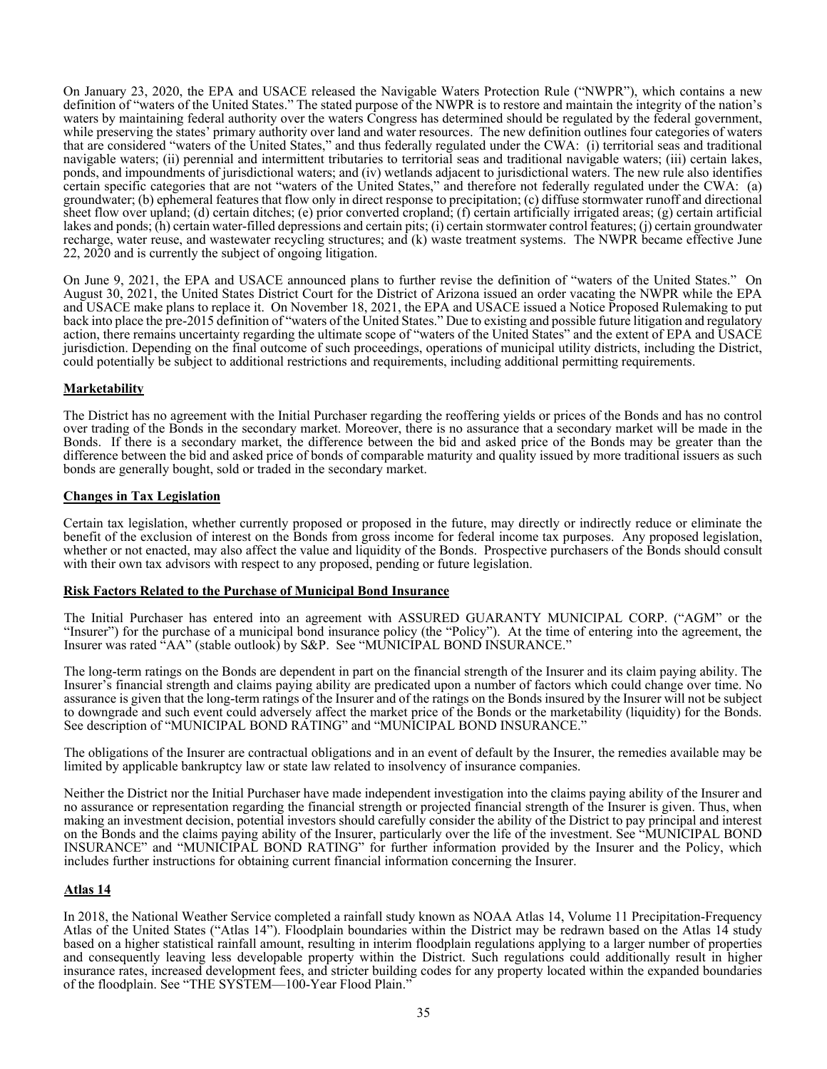On January 23, 2020, the EPA and USACE released the Navigable Waters Protection Rule ("NWPR"), which contains a new definition of "waters of the United States." The stated purpose of the NWPR is to restore and maintain the integrity of the nation's waters by maintaining federal authority over the waters Congress has determined should be regulated by the federal government, while preserving the states' primary authority over land and water resources. The new definition outlines four categories of waters that are considered "waters of the United States," and thus federally regulated under the CWA: (i) territorial seas and traditional navigable waters; (ii) perennial and intermittent tributaries to territorial seas and traditional navigable waters; (iii) certain lakes, ponds, and impoundments of jurisdictional waters; and (iv) wetlands adjacent to jurisdictional waters. The new rule also identifies certain specific categories that are not "waters of the United States," and therefore not federally regulated under the CWA: (a) groundwater; (b) ephemeral features that flow only in direct response to precipitation; (c) diffuse stormwater runoff and directional sheet flow over upland; (d) certain ditches; (e) prior converted cropland; (f) certain artificially irrigated areas; (g) certain artificial lakes and ponds; (h) certain water-filled depressions and certain pits; (i) certain stormwater control features; (j) certain groundwater recharge, water reuse, and wastewater recycling structures; and (k) waste treatment systems. The NWPR became effective June 22, 2020 and is currently the subject of ongoing litigation.

On June 9, 2021, the EPA and USACE announced plans to further revise the definition of "waters of the United States." On August 30, 2021, the United States District Court for the District of Arizona issued an order vacating the NWPR while the EPA and USACE make plans to replace it. On November 18, 2021, the EPA and USACE issued a Notice Proposed Rulemaking to put back into place the pre-2015 definition of "waters of the United States." Due to existing and possible future litigation and regulatory action, there remains uncertainty regarding the ultimate scope of "waters of the United States" and the extent of EPA and USACE jurisdiction. Depending on the final outcome of such proceedings, operations of municipal utility districts, including the District, could potentially be subject to additional restrictions and requirements, including additional permitting requirements.

## **Marketability**

The District has no agreement with the Initial Purchaser regarding the reoffering yields or prices of the Bonds and has no control over trading of the Bonds in the secondary market. Moreover, there is no assurance that a secondary market will be made in the Bonds. If there is a secondary market, the difference between the bid and asked price of the Bonds may be greater than the difference between the bid and asked price of bonds of comparable maturity and quality issued by more traditional issuers as such bonds are generally bought, sold or traded in the secondary market.

## **Changes in Tax Legislation**

Certain tax legislation, whether currently proposed or proposed in the future, may directly or indirectly reduce or eliminate the benefit of the exclusion of interest on the Bonds from gross income for federal income tax purposes. Any proposed legislation, whether or not enacted, may also affect the value and liquidity of the Bonds. Prospective purchasers of the Bonds should consult with their own tax advisors with respect to any proposed, pending or future legislation.

#### **Risk Factors Related to the Purchase of Municipal Bond Insurance**

The Initial Purchaser has entered into an agreement with ASSURED GUARANTY MUNICIPAL CORP. ("AGM" or the "Insurer") for the purchase of a municipal bond insurance policy (the "Policy"). At the time of entering into the agreement, the Insurer was rated "AA" (stable outlook) by S&P. See "MUNICIPAL BOND INSURANCE."

The long-term ratings on the Bonds are dependent in part on the financial strength of the Insurer and its claim paying ability. The Insurer's financial strength and claims paying ability are predicated upon a number of factors which could change over time. No assurance is given that the long-term ratings of the Insurer and of the ratings on the Bonds insured by the Insurer will not be subject to downgrade and such event could adversely affect the market price of the Bonds or the marketability (liquidity) for the Bonds. See description of "MUNICIPAL BOND RATING" and "MUNICIPAL BOND INSURANCE."

The obligations of the Insurer are contractual obligations and in an event of default by the Insurer, the remedies available may be limited by applicable bankruptcy law or state law related to insolvency of insurance companies.

Neither the District nor the Initial Purchaser have made independent investigation into the claims paying ability of the Insurer and no assurance or representation regarding the financial strength or projected financial strength of the Insurer is given. Thus, when making an investment decision, potential investors should carefully consider the ability of the District to pay principal and interest on the Bonds and the claims paying ability of the Insurer, particularly over the life of the investment. See "MUNICIPAL BOND INSURANCE" and "MUNICIPAL BOND RATING" for further information provided by the Insurer and the Policy, which includes further instructions for obtaining current financial information concerning the Insurer.

## **Atlas 14**

In 2018, the National Weather Service completed a rainfall study known as NOAA Atlas 14, Volume 11 Precipitation-Frequency Atlas of the United States ("Atlas 14"). Floodplain boundaries within the District may be redrawn based on the Atlas 14 study based on a higher statistical rainfall amount, resulting in interim floodplain regulations applying to a larger number of properties and consequently leaving less developable property within the District. Such regulations could additionally result in higher insurance rates, increased development fees, and stricter building codes for any property located within the expanded boundaries of the floodplain. See "THE SYSTEM⸺100-Year Flood Plain."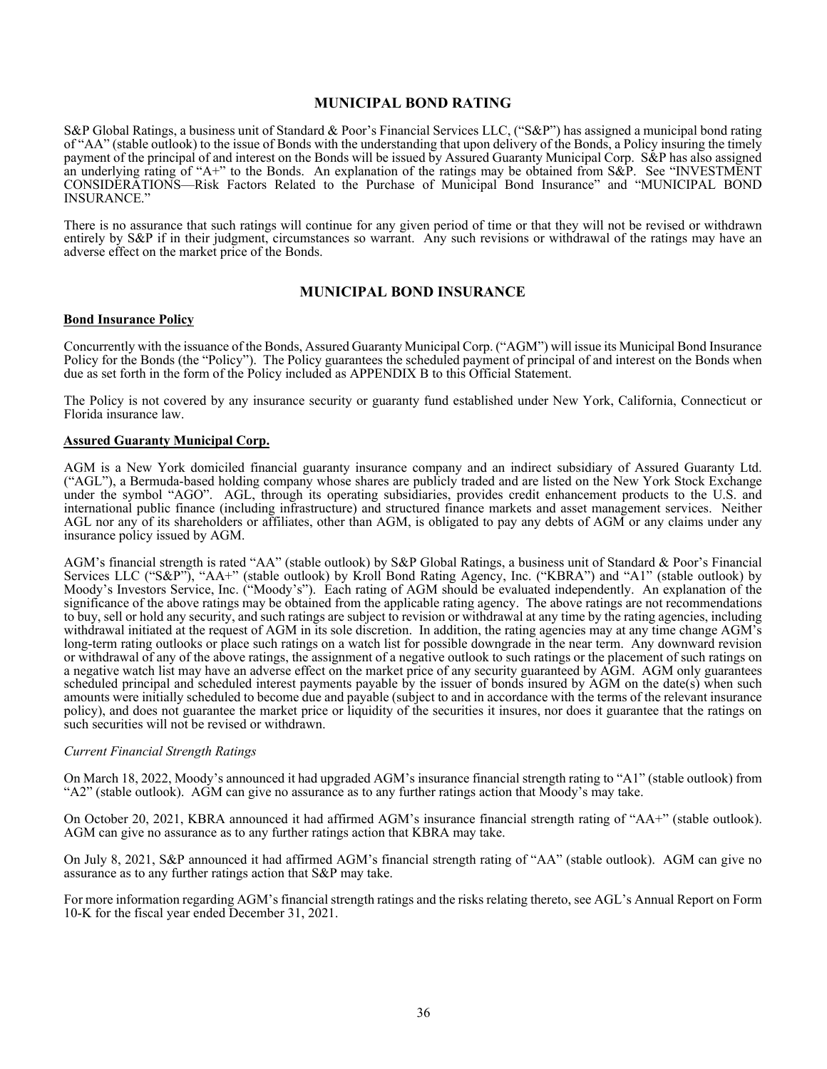## **MUNICIPAL BOND RATING**

S&P Global Ratings, a business unit of Standard & Poor's Financial Services LLC, ("S&P") has assigned a municipal bond rating of "AA" (stable outlook) to the issue of Bonds with the understanding that upon delivery of the Bonds, a Policy insuring the timely payment of the principal of and interest on the Bonds will be issued by Assured Guaranty Municipal Corp. S&P has also assigned an underlying rating of "A+" to the Bonds. An explanation of the ratings may be obtained from S&P. See "INVESTMENT CONSIDERATIONS—Risk Factors Related to the Purchase of Municipal Bond Insurance" and "MUNICIPAL BOND INSURANCE."

There is no assurance that such ratings will continue for any given period of time or that they will not be revised or withdrawn entirely by S&P if in their judgment, circumstances so warrant. Any such revisions or withdrawal of the ratings may have an adverse effect on the market price of the Bonds.

#### **MUNICIPAL BOND INSURANCE**

#### **Bond Insurance Policy**

Concurrently with the issuance of the Bonds, Assured Guaranty Municipal Corp. ("AGM") will issue its Municipal Bond Insurance Policy for the Bonds (the "Policy"). The Policy guarantees the scheduled payment of principal of and interest on the Bonds when due as set forth in the form of the Policy included as APPENDIX B to this Official Statement.

The Policy is not covered by any insurance security or guaranty fund established under New York, California, Connecticut or Florida insurance law.

#### **Assured Guaranty Municipal Corp.**

AGM is a New York domiciled financial guaranty insurance company and an indirect subsidiary of Assured Guaranty Ltd. ("AGL"), a Bermuda-based holding company whose shares are publicly traded and are listed on the New York Stock Exchange under the symbol "AGO". AGL, through its operating subsidiaries, provides credit enhancement products to the U.S. and international public finance (including infrastructure) and structured finance markets and asset management services. Neither AGL nor any of its shareholders or affiliates, other than AGM, is obligated to pay any debts of AGM or any claims under any insurance policy issued by AGM.

AGM's financial strength is rated "AA" (stable outlook) by S&P Global Ratings, a business unit of Standard & Poor's Financial Services LLC ("S&P"), "AA+" (stable outlook) by Kroll Bond Rating Agency, Inc. ("KBRA") and "A1" (stable outlook) by Moody's Investors Service, Inc. ("Moody's"). Each rating of AGM should be evaluated independently. An explanation of the significance of the above ratings may be obtained from the applicable rating agency. The above ratings are not recommendations to buy, sell or hold any security, and such ratings are subject to revision or withdrawal at any time by the rating agencies, including withdrawal initiated at the request of AGM in its sole discretion. In addition, the rating agencies may at any time change AGM's long-term rating outlooks or place such ratings on a watch list for possible downgrade in the near term. Any downward revision or withdrawal of any of the above ratings, the assignment of a negative outlook to such ratings or the placement of such ratings on a negative watch list may have an adverse effect on the market price of any security guaranteed by AGM. AGM only guarantees scheduled principal and scheduled interest payments payable by the issuer of bonds insured by AGM on the date(s) when such amounts were initially scheduled to become due and payable (subject to and in accordance with the terms of the relevant insurance policy), and does not guarantee the market price or liquidity of the securities it insures, nor does it guarantee that the ratings on such securities will not be revised or withdrawn.

#### *Current Financial Strength Ratings*

On March 18, 2022, Moody's announced it had upgraded AGM's insurance financial strength rating to "A1" (stable outlook) from "A2" (stable outlook). AGM can give no assurance as to any further ratings action that Moody's may take.

On October 20, 2021, KBRA announced it had affirmed AGM's insurance financial strength rating of "AA+" (stable outlook). AGM can give no assurance as to any further ratings action that KBRA may take.

On July 8, 2021, S&P announced it had affirmed AGM's financial strength rating of "AA" (stable outlook). AGM can give no assurance as to any further ratings action that S&P may take.

For more information regarding AGM's financial strength ratings and the risks relating thereto, see AGL's Annual Report on Form 10-K for the fiscal year ended December 31, 2021.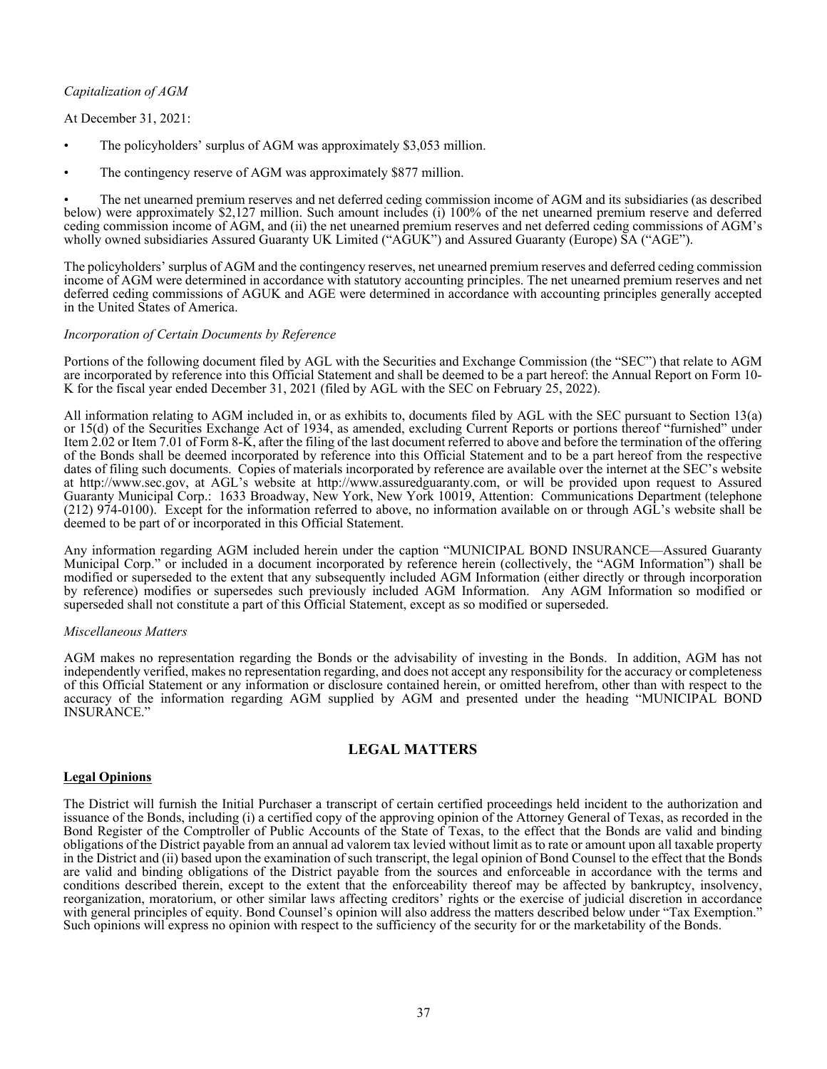## *Capitalization of AGM*

## At December 31, 2021:

- The policyholders' surplus of AGM was approximately \$3,053 million.
- The contingency reserve of AGM was approximately \$877 million.

• The net unearned premium reserves and net deferred ceding commission income of AGM and its subsidiaries (as described below) were approximately \$2,127 million. Such amount includes (i) 100% of the net unearned premium reserve and deferred ceding commission income of AGM, and (ii) the net unearned premium reserves and net deferred ceding commissions of AGM's wholly owned subsidiaries Assured Guaranty UK Limited ("AGUK") and Assured Guaranty (Europe) SA ("AGE").

The policyholders' surplus of AGM and the contingency reserves, net unearned premium reserves and deferred ceding commission income of AGM were determined in accordance with statutory accounting principles. The net unearned premium reserves and net deferred ceding commissions of AGUK and AGE were determined in accordance with accounting principles generally accepted in the United States of America.

#### *Incorporation of Certain Documents by Reference*

Portions of the following document filed by AGL with the Securities and Exchange Commission (the "SEC") that relate to AGM are incorporated by reference into this Official Statement and shall be deemed to be a part hereof: the Annual Report on Form 10- K for the fiscal year ended December 31, 2021 (filed by AGL with the SEC on February 25, 2022).

All information relating to AGM included in, or as exhibits to, documents filed by AGL with the SEC pursuant to Section 13(a) or 15(d) of the Securities Exchange Act of 1934, as amended, excluding Current Reports or portions thereof "furnished" under Item 2.02 or Item 7.01 of Form 8-K, after the filing of the last document referred to above and before the termination of the offering of the Bonds shall be deemed incorporated by reference into this Official Statement and to be a part hereof from the respective dates of filing such documents. Copies of materials incorporated by reference are available over the internet at the SEC's website at http://www.sec.gov, at AGL's website at http://www.assuredguaranty.com, or will be provided upon request to Assured Guaranty Municipal Corp.: 1633 Broadway, New York, New York 10019, Attention: Communications Department (telephone (212) 974-0100). Except for the information referred to above, no information available on or through AGL's website shall be deemed to be part of or incorporated in this Official Statement.

Any information regarding AGM included herein under the caption "MUNICIPAL BOND INSURANCE—Assured Guaranty Municipal Corp." or included in a document incorporated by reference herein (collectively, the "AGM Information") shall be modified or superseded to the extent that any subsequently included AGM Information (either directly or through incorporation by reference) modifies or supersedes such previously included AGM Information. Any AGM Information so modified or superseded shall not constitute a part of this Official Statement, except as so modified or superseded.

#### *Miscellaneous Matters*

AGM makes no representation regarding the Bonds or the advisability of investing in the Bonds. In addition, AGM has not independently verified, makes no representation regarding, and does not accept any responsibility for the accuracy or completeness of this Official Statement or any information or disclosure contained herein, or omitted herefrom, other than with respect to the accuracy of the information regarding AGM supplied by AGM and presented under the heading "MUNICIPAL BOND INSURANCE."

## **LEGAL MATTERS**

#### **Legal Opinions**

The District will furnish the Initial Purchaser a transcript of certain certified proceedings held incident to the authorization and issuance of the Bonds, including (i) a certified copy of the approving opinion of the Attorney General of Texas, as recorded in the Bond Register of the Comptroller of Public Accounts of the State of Texas, to the effect that the Bonds are valid and binding obligations of the District payable from an annual ad valorem tax levied without limit as to rate or amount upon all taxable property in the District and (ii) based upon the examination of such transcript, the legal opinion of Bond Counsel to the effect that the Bonds are valid and binding obligations of the District payable from the sources and enforceable in accordance with the terms and conditions described therein, except to the extent that the enforceability thereof may be affected by bankruptcy, insolvency, reorganization, moratorium, or other similar laws affecting creditors' rights or the exercise of judicial discretion in accordance with general principles of equity. Bond Counsel's opinion will also address the matters described below under "Tax Exemption." Such opinions will express no opinion with respect to the sufficiency of the security for or the marketability of the Bonds.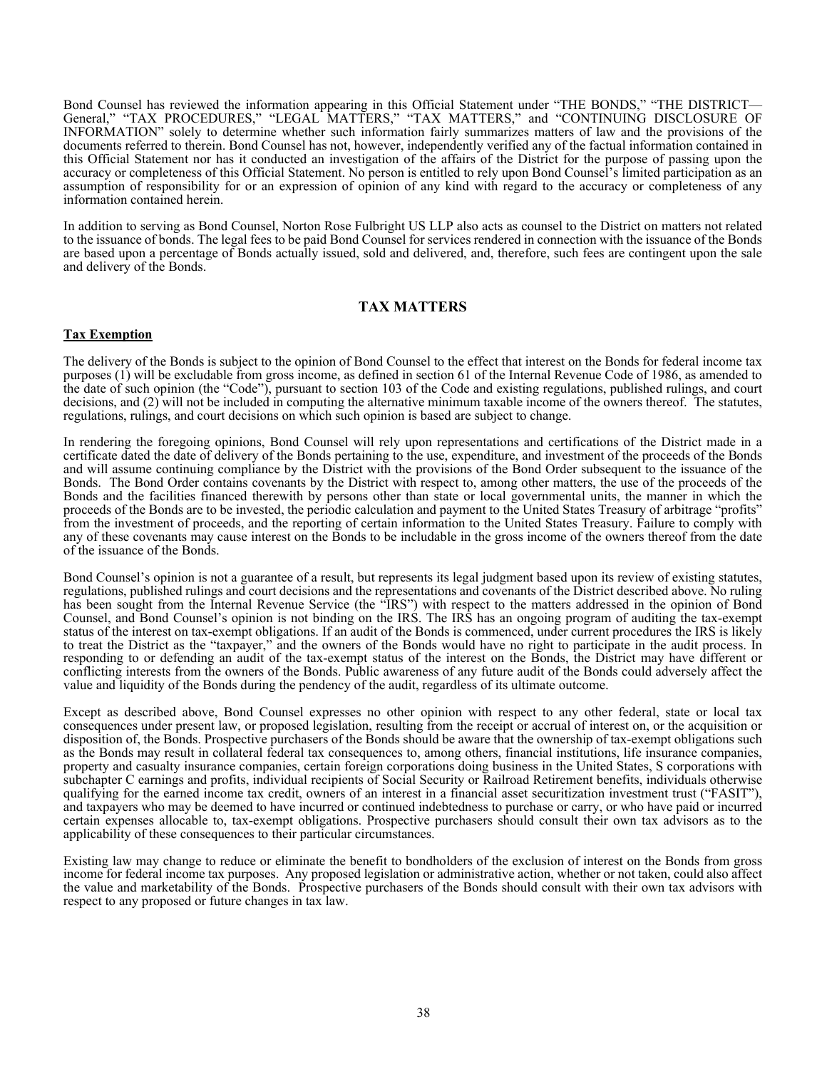Bond Counsel has reviewed the information appearing in this Official Statement under "THE BONDS," "THE DISTRICT— General," "TAX PROCEDURES," "LEGAL MATTERS," "TAX MATTERS," and "CONTINUING DISCLOSURE OF INFORMATION" solely to determine whether such information fairly summarizes matters of law and the provisions of the documents referred to therein. Bond Counsel has not, however, independently verified any of the factual information contained in this Official Statement nor has it conducted an investigation of the affairs of the District for the purpose of passing upon the accuracy or completeness of this Official Statement. No person is entitled to rely upon Bond Counsel's limited participation as an assumption of responsibility for or an expression of opinion of any kind with regard to the accuracy or completeness of any information contained herein.

In addition to serving as Bond Counsel, Norton Rose Fulbright US LLP also acts as counsel to the District on matters not related to the issuance of bonds. The legal fees to be paid Bond Counsel for services rendered in connection with the issuance of the Bonds are based upon a percentage of Bonds actually issued, sold and delivered, and, therefore, such fees are contingent upon the sale and delivery of the Bonds.

## **TAX MATTERS**

## **Tax Exemption**

The delivery of the Bonds is subject to the opinion of Bond Counsel to the effect that interest on the Bonds for federal income tax purposes (1) will be excludable from gross income, as defined in section 61 of the Internal Revenue Code of 1986, as amended to the date of such opinion (the "Code"), pursuant to section 103 of the Code and existing regulations, published rulings, and court decisions, and (2) will not be included in computing the alternative minimum taxable income of the owners thereof. The statutes, regulations, rulings, and court decisions on which such opinion is based are subject to change.

In rendering the foregoing opinions, Bond Counsel will rely upon representations and certifications of the District made in a certificate dated the date of delivery of the Bonds pertaining to the use, expenditure, and investment of the proceeds of the Bonds and will assume continuing compliance by the District with the provisions of the Bond Order subsequent to the issuance of the Bonds. The Bond Order contains covenants by the District with respect to, among other matters, the use of the proceeds of the Bonds and the facilities financed therewith by persons other than state or local governmental units, the manner in which the proceeds of the Bonds are to be invested, the periodic calculation and payment to the United States Treasury of arbitrage "profits" from the investment of proceeds, and the reporting of certain information to the United States Treasury. Failure to comply with any of these covenants may cause interest on the Bonds to be includable in the gross income of the owners thereof from the date of the issuance of the Bonds.

Bond Counsel's opinion is not a guarantee of a result, but represents its legal judgment based upon its review of existing statutes, regulations, published rulings and court decisions and the representations and covenants of the District described above. No ruling has been sought from the Internal Revenue Service (the "IRS") with respect to the matters addressed in the opinion of Bond Counsel, and Bond Counsel's opinion is not binding on the IRS. The IRS has an ongoing program of auditing the tax-exempt status of the interest on tax-exempt obligations. If an audit of the Bonds is commenced, under current procedures the IRS is likely to treat the District as the "taxpayer," and the owners of the Bonds would have no right to participate in the audit process. In responding to or defending an audit of the tax-exempt status of the interest on the Bonds, the District may have different or conflicting interests from the owners of the Bonds. Public awareness of any future audit of the Bonds could adversely affect the value and liquidity of the Bonds during the pendency of the audit, regardless of its ultimate outcome.

Except as described above, Bond Counsel expresses no other opinion with respect to any other federal, state or local tax consequences under present law, or proposed legislation, resulting from the receipt or accrual of interest on, or the acquisition or disposition of, the Bonds. Prospective purchasers of the Bonds should be aware that the ownership of tax-exempt obligations such as the Bonds may result in collateral federal tax consequences to, among others, financial institutions, life insurance companies, property and casualty insurance companies, certain foreign corporations doing business in the United States, S corporations with subchapter C earnings and profits, individual recipients of Social Security or Railroad Retirement benefits, individuals otherwise qualifying for the earned income tax credit, owners of an interest in a financial asset securitization investment trust ("FASIT"), and taxpayers who may be deemed to have incurred or continued indebtedness to purchase or carry, or who have paid or incurred certain expenses allocable to, tax-exempt obligations. Prospective purchasers should consult their own tax advisors as to the applicability of these consequences to their particular circumstances.

Existing law may change to reduce or eliminate the benefit to bondholders of the exclusion of interest on the Bonds from gross income for federal income tax purposes. Any proposed legislation or administrative action, whether or not taken, could also affect the value and marketability of the Bonds. Prospective purchasers of the Bonds should consult with their own tax advisors with respect to any proposed or future changes in tax law.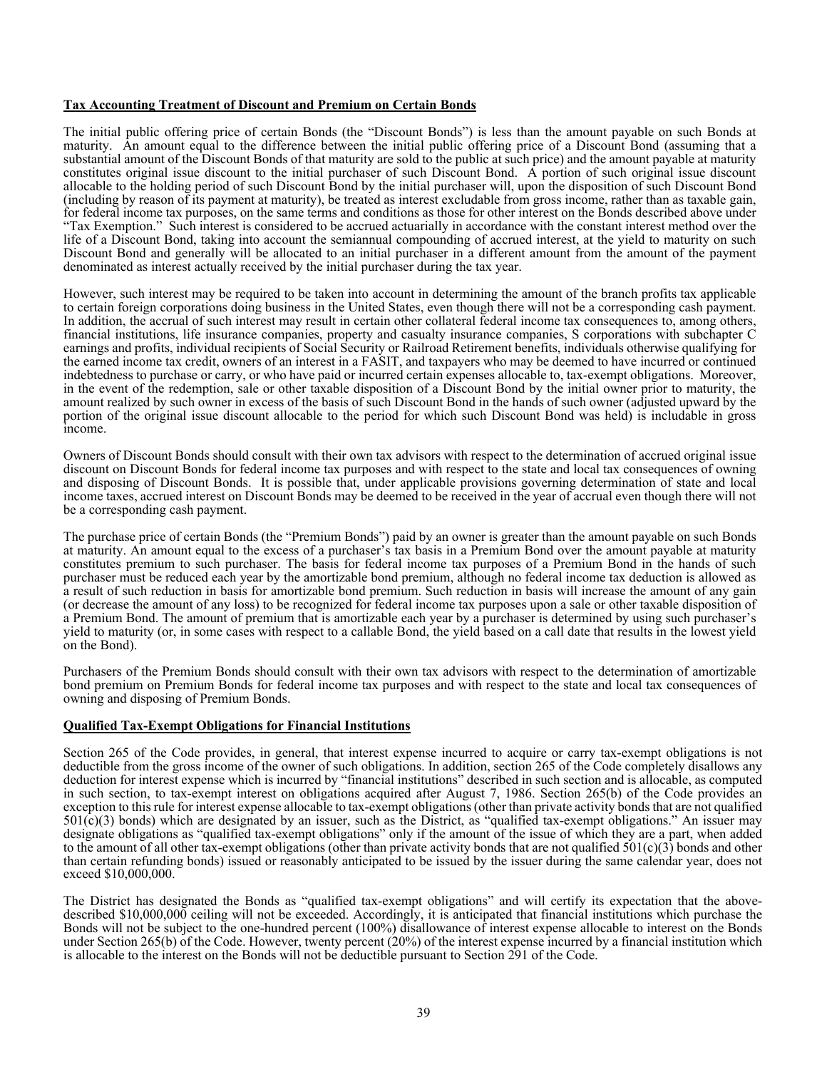## **Tax Accounting Treatment of Discount and Premium on Certain Bonds**

The initial public offering price of certain Bonds (the "Discount Bonds") is less than the amount payable on such Bonds at maturity. An amount equal to the difference between the initial public offering price of a Discount Bond (assuming that a substantial amount of the Discount Bonds of that maturity are sold to the public at such price) and the amount payable at maturity constitutes original issue discount to the initial purchaser of such Discount Bond. A portion of such original issue discount allocable to the holding period of such Discount Bond by the initial purchaser will, upon the disposition of such Discount Bond (including by reason of its payment at maturity), be treated as interest excludable from gross income, rather than as taxable gain, for federal income tax purposes, on the same terms and conditions as those for other interest on the Bonds described above under "Tax Exemption." Such interest is considered to be accrued actuarially in accordance with the constant interest method over the life of a Discount Bond, taking into account the semiannual compounding of accrued interest, at the yield to maturity on such Discount Bond and generally will be allocated to an initial purchaser in a different amount from the amount of the payment denominated as interest actually received by the initial purchaser during the tax year.

However, such interest may be required to be taken into account in determining the amount of the branch profits tax applicable to certain foreign corporations doing business in the United States, even though there will not be a corresponding cash payment. In addition, the accrual of such interest may result in certain other collateral federal income tax consequences to, among others, financial institutions, life insurance companies, property and casualty insurance companies, S corporations with subchapter C earnings and profits, individual recipients of Social Security or Railroad Retirement benefits, individuals otherwise qualifying for the earned income tax credit, owners of an interest in a FASIT, and taxpayers who may be deemed to have incurred or continued indebtedness to purchase or carry, or who have paid or incurred certain expenses allocable to, tax-exempt obligations. Moreover, in the event of the redemption, sale or other taxable disposition of a Discount Bond by the initial owner prior to maturity, the amount realized by such owner in excess of the basis of such Discount Bond in the hands of such owner (adjusted upward by the portion of the original issue discount allocable to the period for which such Discount Bond was held) is includable in gross income.

Owners of Discount Bonds should consult with their own tax advisors with respect to the determination of accrued original issue discount on Discount Bonds for federal income tax purposes and with respect to the state and local tax consequences of owning and disposing of Discount Bonds. It is possible that, under applicable provisions governing determination of state and local income taxes, accrued interest on Discount Bonds may be deemed to be received in the year of accrual even though there will not be a corresponding cash payment.

The purchase price of certain Bonds (the "Premium Bonds") paid by an owner is greater than the amount payable on such Bonds at maturity. An amount equal to the excess of a purchaser's tax basis in a Premium Bond over the amount payable at maturity constitutes premium to such purchaser. The basis for federal income tax purposes of a Premium Bond in the hands of such purchaser must be reduced each year by the amortizable bond premium, although no federal income tax deduction is allowed as a result of such reduction in basis for amortizable bond premium. Such reduction in basis will increase the amount of any gain (or decrease the amount of any loss) to be recognized for federal income tax purposes upon a sale or other taxable disposition of a Premium Bond. The amount of premium that is amortizable each year by a purchaser is determined by using such purchaser's yield to maturity (or, in some cases with respect to a callable Bond, the yield based on a call date that results in the lowest yield on the Bond).

Purchasers of the Premium Bonds should consult with their own tax advisors with respect to the determination of amortizable bond premium on Premium Bonds for federal income tax purposes and with respect to the state and local tax consequences of owning and disposing of Premium Bonds.

#### **Qualified Tax-Exempt Obligations for Financial Institutions**

Section 265 of the Code provides, in general, that interest expense incurred to acquire or carry tax-exempt obligations is not deductible from the gross income of the owner of such obligations. In addition, section 265 of the Code completely disallows any deduction for interest expense which is incurred by "financial institutions" described in such section and is allocable, as computed in such section, to tax-exempt interest on obligations acquired after August 7, 1986. Section 265(b) of the Code provides an exception to this rule for interest expense allocable to tax-exempt obligations (other than private activity bonds that are not qualified  $501(c)(3)$  bonds) which are designated by an issuer, such as the District, as "qualified tax-exempt obligations." An issuer may designate obligations as "qualified tax-exempt obligations" only if the amount of the issue of which they are a part, when added to the amount of all other tax-exempt obligations (other than private activity bonds that are not qualified  $501(c)(3)$  bonds and other than certain refunding bonds) issued or reasonably anticipated to be issued by the issuer during the same calendar year, does not exceed \$10,000,000.

The District has designated the Bonds as "qualified tax-exempt obligations" and will certify its expectation that the abovedescribed \$10,000,000 ceiling will not be exceeded. Accordingly, it is anticipated that financial institutions which purchase the Bonds will not be subject to the one-hundred percent (100%) disallowance of interest expense allocable to interest on the Bonds under Section 265(b) of the Code. However, twenty percent (20%) of the interest expense incurred by a financial institution which is allocable to the interest on the Bonds will not be deductible pursuant to Section 291 of the Code.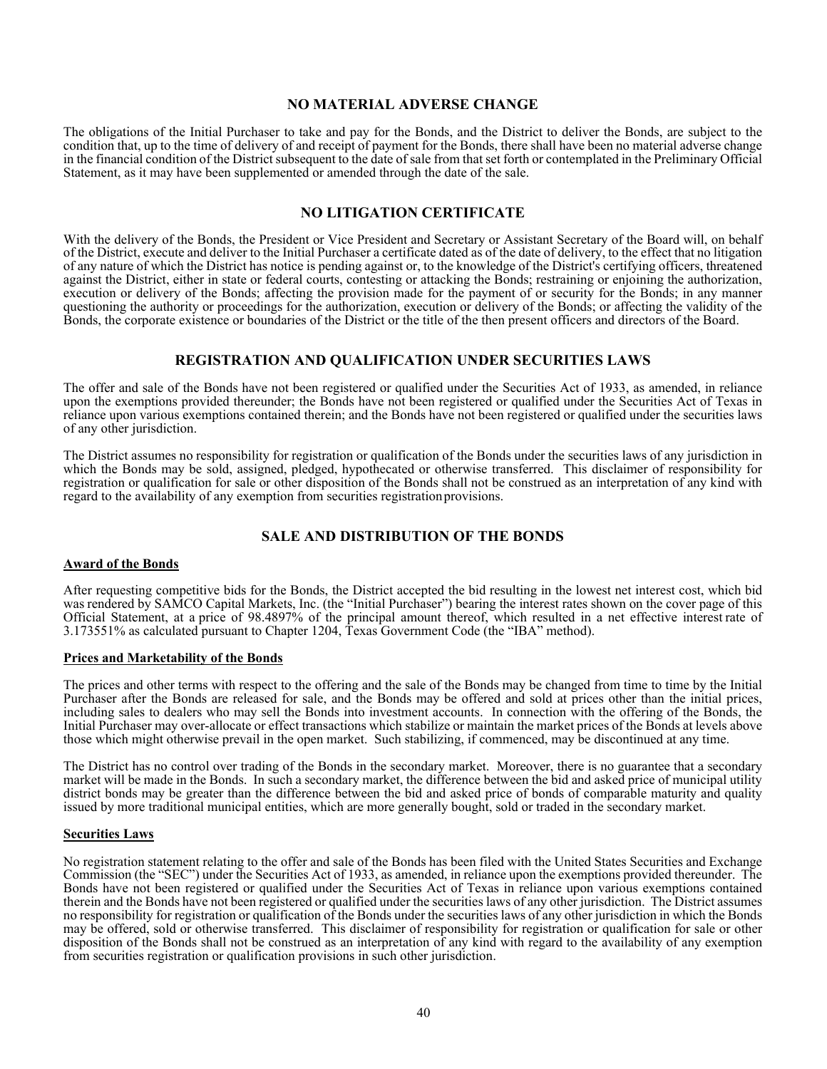## **NO MATERIAL ADVERSE CHANGE**

The obligations of the Initial Purchaser to take and pay for the Bonds, and the District to deliver the Bonds, are subject to the condition that, up to the time of delivery of and receipt of payment for the Bonds, there shall have been no material adverse change in the financial condition of the District subsequent to the date of sale from that set forth or contemplated in the Preliminary Official Statement, as it may have been supplemented or amended through the date of the sale.

## **NO LITIGATION CERTIFICATE**

With the delivery of the Bonds, the President or Vice President and Secretary or Assistant Secretary of the Board will, on behalf of the District, execute and deliver to the Initial Purchaser a certificate dated as of the date of delivery, to the effect that no litigation of any nature of which the District has notice is pending against or, to the knowledge of the District's certifying officers, threatened against the District, either in state or federal courts, contesting or attacking the Bonds; restraining or enjoining the authorization, execution or delivery of the Bonds; affecting the provision made for the payment of or security for the Bonds; in any manner questioning the authority or proceedings for the authorization, execution or delivery of the Bonds; or affecting the validity of the Bonds, the corporate existence or boundaries of the District or the title of the then present officers and directors of the Board.

## **REGISTRATION AND QUALIFICATION UNDER SECURITIES LAWS**

The offer and sale of the Bonds have not been registered or qualified under the Securities Act of 1933, as amended, in reliance upon the exemptions provided thereunder; the Bonds have not been registered or qualified under the Securities Act of Texas in reliance upon various exemptions contained therein; and the Bonds have not been registered or qualified under the securities laws of any other jurisdiction.

The District assumes no responsibility for registration or qualification of the Bonds under the securities laws of any jurisdiction in which the Bonds may be sold, assigned, pledged, hypothecated or otherwise transferred. This disclaimer of responsibility for registration or qualification for sale or other disposition of the Bonds shall not be construed as an interpretation of any kind with regard to the availability of any exemption from securities registration provisions.

## **SALE AND DISTRIBUTION OF THE BONDS**

#### **Award of the Bonds**

After requesting competitive bids for the Bonds, the District accepted the bid resulting in the lowest net interest cost, which bid was rendered by SAMCO Capital Markets, Inc. (the "Initial Purchaser") bearing the interest rates shown on the cover page of this Official Statement, at a price of 98.4897% of the principal amount thereof, which resulted in a net effective interest rate of 3.173551% as calculated pursuant to Chapter 1204, Texas Government Code (the "IBA" method).

#### **Prices and Marketability of the Bonds**

The prices and other terms with respect to the offering and the sale of the Bonds may be changed from time to time by the Initial Purchaser after the Bonds are released for sale, and the Bonds may be offered and sold at prices other than the initial prices, including sales to dealers who may sell the Bonds into investment accounts. In connection with the offering of the Bonds, the Initial Purchaser may over-allocate or effect transactions which stabilize or maintain the market prices of the Bonds at levels above those which might otherwise prevail in the open market. Such stabilizing, if commenced, may be discontinued at any time.

The District has no control over trading of the Bonds in the secondary market. Moreover, there is no guarantee that a secondary market will be made in the Bonds. In such a secondary market, the difference between the bid and asked price of municipal utility district bonds may be greater than the difference between the bid and asked price of bonds of comparable maturity and quality issued by more traditional municipal entities, which are more generally bought, sold or traded in the secondary market.

#### **Securities Laws**

No registration statement relating to the offer and sale of the Bonds has been filed with the United States Securities and Exchange Commission (the "SEC") under the Securities Act of 1933, as amended, in reliance upon the exemptions provided thereunder. The Bonds have not been registered or qualified under the Securities Act of Texas in reliance upon various exemptions contained therein and the Bonds have not been registered or qualified under the securities laws of any other jurisdiction. The District assumes no responsibility for registration or qualification of the Bonds under the securities laws of any other jurisdiction in which the Bonds may be offered, sold or otherwise transferred. This disclaimer of responsibility for registration or qualification for sale or other disposition of the Bonds shall not be construed as an interpretation of any kind with regard to the availability of any exemption from securities registration or qualification provisions in such other jurisdiction.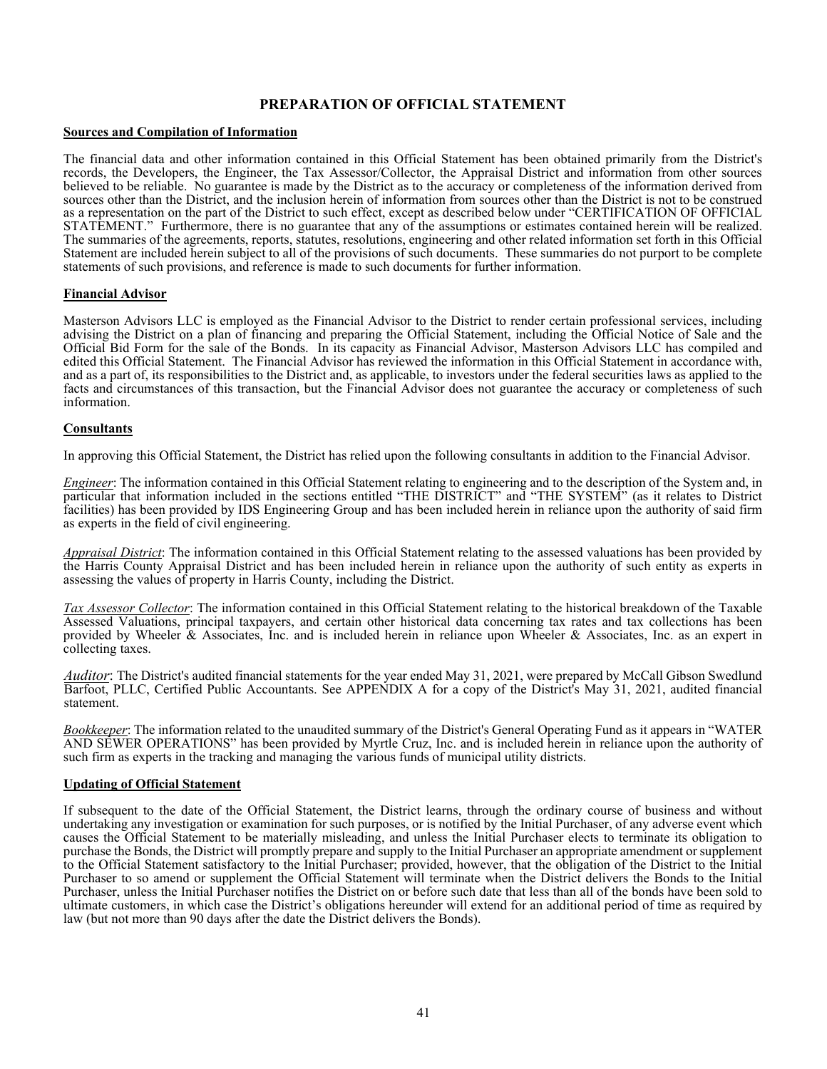# **PREPARATION OF OFFICIAL STATEMENT**

## **Sources and Compilation of Information**

The financial data and other information contained in this Official Statement has been obtained primarily from the District's records, the Developers, the Engineer, the Tax Assessor/Collector, the Appraisal District and information from other sources believed to be reliable. No guarantee is made by the District as to the accuracy or completeness of the information derived from sources other than the District, and the inclusion herein of information from sources other than the District is not to be construed as a representation on the part of the District to such effect, except as described below under "CERTIFICATION OF OFFICIAL STATEMENT." Furthermore, there is no guarantee that any of the assumptions or estimates contained herein will be realized. The summaries of the agreements, reports, statutes, resolutions, engineering and other related information set forth in this Official Statement are included herein subject to all of the provisions of such documents. These summaries do not purport to be complete statements of such provisions, and reference is made to such documents for further information.

#### **Financial Advisor**

Masterson Advisors LLC is employed as the Financial Advisor to the District to render certain professional services, including advising the District on a plan of financing and preparing the Official Statement, including the Official Notice of Sale and the Official Bid Form for the sale of the Bonds. In its capacity as Financial Advisor, Masterson Advisors LLC has compiled and edited this Official Statement. The Financial Advisor has reviewed the information in this Official Statement in accordance with, and as a part of, its responsibilities to the District and, as applicable, to investors under the federal securities laws as applied to the facts and circumstances of this transaction, but the Financial Advisor does not guarantee the accuracy or completeness of such information.

#### **Consultants**

In approving this Official Statement, the District has relied upon the following consultants in addition to the Financial Advisor.

*Engineer*: The information contained in this Official Statement relating to engineering and to the description of the System and, in particular that information included in the sections entitled "THE DISTRICT" and "THE SYSTEM" (as it relates to District facilities) has been provided by IDS Engineering Group and has been included herein in reliance upon the authority of said firm as experts in the field of civil engineering.

*Appraisal District*: The information contained in this Official Statement relating to the assessed valuations has been provided by the Harris County Appraisal District and has been included herein in reliance upon the authority of such entity as experts in assessing the values of property in Harris County, including the District.

*Tax Assessor Collector*: The information contained in this Official Statement relating to the historical breakdown of the Taxable Assessed Valuations, principal taxpayers, and certain other historical data concerning tax rates and tax collections has been provided by Wheeler & Associates, Inc. and is included herein in reliance upon Wheeler & Associates, Inc. as an expert in collecting taxes.

*Auditor*: The District's audited financial statements for the year ended May 31, 2021, were prepared by McCall Gibson Swedlund Barfoot, PLLC, Certified Public Accountants. See APPENDIX A for a copy of the District's May 31, 2021, audited financial statement.

*Bookkeeper*: The information related to the unaudited summary of the District's General Operating Fund as it appears in "WATER AND SEWER OPERATIONS" has been provided by Myrtle Cruz, Inc. and is included herein in reliance upon the authority of such firm as experts in the tracking and managing the various funds of municipal utility districts.

#### **Updating of Official Statement**

If subsequent to the date of the Official Statement, the District learns, through the ordinary course of business and without undertaking any investigation or examination for such purposes, or is notified by the Initial Purchaser, of any adverse event which causes the Official Statement to be materially misleading, and unless the Initial Purchaser elects to terminate its obligation to purchase the Bonds, the District will promptly prepare and supply to the Initial Purchaser an appropriate amendment or supplement to the Official Statement satisfactory to the Initial Purchaser; provided, however, that the obligation of the District to the Initial Purchaser to so amend or supplement the Official Statement will terminate when the District delivers the Bonds to the Initial Purchaser, unless the Initial Purchaser notifies the District on or before such date that less than all of the bonds have been sold to ultimate customers, in which case the District's obligations hereunder will extend for an additional period of time as required by law (but not more than 90 days after the date the District delivers the Bonds).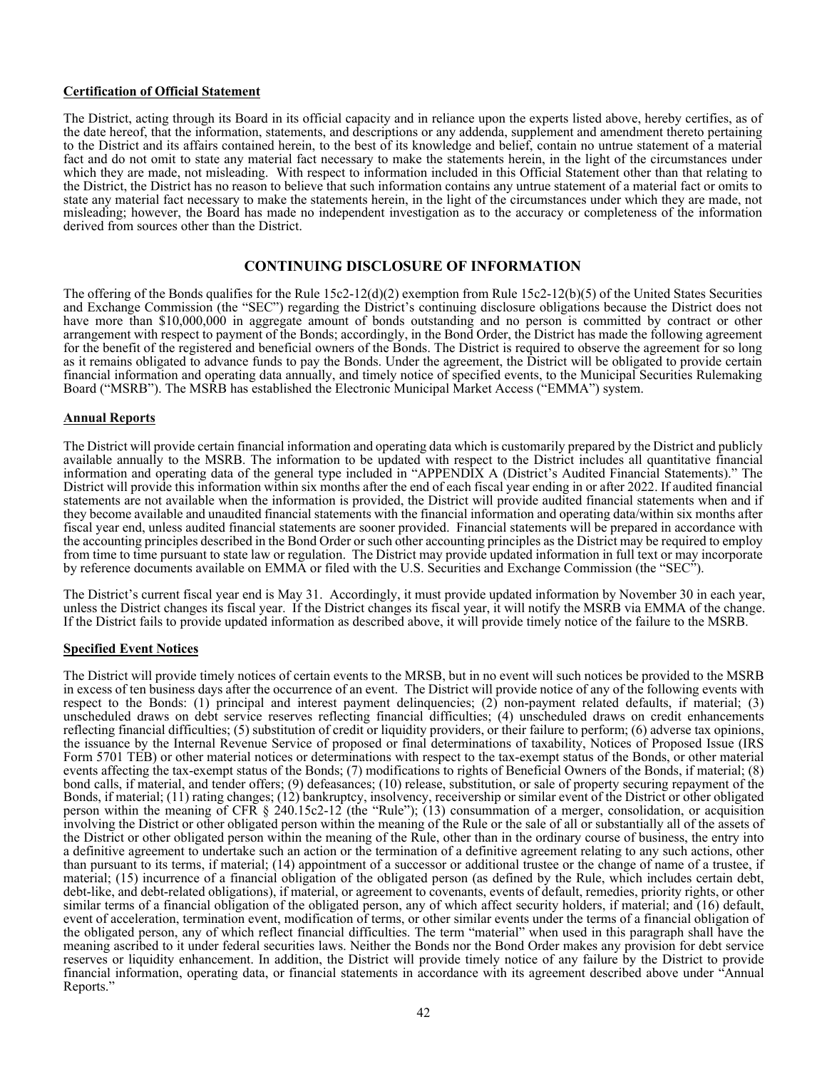#### **Certification of Official Statement**

The District, acting through its Board in its official capacity and in reliance upon the experts listed above, hereby certifies, as of the date hereof, that the information, statements, and descriptions or any addenda, supplement and amendment thereto pertaining to the District and its affairs contained herein, to the best of its knowledge and belief, contain no untrue statement of a material fact and do not omit to state any material fact necessary to make the statements herein, in the light of the circumstances under which they are made, not misleading. With respect to information included in this Official Statement other than that relating to the District, the District has no reason to believe that such information contains any untrue statement of a material fact or omits to state any material fact necessary to make the statements herein, in the light of the circumstances under which they are made, not misleading; however, the Board has made no independent investigation as to the accuracy or completeness of the information derived from sources other than the District.

## **CONTINUING DISCLOSURE OF INFORMATION**

The offering of the Bonds qualifies for the Rule 15c2-12(d)(2) exemption from Rule 15c2-12(b)(5) of the United States Securities and Exchange Commission (the "SEC") regarding the District's continuing disclosure obligations because the District does not have more than \$10,000,000 in aggregate amount of bonds outstanding and no person is committed by contract or other arrangement with respect to payment of the Bonds; accordingly, in the Bond Order, the District has made the following agreement for the benefit of the registered and beneficial owners of the Bonds. The District is required to observe the agreement for so long as it remains obligated to advance funds to pay the Bonds. Under the agreement, the District will be obligated to provide certain financial information and operating data annually, and timely notice of specified events, to the Municipal Securities Rulemaking Board ("MSRB"). The MSRB has established the Electronic Municipal Market Access ("EMMA") system.

#### **Annual Reports**

The District will provide certain financial information and operating data which is customarily prepared by the District and publicly available annually to the MSRB. The information to be updated with respect to the District includes all quantitative financial information and operating data of the general type included in "APPENDIX A (District's Audited Financial Statements)." The District will provide this information within six months after the end of each fiscal year ending in or after 2022. If audited financial statements are not available when the information is provided, the District will provide audited financial statements when and if they become available and unaudited financial statements with the financial information and operating data/within six months after fiscal year end, unless audited financial statements are sooner provided. Financial statements will be prepared in accordance with the accounting principles described in the Bond Order or such other accounting principles as the District may be required to employ from time to time pursuant to state law or regulation. The District may provide updated information in full text or may incorporate by reference documents available on EMMA or filed with the U.S. Securities and Exchange Commission (the "SEC").

The District's current fiscal year end is May 31. Accordingly, it must provide updated information by November 30 in each year, unless the District changes its fiscal year. If the District changes its fiscal year, it will notify the MSRB via EMMA of the change. If the District fails to provide updated information as described above, it will provide timely notice of the failure to the MSRB.

## **Specified Event Notices**

The District will provide timely notices of certain events to the MRSB, but in no event will such notices be provided to the MSRB in excess of ten business days after the occurrence of an event. The District will provide notice of any of the following events with respect to the Bonds: (1) principal and interest payment delinquencies; (2) non-payment related defaults, if material; (3) unscheduled draws on debt service reserves reflecting financial difficulties; (4) unscheduled draws on credit enhancements reflecting financial difficulties; (5) substitution of credit or liquidity providers, or their failure to perform; (6) adverse tax opinions, the issuance by the Internal Revenue Service of proposed or final determinations of taxability, Notices of Proposed Issue (IRS Form 5701 TEB) or other material notices or determinations with respect to the tax-exempt status of the Bonds, or other material events affecting the tax-exempt status of the Bonds; (7) modifications to rights of Beneficial Owners of the Bonds, if material; (8) bond calls, if material, and tender offers; (9) defeasances; (10) release, substitution, or sale of property securing repayment of the Bonds, if material; (11) rating changes; (12) bankruptcy, insolvency, receivership or similar event of the District or other obligated person within the meaning of CFR § 240.15c2-12 (the "Rule"); (13) consummation of a merger, consolidation, or acquisition involving the District or other obligated person within the meaning of the Rule or the sale of all or substantially all of the assets of the District or other obligated person within the meaning of the Rule, other than in the ordinary course of business, the entry into a definitive agreement to undertake such an action or the termination of a definitive agreement relating to any such actions, other than pursuant to its terms, if material; (14) appointment of a successor or additional trustee or the change of name of a trustee, if material; (15) incurrence of a financial obligation of the obligated person (as defined by the Rule, which includes certain debt, debt-like, and debt-related obligations), if material, or agreement to covenants, events of default, remedies, priority rights, or other similar terms of a financial obligation of the obligated person, any of which affect security holders, if material; and (16) default, event of acceleration, termination event, modification of terms, or other similar events under the terms of a financial obligation of the obligated person, any of which reflect financial difficulties. The term "material" when used in this paragraph shall have the meaning ascribed to it under federal securities laws. Neither the Bonds nor the Bond Order makes any provision for debt service reserves or liquidity enhancement. In addition, the District will provide timely notice of any failure by the District to provide financial information, operating data, or financial statements in accordance with its agreement described above under "Annual Reports."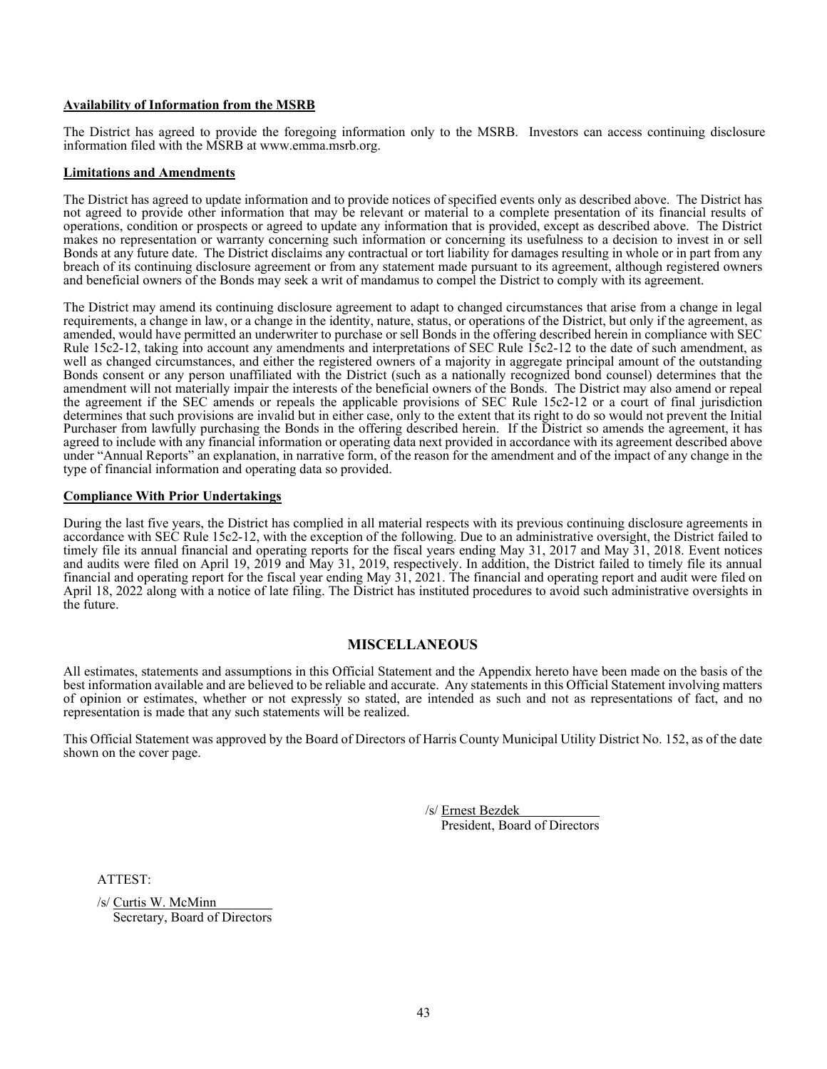### **Availability of Information from the MSRB**

The District has agreed to provide the foregoing information only to the MSRB. Investors can access continuing disclosure information filed with the MSRB at www.emma.msrb.org.

#### **Limitations and Amendments**

The District has agreed to update information and to provide notices of specified events only as described above. The District has not agreed to provide other information that may be relevant or material to a complete presentation of its financial results of operations, condition or prospects or agreed to update any information that is provided, except as described above. The District makes no representation or warranty concerning such information or concerning its usefulness to a decision to invest in or sell Bonds at any future date. The District disclaims any contractual or tort liability for damages resulting in whole or in part from any breach of its continuing disclosure agreement or from any statement made pursuant to its agreement, although registered owners and beneficial owners of the Bonds may seek a writ of mandamus to compel the District to comply with its agreement.

The District may amend its continuing disclosure agreement to adapt to changed circumstances that arise from a change in legal requirements, a change in law, or a change in the identity, nature, status, or operations of the District, but only if the agreement, as amended, would have permitted an underwriter to purchase or sell Bonds in the offering described herein in compliance with SEC Rule 15c2-12, taking into account any amendments and interpretations of SEC Rule 15c2-12 to the date of such amendment, as well as changed circumstances, and either the registered owners of a majority in aggregate principal amount of the outstanding Bonds consent or any person unaffiliated with the District (such as a nationally recognized bond counsel) determines that the amendment will not materially impair the interests of the beneficial owners of the Bonds. The District may also amend or repeal the agreement if the SEC amends or repeals the applicable provisions of SEC Rule 15c2-12 or a court of final jurisdiction determines that such provisions are invalid but in either case, only to the extent that its right to do so would not prevent the Initial Purchaser from lawfully purchasing the Bonds in the offering described herein. If the District so amends the agreement, it has agreed to include with any financial information or operating data next provided in accordance with its agreement described above under "Annual Reports" an explanation, in narrative form, of the reason for the amendment and of the impact of any change in the type of financial information and operating data so provided.

## **Compliance With Prior Undertakings**

During the last five years, the District has complied in all material respects with its previous continuing disclosure agreements in accordance with SEC Rule 15c2-12, with the exception of the following. Due to an administrative oversight, the District failed to timely file its annual financial and operating reports for the fiscal years ending May 31, 2017 and May 31, 2018. Event notices and audits were filed on April 19, 2019 and May 31, 2019, respectively. In addition, the District failed to timely file its annual financial and operating report for the fiscal year ending May 31, 2021. The financial and operating report and audit were filed on April 18, 2022 along with a notice of late filing. The District has instituted procedures to avoid such administrative oversights in the future.

## **MISCELLANEOUS**

All estimates, statements and assumptions in this Official Statement and the Appendix hereto have been made on the basis of the best information available and are believed to be reliable and accurate. Any statements in this Official Statement involving matters of opinion or estimates, whether or not expressly so stated, are intended as such and not as representations of fact, and no representation is made that any such statements will be realized.

This Official Statement was approved by the Board of Directors of Harris County Municipal Utility District No. 152, as of the date shown on the cover page.

/s/ Ernest Bezdek

President, Board of Directors

ATTEST:

/s/ Curtis W. McMinn Secretary, Board of Directors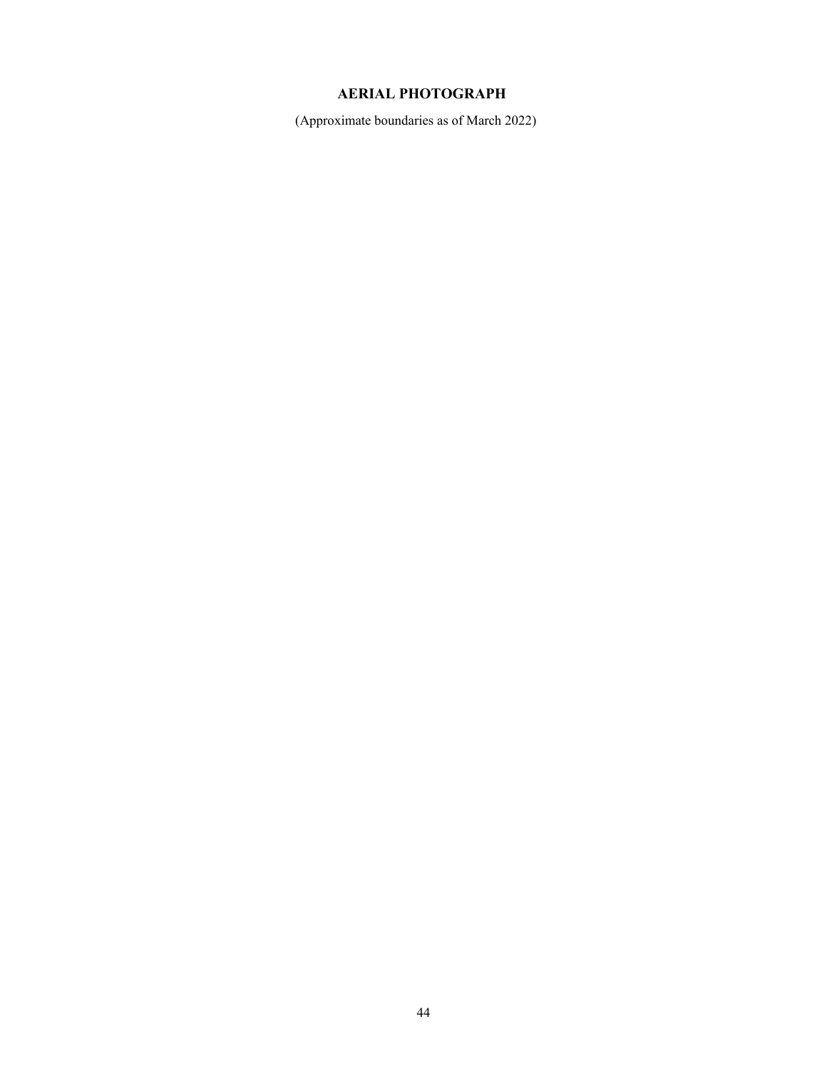# **AERIAL PHOTOGRAPH**

(Approximate boundaries as of March 2022)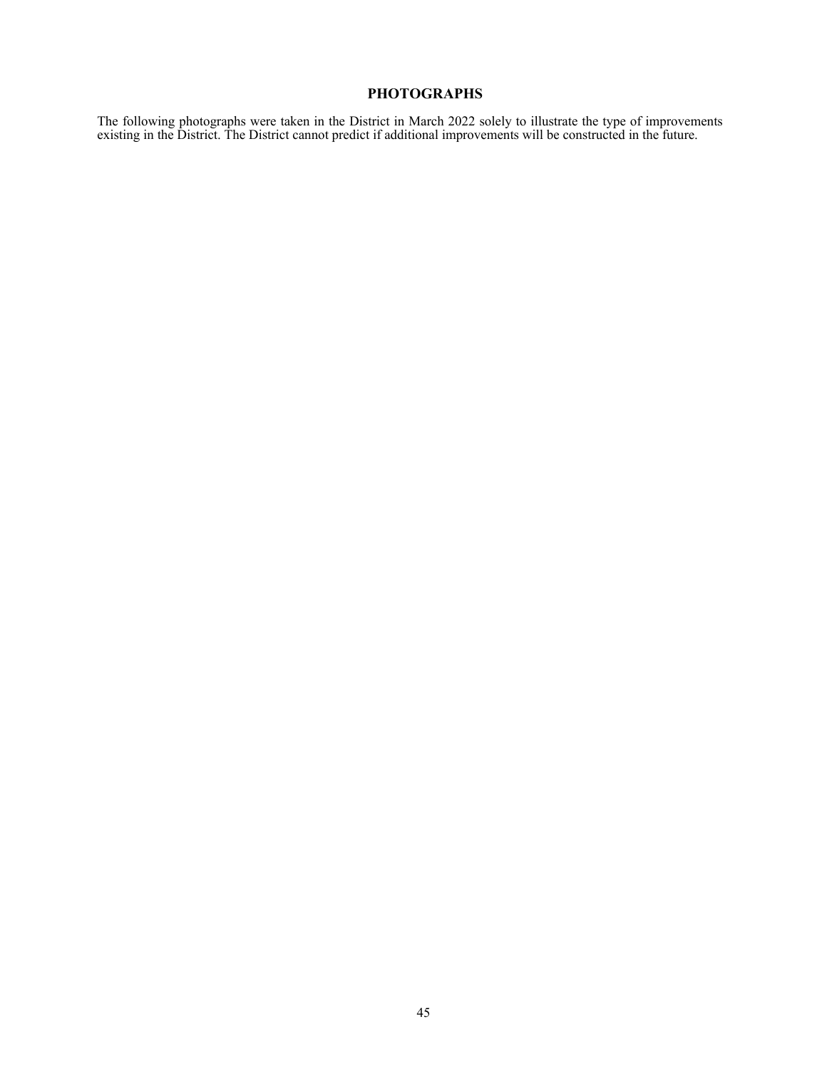# **PHOTOGRAPHS**

The following photographs were taken in the District in March 2022 solely to illustrate the type of improvements existing in the District. The District cannot predict if additional improvements will be constructed in the future.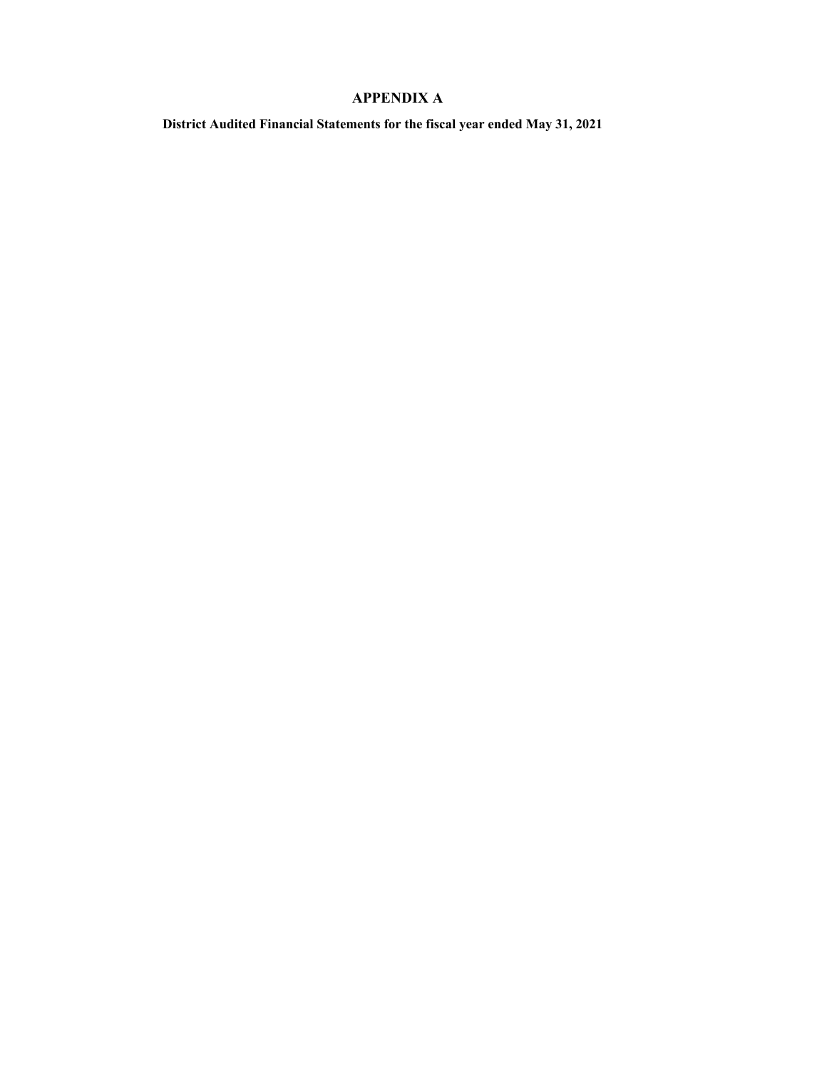# **APPENDIX A**

**District Audited Financial Statements for the fiscal year ended May 31, 2021**